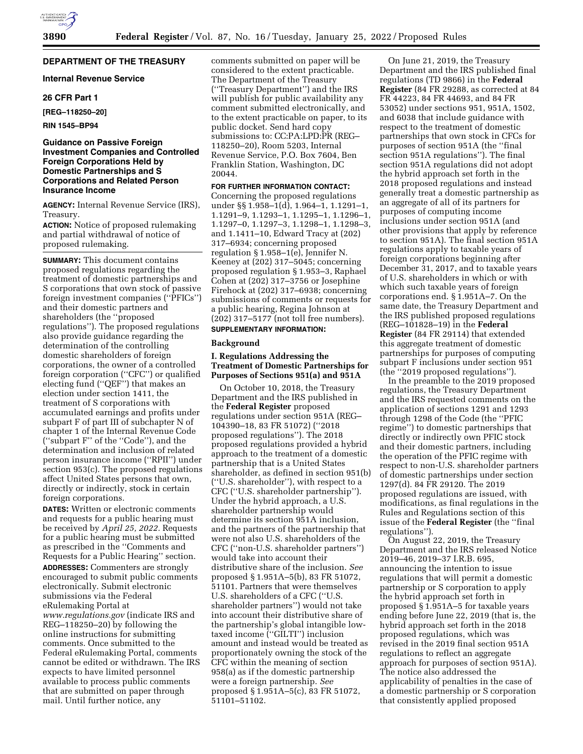# **DEPARTMENT OF THE TREASURY**

# **Internal Revenue Service**

## **26 CFR Part 1**

#### **[REG–118250–20]**

**RIN 1545–BP94** 

## **Guidance on Passive Foreign Investment Companies and Controlled Foreign Corporations Held by Domestic Partnerships and S Corporations and Related Person Insurance Income**

**AGENCY:** Internal Revenue Service (IRS), Treasury.

**ACTION:** Notice of proposed rulemaking and partial withdrawal of notice of proposed rulemaking.

**SUMMARY:** This document contains proposed regulations regarding the treatment of domestic partnerships and S corporations that own stock of passive foreign investment companies (''PFICs'') and their domestic partners and shareholders (the ''proposed regulations''). The proposed regulations also provide guidance regarding the determination of the controlling domestic shareholders of foreign corporations, the owner of a controlled foreign corporation (''CFC'') or qualified electing fund (''QEF'') that makes an election under section 1411, the treatment of S corporations with accumulated earnings and profits under subpart F of part III of subchapter N of chapter 1 of the Internal Revenue Code (''subpart F'' of the ''Code''), and the determination and inclusion of related person insurance income (''RPII'') under section 953(c). The proposed regulations affect United States persons that own, directly or indirectly, stock in certain foreign corporations.

**DATES:** Written or electronic comments and requests for a public hearing must be received by *April 25, 2022.* Requests for a public hearing must be submitted as prescribed in the ''Comments and Requests for a Public Hearing'' section. **ADDRESSES:** Commenters are strongly encouraged to submit public comments electronically. Submit electronic submissions via the Federal eRulemaking Portal at *[www.regulations.gov](http://www.regulations.gov)* (indicate IRS and REG–118250–20) by following the online instructions for submitting comments. Once submitted to the Federal eRulemaking Portal, comments cannot be edited or withdrawn. The IRS expects to have limited personnel available to process public comments that are submitted on paper through mail. Until further notice, any

comments submitted on paper will be considered to the extent practicable. The Department of the Treasury (''Treasury Department'') and the IRS will publish for public availability any comment submitted electronically, and to the extent practicable on paper, to its public docket. Send hard copy submissions to: CC:PA:LPD:PR (REG– 118250–20), Room 5203, Internal Revenue Service, P.O. Box 7604, Ben Franklin Station, Washington, DC 20044.

# **FOR FURTHER INFORMATION CONTACT:**

Concerning the proposed regulations under §§ 1.958–1(d), 1.964–1, 1.1291–1, 1.1291–9, 1.1293–1, 1.1295–1, 1.1296–1, 1.1297–0, 1.1297–3, 1.1298–1, 1.1298–3, and 1.1411–10, Edward Tracy at (202) 317–6934; concerning proposed regulation § 1.958–1(e), Jennifer N. Keeney at (202) 317–5045; concerning proposed regulation § 1.953–3, Raphael Cohen at (202) 317–3756 or Josephine Firehock at (202) 317–6938; concerning submissions of comments or requests for a public hearing, Regina Johnson at (202) 317–5177 (not toll free numbers). **SUPPLEMENTARY INFORMATION:** 

## **Background**

## **I. Regulations Addressing the Treatment of Domestic Partnerships for Purposes of Sections 951(a) and 951A**

On October 10, 2018, the Treasury Department and the IRS published in the **Federal Register** proposed regulations under section 951A (REG– 104390–18, 83 FR 51072) (''2018 proposed regulations''). The 2018 proposed regulations provided a hybrid approach to the treatment of a domestic partnership that is a United States shareholder, as defined in section 951(b) (''U.S. shareholder''), with respect to a CFC (''U.S. shareholder partnership''). Under the hybrid approach, a U.S. shareholder partnership would determine its section 951A inclusion, and the partners of the partnership that were not also U.S. shareholders of the CFC (''non-U.S. shareholder partners'') would take into account their distributive share of the inclusion. *See*  proposed § 1.951A–5(b), 83 FR 51072, 51101. Partners that were themselves U.S. shareholders of a CFC (''U.S. shareholder partners'') would not take into account their distributive share of the partnership's global intangible lowtaxed income (''GILTI'') inclusion amount and instead would be treated as proportionately owning the stock of the CFC within the meaning of section 958(a) as if the domestic partnership were a foreign partnership. *See*  proposed § 1.951A–5(c), 83 FR 51072, 51101–51102.

On June 21, 2019, the Treasury Department and the IRS published final regulations (TD 9866) in the **Federal Register** (84 FR 29288, as corrected at 84 FR 44223, 84 FR 44693, and 84 FR 53052) under sections 951, 951A, 1502, and 6038 that include guidance with respect to the treatment of domestic partnerships that own stock in CFCs for purposes of section 951A (the ''final section 951A regulations''). The final section 951A regulations did not adopt the hybrid approach set forth in the 2018 proposed regulations and instead generally treat a domestic partnership as an aggregate of all of its partners for purposes of computing income inclusions under section 951A (and other provisions that apply by reference to section 951A). The final section 951A regulations apply to taxable years of foreign corporations beginning after December 31, 2017, and to taxable years of U.S. shareholders in which or with which such taxable years of foreign corporations end. § 1.951A–7. On the same date, the Treasury Department and the IRS published proposed regulations (REG–101828–19) in the **Federal Register** (84 FR 29114) that extended this aggregate treatment of domestic partnerships for purposes of computing subpart F inclusions under section 951 (the ''2019 proposed regulations'').

In the preamble to the 2019 proposed regulations, the Treasury Department and the IRS requested comments on the application of sections 1291 and 1293 through 1298 of the Code (the ''PFIC regime'') to domestic partnerships that directly or indirectly own PFIC stock and their domestic partners, including the operation of the PFIC regime with respect to non-U.S. shareholder partners of domestic partnerships under section 1297(d). 84 FR 29120. The 2019 proposed regulations are issued, with modifications, as final regulations in the Rules and Regulations section of this issue of the **Federal Register** (the ''final regulations'').

On August 22, 2019, the Treasury Department and the IRS released Notice 2019–46, 2019–37 I.R.B. 695, announcing the intention to issue regulations that will permit a domestic partnership or S corporation to apply the hybrid approach set forth in proposed § 1.951A–5 for taxable years ending before June 22, 2019 (that is, the hybrid approach set forth in the 2018 proposed regulations, which was revised in the 2019 final section 951A regulations to reflect an aggregate approach for purposes of section 951A). The notice also addressed the applicability of penalties in the case of a domestic partnership or S corporation that consistently applied proposed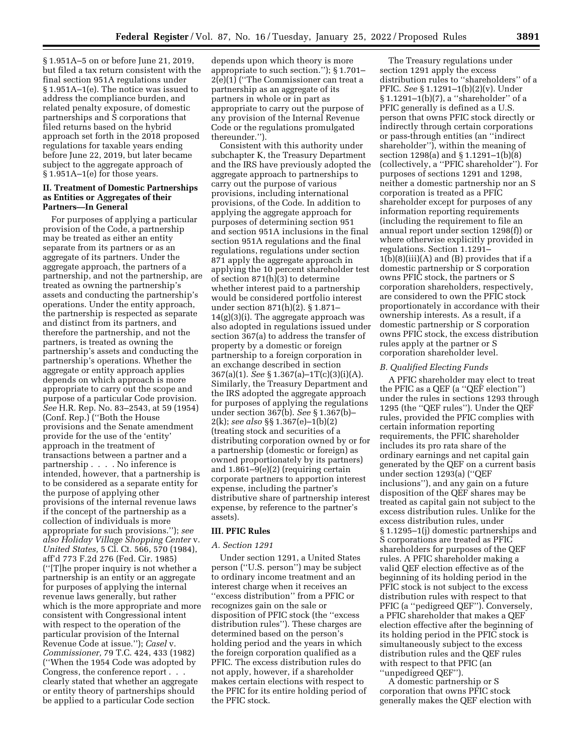§ 1.951A–5 on or before June 21, 2019, but filed a tax return consistent with the final section 951A regulations under § 1.951A–1(e). The notice was issued to address the compliance burden, and related penalty exposure, of domestic partnerships and S corporations that filed returns based on the hybrid approach set forth in the 2018 proposed regulations for taxable years ending before June 22, 2019, but later became subject to the aggregate approach of § 1.951A–1(e) for those years.

## **II. Treatment of Domestic Partnerships as Entities or Aggregates of their Partners—In General**

For purposes of applying a particular provision of the Code, a partnership may be treated as either an entity separate from its partners or as an aggregate of its partners. Under the aggregate approach, the partners of a partnership, and not the partnership, are treated as owning the partnership's assets and conducting the partnership's operations. Under the entity approach, the partnership is respected as separate and distinct from its partners, and therefore the partnership, and not the partners, is treated as owning the partnership's assets and conducting the partnership's operations. Whether the aggregate or entity approach applies depends on which approach is more appropriate to carry out the scope and purpose of a particular Code provision. *See* H.R. Rep. No. 83–2543, at 59 (1954) (Conf. Rep.) (''Both the House provisions and the Senate amendment provide for the use of the 'entity' approach in the treatment of transactions between a partner and a partnership . . . . No inference is intended, however, that a partnership is to be considered as a separate entity for the purpose of applying other provisions of the internal revenue laws if the concept of the partnership as a collection of individuals is more appropriate for such provisions.''); *see also Holiday Village Shopping Center* v. *United States,* 5 Cl. Ct. 566, 570 (1984), aff'd 773 F.2d 276 (Fed. Cir. 1985) (''[T]he proper inquiry is not whether a partnership is an entity or an aggregate for purposes of applying the internal revenue laws generally, but rather which is the more appropriate and more consistent with Congressional intent with respect to the operation of the particular provision of the Internal Revenue Code at issue.''); *Casel* v. *Commissioner,* 79 T.C. 424, 433 (1982) (''When the 1954 Code was adopted by Congress, the conference report . . . clearly stated that whether an aggregate or entity theory of partnerships should be applied to a particular Code section

depends upon which theory is more appropriate to such section.''); § 1.701– 2(e)(1) (''The Commissioner can treat a partnership as an aggregate of its partners in whole or in part as appropriate to carry out the purpose of any provision of the Internal Revenue Code or the regulations promulgated thereunder.'').

Consistent with this authority under subchapter K, the Treasury Department and the IRS have previously adopted the aggregate approach to partnerships to carry out the purpose of various provisions, including international provisions, of the Code. In addition to applying the aggregate approach for purposes of determining section 951 and section 951A inclusions in the final section 951A regulations and the final regulations, regulations under section 871 apply the aggregate approach in applying the 10 percent shareholder test of section 871(h)(3) to determine whether interest paid to a partnership would be considered portfolio interest under section 871(h)(2). § 1.871– 14(g)(3)(i). The aggregate approach was also adopted in regulations issued under section 367(a) to address the transfer of property by a domestic or foreign partnership to a foreign corporation in an exchange described in section 367(a)(1). *See* § 1.367(a)–1T(c)(3)(i)(A). Similarly, the Treasury Department and the IRS adopted the aggregate approach for purposes of applying the regulations under section 367(b). *See* § 1.367(b)– 2(k); *see also* §§ 1.367(e)–1(b)(2) (treating stock and securities of a distributing corporation owned by or for a partnership (domestic or foreign) as owned proportionately by its partners) and 1.861–9(e)(2) (requiring certain corporate partners to apportion interest expense, including the partner's distributive share of partnership interest expense, by reference to the partner's assets).

## **III. PFIC Rules**

## *A. Section 1291*

Under section 1291, a United States person (''U.S. person'') may be subject to ordinary income treatment and an interest charge when it receives an ''excess distribution'' from a PFIC or recognizes gain on the sale or disposition of PFIC stock (the ''excess distribution rules''). These charges are determined based on the person's holding period and the years in which the foreign corporation qualified as a PFIC. The excess distribution rules do not apply, however, if a shareholder makes certain elections with respect to the PFIC for its entire holding period of the PFIC stock.

The Treasury regulations under section 1291 apply the excess distribution rules to ''shareholders'' of a PFIC. *See* § 1.1291–1(b)(2)(v). Under § 1.1291-1(b)(7), a "shareholder" of a PFIC generally is defined as a U.S. person that owns PFIC stock directly or indirectly through certain corporations or pass-through entities (an ''indirect shareholder''), within the meaning of section 1298(a) and § 1.1291–1(b)(8) (collectively, a ''PFIC shareholder''). For purposes of sections 1291 and 1298, neither a domestic partnership nor an S corporation is treated as a PFIC shareholder except for purposes of any information reporting requirements (including the requirement to file an annual report under section 1298(f)) or where otherwise explicitly provided in regulations. Section 1.1291–  $1(b)(8)(iii)(A)$  and  $(B)$  provides that if a domestic partnership or S corporation owns PFIC stock, the partners or S corporation shareholders, respectively, are considered to own the PFIC stock proportionately in accordance with their ownership interests. As a result, if a domestic partnership or S corporation owns PFIC stock, the excess distribution rules apply at the partner or S corporation shareholder level.

#### *B. Qualified Electing Funds*

A PFIC shareholder may elect to treat the PFIC as a QEF (a ''QEF election'') under the rules in sections 1293 through 1295 (the ''QEF rules''). Under the QEF rules, provided the PFIC complies with certain information reporting requirements, the PFIC shareholder includes its pro rata share of the ordinary earnings and net capital gain generated by the QEF on a current basis under section 1293(a) (''QEF inclusions''), and any gain on a future disposition of the QEF shares may be treated as capital gain not subject to the excess distribution rules. Unlike for the excess distribution rules, under § 1.1295–1(j) domestic partnerships and S corporations are treated as PFIC shareholders for purposes of the QEF rules. A PFIC shareholder making a valid QEF election effective as of the beginning of its holding period in the PFIC stock is not subject to the excess distribution rules with respect to that PFIC (a ''pedigreed QEF''). Conversely, a PFIC shareholder that makes a QEF election effective after the beginning of its holding period in the PFIC stock is simultaneously subject to the excess distribution rules and the QEF rules with respect to that PFIC (an ''unpedigreed QEF'').

A domestic partnership or S corporation that owns PFIC stock generally makes the QEF election with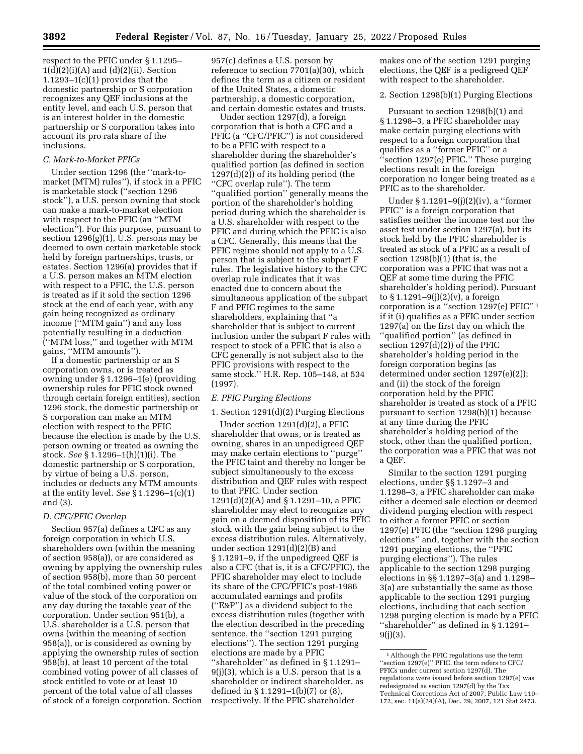respect to the PFIC under § 1.1295–  $1(d)(2)(i)(A)$  and  $(d)(2)(ii)$ . Section  $1.1293-1(c)(1)$  provides that the domestic partnership or S corporation recognizes any QEF inclusions at the entity level, and each U.S. person that is an interest holder in the domestic partnership or S corporation takes into account its pro rata share of the inclusions.

#### *C. Mark-to-Market PFICs*

Under section 1296 (the ''mark-tomarket (MTM) rules''), if stock in a PFIC is marketable stock (''section 1296 stock''), a U.S. person owning that stock can make a mark-to-market election with respect to the PFIC (an ''MTM election''). For this purpose, pursuant to section  $1296(g)(1)$ , U.S. persons may be deemed to own certain marketable stock held by foreign partnerships, trusts, or estates. Section 1296(a) provides that if a U.S. person makes an MTM election with respect to a PFIC, the U.S. person is treated as if it sold the section 1296 stock at the end of each year, with any gain being recognized as ordinary income (''MTM gain'') and any loss potentially resulting in a deduction (''MTM loss,'' and together with MTM gains, ''MTM amounts'').

If a domestic partnership or an S corporation owns, or is treated as owning under § 1.1296–1(e) (providing ownership rules for PFIC stock owned through certain foreign entities), section 1296 stock, the domestic partnership or S corporation can make an MTM election with respect to the PFIC because the election is made by the U.S. person owning or treated as owning the stock. *See* § 1.1296–1(h)(1)(i). The domestic partnership or S corporation, by virtue of being a U.S. person, includes or deducts any MTM amounts at the entity level. *See* § 1.1296–1(c)(1) and (3).

# *D. CFC/PFIC Overlap*

Section 957(a) defines a CFC as any foreign corporation in which U.S. shareholders own (within the meaning of section 958(a)), or are considered as owning by applying the ownership rules of section 958(b), more than 50 percent of the total combined voting power or value of the stock of the corporation on any day during the taxable year of the corporation. Under section 951(b), a U.S. shareholder is a U.S. person that owns (within the meaning of section 958(a)), or is considered as owning by applying the ownership rules of section 958(b), at least 10 percent of the total combined voting power of all classes of stock entitled to vote or at least 10 percent of the total value of all classes of stock of a foreign corporation. Section

957(c) defines a U.S. person by reference to section 7701(a)(30), which defines the term as a citizen or resident of the United States, a domestic partnership, a domestic corporation, and certain domestic estates and trusts.

Under section 1297(d), a foreign corporation that is both a CFC and a PFIC (a ''CFC/PFIC'') is not considered to be a PFIC with respect to a shareholder during the shareholder's qualified portion (as defined in section 1297(d)(2)) of its holding period (the ''CFC overlap rule''). The term ''qualified portion'' generally means the portion of the shareholder's holding period during which the shareholder is a U.S. shareholder with respect to the PFIC and during which the PFIC is also a CFC. Generally, this means that the PFIC regime should not apply to a U.S. person that is subject to the subpart F rules. The legislative history to the CFC overlap rule indicates that it was enacted due to concern about the simultaneous application of the subpart F and PFIC regimes to the same shareholders, explaining that ''a shareholder that is subject to current inclusion under the subpart F rules with respect to stock of a PFIC that is also a CFC generally is not subject also to the PFIC provisions with respect to the same stock.'' H.R. Rep. 105–148, at 534 (1997).

## *E. PFIC Purging Elections*

#### 1. Section 1291(d)(2) Purging Elections

Under section 1291(d)(2), a PFIC shareholder that owns, or is treated as owning, shares in an unpedigreed QEF may make certain elections to ''purge'' the PFIC taint and thereby no longer be subject simultaneously to the excess distribution and QEF rules with respect to that PFIC. Under section 1291(d)(2)(A) and § 1.1291–10, a PFIC shareholder may elect to recognize any gain on a deemed disposition of its PFIC stock with the gain being subject to the excess distribution rules. Alternatively, under section 1291(d)(2)(B) and § 1.1291–9, if the unpedigreed QEF is also a CFC (that is, it is a CFC/PFIC), the PFIC shareholder may elect to include its share of the CFC/PFIC's post-1986 accumulated earnings and profits (''E&P'') as a dividend subject to the excess distribution rules (together with the election described in the preceding sentence, the ''section 1291 purging elections''). The section 1291 purging elections are made by a PFIC ''shareholder'' as defined in § 1.1291– 9(j)(3), which is a U.S. person that is a shareholder or indirect shareholder, as defined in § 1.1291–1(b)(7) or (8), respectively. If the PFIC shareholder

makes one of the section 1291 purging elections, the QEF is a pedigreed QEF with respect to the shareholder.

2. Section 1298(b)(1) Purging Elections

Pursuant to section 1298(b)(1) and § 1.1298–3, a PFIC shareholder may make certain purging elections with respect to a foreign corporation that qualifies as a ''former PFIC'' or a ''section 1297(e) PFIC.'' These purging elections result in the foreign corporation no longer being treated as a PFIC as to the shareholder.

Under § 1.1291–9(j)(2)(iv), a ''former PFIC'' is a foreign corporation that satisfies neither the income test nor the asset test under section 1297(a), but its stock held by the PFIC shareholder is treated as stock of a PFIC as a result of section 1298(b)(1) (that is, the corporation was a PFIC that was not a QEF at some time during the PFIC shareholder's holding period). Pursuant to § 1.1291–9(j)(2)(v), a foreign corporation is a ''section 1297(e) PFIC'' 1 if it (i) qualifies as a PFIC under section 1297(a) on the first day on which the ''qualified portion'' (as defined in section 1297(d)(2)) of the PFIC shareholder's holding period in the foreign corporation begins (as determined under section 1297(e)(2)); and (ii) the stock of the foreign corporation held by the PFIC shareholder is treated as stock of a PFIC pursuant to section 1298(b)(1) because at any time during the PFIC shareholder's holding period of the stock, other than the qualified portion, the corporation was a PFIC that was not a QEF.

Similar to the section 1291 purging elections, under §§ 1.1297–3 and 1.1298–3, a PFIC shareholder can make either a deemed sale election or deemed dividend purging election with respect to either a former PFIC or section 1297(e) PFIC (the ''section 1298 purging elections'' and, together with the section 1291 purging elections, the ''PFIC purging elections''). The rules applicable to the section 1298 purging elections in §§ 1.1297–3(a) and 1.1298– 3(a) are substantially the same as those applicable to the section 1291 purging elections, including that each section 1298 purging election is made by a PFIC ''shareholder'' as defined in § 1.1291–  $9(i)(3)$ .

<sup>1</sup>Although the PFIC regulations use the term ''section 1297(e)'' PFIC, the term refers to CFC/ PFICs under current section 1297(d). The regulations were issued before section 1297(e) was redesignated as section 1297(d) by the Tax Technical Corrections Act of 2007, Public Law 110– 172, sec. 11(a)(24)(A), Dec. 29, 2007, 121 Stat 2473.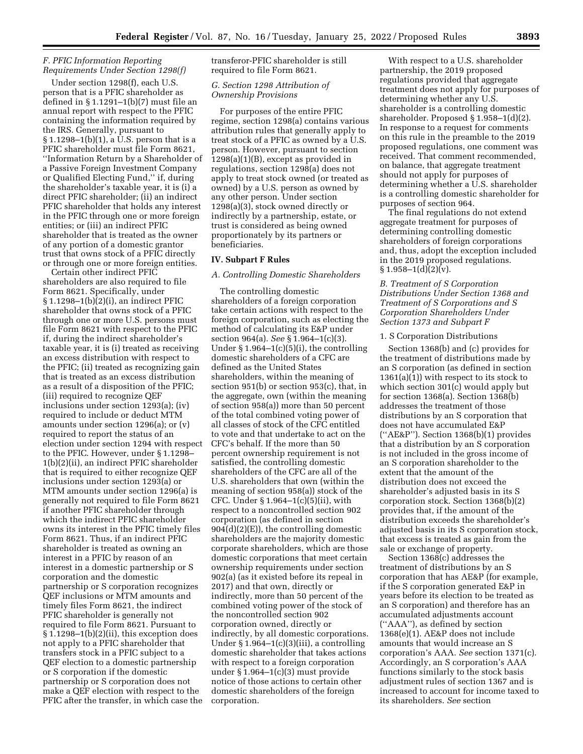## *F. PFIC Information Reporting Requirements Under Section 1298(f)*

Under section 1298(f), each U.S. person that is a PFIC shareholder as defined in § 1.1291–1(b)(7) must file an annual report with respect to the PFIC containing the information required by the IRS. Generally, pursuant to § 1.1298–1(b)(1), a U.S. person that is a PFIC shareholder must file Form 8621, ''Information Return by a Shareholder of a Passive Foreign Investment Company or Qualified Electing Fund,'' if, during the shareholder's taxable year, it is (i) a direct PFIC shareholder; (ii) an indirect PFIC shareholder that holds any interest in the PFIC through one or more foreign entities; or (iii) an indirect PFIC shareholder that is treated as the owner of any portion of a domestic grantor trust that owns stock of a PFIC directly or through one or more foreign entities.

Certain other indirect PFIC shareholders are also required to file Form 8621. Specifically, under § 1.1298–1(b)(2)(i), an indirect PFIC shareholder that owns stock of a PFIC through one or more U.S. persons must file Form 8621 with respect to the PFIC if, during the indirect shareholder's taxable year, it is (i) treated as receiving an excess distribution with respect to the PFIC; (ii) treated as recognizing gain that is treated as an excess distribution as a result of a disposition of the PFIC; (iii) required to recognize QEF inclusions under section 1293(a); (iv) required to include or deduct MTM amounts under section 1296(a); or (v) required to report the status of an election under section 1294 with respect to the PFIC. However, under § 1.1298– 1(b)(2)(ii), an indirect PFIC shareholder that is required to either recognize QEF inclusions under section 1293(a) or MTM amounts under section 1296(a) is generally not required to file Form 8621 if another PFIC shareholder through which the indirect PFIC shareholder owns its interest in the PFIC timely files Form 8621. Thus, if an indirect PFIC shareholder is treated as owning an interest in a PFIC by reason of an interest in a domestic partnership or S corporation and the domestic partnership or S corporation recognizes QEF inclusions or MTM amounts and timely files Form 8621, the indirect PFIC shareholder is generally not required to file Form 8621. Pursuant to § 1.1298–1(b)(2)(ii), this exception does not apply to a PFIC shareholder that transfers stock in a PFIC subject to a QEF election to a domestic partnership or S corporation if the domestic partnership or S corporation does not make a QEF election with respect to the PFIC after the transfer, in which case the transferor-PFIC shareholder is still required to file Form 8621.

## *G. Section 1298 Attribution of Ownership Provisions*

For purposes of the entire PFIC regime, section 1298(a) contains various attribution rules that generally apply to treat stock of a PFIC as owned by a U.S. person. However, pursuant to section 1298(a)(1)(B), except as provided in regulations, section 1298(a) does not apply to treat stock owned (or treated as owned) by a U.S. person as owned by any other person. Under section 1298(a)(3), stock owned directly or indirectly by a partnership, estate, or trust is considered as being owned proportionately by its partners or beneficiaries.

## **IV. Subpart F Rules**

#### *A. Controlling Domestic Shareholders*

The controlling domestic shareholders of a foreign corporation take certain actions with respect to the foreign corporation, such as electing the method of calculating its E&P under section 964(a). *See* § 1.964–1(c)(3). Under  $\S 1.964-1(c)(5)(i)$ , the controlling domestic shareholders of a CFC are defined as the United States shareholders, within the meaning of section 951(b) or section 953(c), that, in the aggregate, own (within the meaning of section 958(a)) more than 50 percent of the total combined voting power of all classes of stock of the CFC entitled to vote and that undertake to act on the CFC's behalf. If the more than 50 percent ownership requirement is not satisfied, the controlling domestic shareholders of the CFC are all of the U.S. shareholders that own (within the meaning of section 958(a)) stock of the CFC. Under § 1.964–1(c)(5)(ii), with respect to a noncontrolled section 902 corporation (as defined in section  $904(d)(2)(E)$ , the controlling domestic shareholders are the majority domestic corporate shareholders, which are those domestic corporations that meet certain ownership requirements under section 902(a) (as it existed before its repeal in 2017) and that own, directly or indirectly, more than 50 percent of the combined voting power of the stock of the noncontrolled section 902 corporation owned, directly or indirectly, by all domestic corporations. Under  $\S 1.964-1(c)(3)(iii)$ , a controlling domestic shareholder that takes actions with respect to a foreign corporation under § 1.964–1(c)(3) must provide notice of those actions to certain other domestic shareholders of the foreign corporation.

With respect to a U.S. shareholder partnership, the 2019 proposed regulations provided that aggregate treatment does not apply for purposes of determining whether any U.S. shareholder is a controlling domestic shareholder. Proposed § 1.958–1(d)(2). In response to a request for comments on this rule in the preamble to the 2019 proposed regulations, one comment was received. That comment recommended, on balance, that aggregate treatment should not apply for purposes of determining whether a U.S. shareholder is a controlling domestic shareholder for purposes of section 964.

The final regulations do not extend aggregate treatment for purposes of determining controlling domestic shareholders of foreign corporations and, thus, adopt the exception included in the 2019 proposed regulations.  $\S 1.958 - 1(d)(2)(v)$ .

## *B. Treatment of S Corporation Distributions Under Section 1368 and Treatment of S Corporations and S Corporation Shareholders Under Section 1373 and Subpart F*

#### 1. S Corporation Distributions

Section 1368(b) and (c) provides for the treatment of distributions made by an S corporation (as defined in section  $1361(a)(1)$ ) with respect to its stock to which section 301(c) would apply but for section 1368(a). Section 1368(b) addresses the treatment of those distributions by an S corporation that does not have accumulated E&P (''AE&P''). Section 1368(b)(1) provides that a distribution by an S corporation is not included in the gross income of an S corporation shareholder to the extent that the amount of the distribution does not exceed the shareholder's adjusted basis in its S corporation stock. Section 1368(b)(2) provides that, if the amount of the distribution exceeds the shareholder's adjusted basis in its S corporation stock, that excess is treated as gain from the sale or exchange of property.

Section 1368(c) addresses the treatment of distributions by an S corporation that has AE&P (for example, if the S corporation generated E&P in years before its election to be treated as an S corporation) and therefore has an accumulated adjustments account (''AAA''), as defined by section 1368(e)(1). AE&P does not include amounts that would increase an S corporation's AAA. *See* section 1371(c). Accordingly, an S corporation's AAA functions similarly to the stock basis adjustment rules of section 1367 and is increased to account for income taxed to its shareholders. *See* section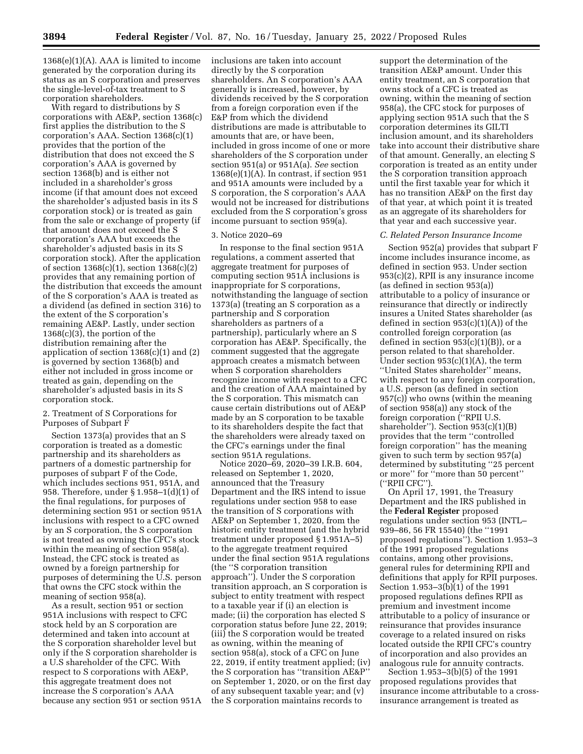$1368(e)(1)(A)$ . AAA is limited to income generated by the corporation during its status as an S corporation and preserves the single-level-of-tax treatment to S corporation shareholders.

With regard to distributions by S corporations with AE&P, section 1368(c) first applies the distribution to the S corporation's AAA. Section 1368(c)(1) provides that the portion of the distribution that does not exceed the S corporation's AAA is governed by section 1368(b) and is either not included in a shareholder's gross income (if that amount does not exceed the shareholder's adjusted basis in its S corporation stock) or is treated as gain from the sale or exchange of property (if that amount does not exceed the S corporation's AAA but exceeds the shareholder's adjusted basis in its S corporation stock). After the application of section 1368(c)(1), section 1368(c)(2) provides that any remaining portion of the distribution that exceeds the amount of the S corporation's AAA is treated as a dividend (as defined in section 316) to the extent of the S corporation's remaining AE&P. Lastly, under section  $1368(c)(3)$ , the portion of the distribution remaining after the application of section  $1368(c)(1)$  and  $(2)$ is governed by section 1368(b) and either not included in gross income or treated as gain, depending on the shareholder's adjusted basis in its S corporation stock.

## 2. Treatment of S Corporations for Purposes of Subpart F

Section 1373(a) provides that an S corporation is treated as a domestic partnership and its shareholders as partners of a domestic partnership for purposes of subpart F of the Code, which includes sections 951, 951A, and 958. Therefore, under § 1.958–1(d)(1) of the final regulations, for purposes of determining section 951 or section 951A inclusions with respect to a CFC owned by an S corporation, the S corporation is not treated as owning the CFC's stock within the meaning of section 958(a). Instead, the CFC stock is treated as owned by a foreign partnership for purposes of determining the U.S. person that owns the CFC stock within the meaning of section 958(a).

As a result, section 951 or section 951A inclusions with respect to CFC stock held by an S corporation are determined and taken into account at the S corporation shareholder level but only if the S corporation shareholder is a U.S shareholder of the CFC. With respect to S corporations with AE&P, this aggregate treatment does not increase the S corporation's AAA because any section 951 or section 951A inclusions are taken into account directly by the S corporation shareholders. An S corporation's AAA generally is increased, however, by dividends received by the S corporation from a foreign corporation even if the E&P from which the dividend distributions are made is attributable to amounts that are, or have been, included in gross income of one or more shareholders of the S corporation under section 951(a) or 951A(a). *See* section  $1368(e)(1)(A)$ . In contrast, if section 951 and 951A amounts were included by a S corporation, the S corporation's AAA would not be increased for distributions excluded from the S corporation's gross income pursuant to section 959(a).

#### 3. Notice 2020–69

In response to the final section 951A regulations, a comment asserted that aggregate treatment for purposes of computing section 951A inclusions is inappropriate for S corporations, notwithstanding the language of section 1373(a) (treating an S corporation as a partnership and S corporation shareholders as partners of a partnership), particularly where an S corporation has AE&P. Specifically, the comment suggested that the aggregate approach creates a mismatch between when S corporation shareholders recognize income with respect to a CFC and the creation of AAA maintained by the S corporation. This mismatch can cause certain distributions out of AE&P made by an S corporation to be taxable to its shareholders despite the fact that the shareholders were already taxed on the CFC's earnings under the final section 951A regulations.

Notice 2020–69, 2020–39 I.R.B. 604, released on September 1, 2020, announced that the Treasury Department and the IRS intend to issue regulations under section 958 to ease the transition of S corporations with AE&P on September 1, 2020, from the historic entity treatment (and the hybrid treatment under proposed § 1.951A–5) to the aggregate treatment required under the final section 951A regulations (the ''S corporation transition approach''). Under the S corporation transition approach, an S corporation is subject to entity treatment with respect to a taxable year if (i) an election is made; (ii) the corporation has elected S corporation status before June 22, 2019; (iii) the S corporation would be treated as owning, within the meaning of section 958(a), stock of a CFC on June 22, 2019, if entity treatment applied; (iv) the S corporation has ''transition AE&P'' on September 1, 2020, or on the first day of any subsequent taxable year; and (v) the S corporation maintains records to

support the determination of the transition AE&P amount. Under this entity treatment, an S corporation that owns stock of a CFC is treated as owning, within the meaning of section 958(a), the CFC stock for purposes of applying section 951A such that the S corporation determines its GILTI inclusion amount, and its shareholders take into account their distributive share of that amount. Generally, an electing S corporation is treated as an entity under the S corporation transition approach until the first taxable year for which it has no transition AE&P on the first day of that year, at which point it is treated as an aggregate of its shareholders for that year and each successive year.

#### *C. Related Person Insurance Income*

Section 952(a) provides that subpart F income includes insurance income, as defined in section 953. Under section 953(c)(2), RPII is any insurance income (as defined in section 953(a)) attributable to a policy of insurance or reinsurance that directly or indirectly insures a United States shareholder (as defined in section  $953(c)(1)(A)$  of the controlled foreign corporation (as defined in section  $953(c)(1)(B)$ , or a person related to that shareholder. Under section  $953(c)(1)(A)$ , the term ''United States shareholder'' means, with respect to any foreign corporation, a U.S. person (as defined in section 957(c)) who owns (within the meaning of section 958(a)) any stock of the foreign corporation (''RPII U.S. shareholder''). Section 953(c)(1)(B) provides that the term ''controlled foreign corporation'' has the meaning given to such term by section 957(a) determined by substituting ''25 percent or more'' for ''more than 50 percent'' (''RPII CFC'').

On April 17, 1991, the Treasury Department and the IRS published in the **Federal Register** proposed regulations under section 953 (INTL– 939–86, 56 FR 15540) (the ''1991 proposed regulations''). Section 1.953–3 of the 1991 proposed regulations contains, among other provisions, general rules for determining RPII and definitions that apply for RPII purposes. Section 1.953–3(b)(1) of the 1991 proposed regulations defines RPII as premium and investment income attributable to a policy of insurance or reinsurance that provides insurance coverage to a related insured on risks located outside the RPII CFC's country of incorporation and also provides an analogous rule for annuity contracts.

Section 1.953–3(b)(5) of the 1991 proposed regulations provides that insurance income attributable to a crossinsurance arrangement is treated as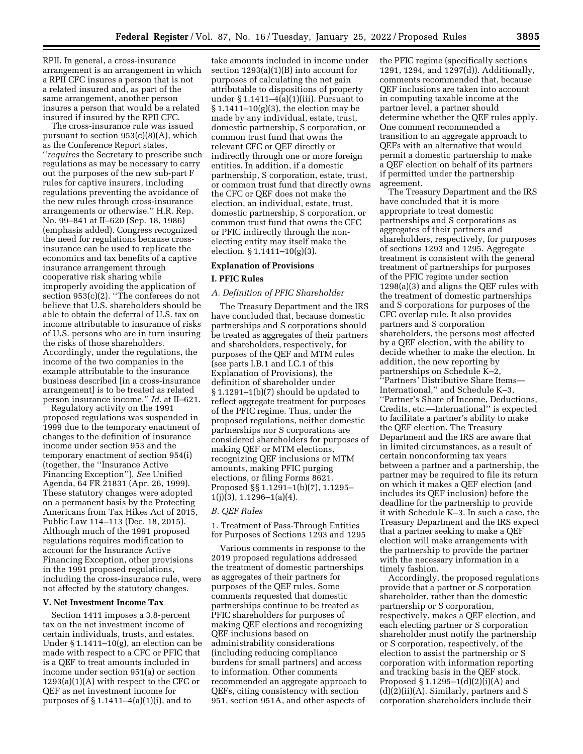RPII. In general, a cross-insurance arrangement is an arrangement in which a RPII CFC insures a person that is not a related insured and, as part of the same arrangement, another person insures a person that would be a related insured if insured by the RPII CFC.

The cross-insurance rule was issued pursuant to section  $953(c)(8)(A)$ , which as the Conference Report states, ''*requires* the Secretary to prescribe such regulations as may be necessary to carry out the purposes of the new sub-part F rules for captive insurers, including regulations preventing the avoidance of the new rules through cross-insurance arrangements or otherwise.'' H.R. Rep. No. 99–841 at II–620 (Sep. 18, 1986) (emphasis added). Congress recognized the need for regulations because crossinsurance can be used to replicate the economics and tax benefits of a captive insurance arrangement through cooperative risk sharing while improperly avoiding the application of section 953(c)(2). ''The conferees do not believe that U.S. shareholders should be able to obtain the deferral of U.S. tax on income attributable to insurance of risks of U.S. persons who are in turn insuring the risks of those shareholders. Accordingly, under the regulations, the income of the two companies in the example attributable to the insurance business described [in a cross-insurance arrangement] is to be treated as related person insurance income.'' *Id.* at II–621.

Regulatory activity on the 1991 proposed regulations was suspended in 1999 due to the temporary enactment of changes to the definition of insurance income under section 953 and the temporary enactment of section 954(i) (together, the ''Insurance Active Financing Exception''). *See* Unified Agenda, 64 FR 21831 (Apr. 26, 1999). These statutory changes were adopted on a permanent basis by the Protecting Americans from Tax Hikes Act of 2015, Public Law 114–113 (Dec. 18, 2015). Although much of the 1991 proposed regulations requires modification to account for the Insurance Active Financing Exception, other provisions in the 1991 proposed regulations, including the cross-insurance rule, were not affected by the statutory changes.

#### **V. Net Investment Income Tax**

Section 1411 imposes a 3.8-percent tax on the net investment income of certain individuals, trusts, and estates. Under § 1.1411–10(g), an election can be made with respect to a CFC or PFIC that is a QEF to treat amounts included in income under section 951(a) or section  $1293(a)(1)(A)$  with respect to the CFC or QEF as net investment income for purposes of  $\S 1.1411-4(a)(1)(i)$ , and to

take amounts included in income under section 1293(a)(1)(B) into account for purposes of calculating the net gain attributable to dispositions of property under  $\S 1.1411-4(a)(1)(iii)$ . Pursuant to § 1.1411–10(g)(3), the election may be made by any individual, estate, trust, domestic partnership, S corporation, or common trust fund that owns the relevant CFC or QEF directly or indirectly through one or more foreign entities. In addition, if a domestic partnership, S corporation, estate, trust, or common trust fund that directly owns the CFC or QEF does not make the election, an individual, estate, trust, domestic partnership, S corporation, or common trust fund that owns the CFC or PFIC indirectly through the nonelecting entity may itself make the election. § 1.1411–10(g)(3).

## **Explanation of Provisions**

#### **I. PFIC Rules**

#### *A. Definition of PFIC Shareholder*

The Treasury Department and the IRS have concluded that, because domestic partnerships and S corporations should be treated as aggregates of their partners and shareholders, respectively, for purposes of the QEF and MTM rules (see parts I.B.1 and I.C.1 of this Explanation of Provisions), the definition of shareholder under § 1.1291–1(b)(7) should be updated to reflect aggregate treatment for purposes of the PFIC regime. Thus, under the proposed regulations, neither domestic partnerships nor S corporations are considered shareholders for purposes of making QEF or MTM elections, recognizing QEF inclusions or MTM amounts, making PFIC purging elections, or filing Forms 8621. Proposed §§ 1.1291–1(b)(7), 1.1295–  $1(j)(3), 1.1296 - 1(a)(4).$ 

#### *B. QEF Rules*

1. Treatment of Pass-Through Entities for Purposes of Sections 1293 and 1295

Various comments in response to the 2019 proposed regulations addressed the treatment of domestic partnerships as aggregates of their partners for purposes of the QEF rules. Some comments requested that domestic partnerships continue to be treated as PFIC shareholders for purposes of making QEF elections and recognizing QEF inclusions based on administrability considerations (including reducing compliance burdens for small partners) and access to information. Other comments recommended an aggregate approach to QEFs, citing consistency with section 951, section 951A, and other aspects of

the PFIC regime (specifically sections 1291, 1294, and 1297(d)). Additionally, comments recommended that, because QEF inclusions are taken into account in computing taxable income at the partner level, a partner should determine whether the QEF rules apply. One comment recommended a transition to an aggregate approach to QEFs with an alternative that would permit a domestic partnership to make a QEF election on behalf of its partners if permitted under the partnership agreement.

The Treasury Department and the IRS have concluded that it is more appropriate to treat domestic partnerships and S corporations as aggregates of their partners and shareholders, respectively, for purposes of sections 1293 and 1295. Aggregate treatment is consistent with the general treatment of partnerships for purposes of the PFIC regime under section 1298(a)(3) and aligns the QEF rules with the treatment of domestic partnerships and S corporations for purposes of the CFC overlap rule. It also provides partners and S corporation shareholders, the persons most affected by a QEF election, with the ability to decide whether to make the election. In addition, the new reporting by partnerships on Schedule K–2, ''Partners' Distributive Share Items— International,'' and Schedule K–3, ''Partner's Share of Income, Deductions, Credits, etc.—International'' is expected to facilitate a partner's ability to make the QEF election. The Treasury Department and the IRS are aware that in limited circumstances, as a result of certain nonconforming tax years between a partner and a partnership, the partner may be required to file its return on which it makes a QEF election (and includes its QEF inclusion) before the deadline for the partnership to provide it with Schedule K–3. In such a case, the Treasury Department and the IRS expect that a partner seeking to make a QEF election will make arrangements with the partnership to provide the partner with the necessary information in a timely fashion.

Accordingly, the proposed regulations provide that a partner or S corporation shareholder, rather than the domestic partnership or S corporation, respectively, makes a QEF election, and each electing partner or S corporation shareholder must notify the partnership or S corporation, respectively, of the election to assist the partnership or S corporation with information reporting and tracking basis in the QEF stock. Proposed § 1.1295–1(d)(2)(i)(A) and (d)(2)(ii)(A). Similarly, partners and S corporation shareholders include their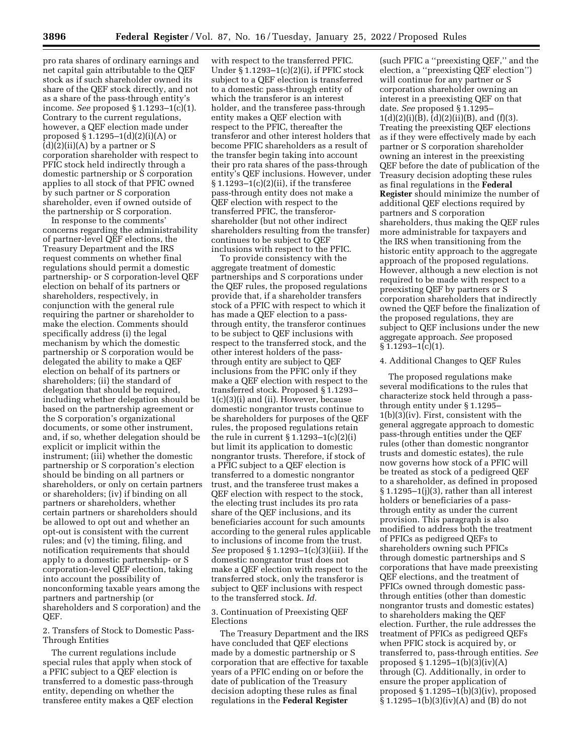pro rata shares of ordinary earnings and net capital gain attributable to the QEF stock as if such shareholder owned its share of the QEF stock directly, and not as a share of the pass-through entity's income. *See* proposed § 1.1293–1(c)(1). Contrary to the current regulations, however, a QEF election made under proposed § 1.1295–1(d)(2)(i)(A) or  $(d)(2)(ii)(A)$  by a partner or S corporation shareholder with respect to PFIC stock held indirectly through a domestic partnership or S corporation applies to all stock of that PFIC owned by such partner or S corporation shareholder, even if owned outside of the partnership or S corporation.

In response to the comments' concerns regarding the administrability of partner-level QEF elections, the Treasury Department and the IRS request comments on whether final regulations should permit a domestic partnership- or S corporation-level QEF election on behalf of its partners or shareholders, respectively, in conjunction with the general rule requiring the partner or shareholder to make the election. Comments should specifically address (i) the legal mechanism by which the domestic partnership or S corporation would be delegated the ability to make a QEF election on behalf of its partners or shareholders; (ii) the standard of delegation that should be required, including whether delegation should be based on the partnership agreement or the S corporation's organizational documents, or some other instrument, and, if so, whether delegation should be explicit or implicit within the instrument; (iii) whether the domestic partnership or S corporation's election should be binding on all partners or shareholders, or only on certain partners or shareholders; (iv) if binding on all partners or shareholders, whether certain partners or shareholders should be allowed to opt out and whether an opt-out is consistent with the current rules; and (v) the timing, filing, and notification requirements that should apply to a domestic partnership- or S corporation-level QEF election, taking into account the possibility of nonconforming taxable years among the partners and partnership (or shareholders and S corporation) and the QEF.

#### 2. Transfers of Stock to Domestic Pass-Through Entities

The current regulations include special rules that apply when stock of a PFIC subject to a QEF election is transferred to a domestic pass-through entity, depending on whether the transferee entity makes a QEF election

with respect to the transferred PFIC. Under § 1.1293–1(c)(2)(i), if PFIC stock subject to a QEF election is transferred to a domestic pass-through entity of which the transferor is an interest holder, and the transferee pass-through entity makes a QEF election with respect to the PFIC, thereafter the transferor and other interest holders that become PFIC shareholders as a result of the transfer begin taking into account their pro rata shares of the pass-through entity's QEF inclusions. However, under § 1.1293–1(c)(2)(ii), if the transferee pass-through entity does not make a QEF election with respect to the transferred PFIC, the transferorshareholder (but not other indirect shareholders resulting from the transfer) continues to be subject to QEF inclusions with respect to the PFIC.

To provide consistency with the aggregate treatment of domestic partnerships and S corporations under the QEF rules, the proposed regulations provide that, if a shareholder transfers stock of a PFIC with respect to which it has made a QEF election to a passthrough entity, the transferor continues to be subject to QEF inclusions with respect to the transferred stock, and the other interest holders of the passthrough entity are subject to QEF inclusions from the PFIC only if they make a QEF election with respect to the transferred stock. Proposed § 1.1293– 1(c)(3)(i) and (ii). However, because domestic nongrantor trusts continue to be shareholders for purposes of the QEF rules, the proposed regulations retain the rule in current  $\S 1.1293-1(c)(2)(i)$ but limit its application to domestic nongrantor trusts. Therefore, if stock of a PFIC subject to a QEF election is transferred to a domestic nongrantor trust, and the transferee trust makes a QEF election with respect to the stock, the electing trust includes its pro rata share of the QEF inclusions, and its beneficiaries account for such amounts according to the general rules applicable to inclusions of income from the trust. *See* proposed § 1.1293–1(c)(3)(iii). If the domestic nongrantor trust does not make a QEF election with respect to the transferred stock, only the transferor is subject to QEF inclusions with respect to the transferred stock. *Id.* 

3. Continuation of Preexisting QEF Elections

The Treasury Department and the IRS have concluded that QEF elections made by a domestic partnership or S corporation that are effective for taxable years of a PFIC ending on or before the date of publication of the Treasury decision adopting these rules as final regulations in the **Federal Register** 

(such PFIC a ''preexisting QEF,'' and the election, a ''preexisting QEF election'') will continue for any partner or S corporation shareholder owning an interest in a preexisting QEF on that date. *See* proposed § 1.1295–  $1(d)(2)(i)(B), (d)(2)(ii)(B), and (f)(3).$ Treating the preexisting QEF elections as if they were effectively made by each partner or S corporation shareholder owning an interest in the preexisting QEF before the date of publication of the Treasury decision adopting these rules as final regulations in the **Federal Register** should minimize the number of additional QEF elections required by partners and S corporation shareholders, thus making the QEF rules more administrable for taxpayers and the IRS when transitioning from the historic entity approach to the aggregate approach of the proposed regulations. However, although a new election is not required to be made with respect to a preexisting QEF by partners or S corporation shareholders that indirectly owned the QEF before the finalization of the proposed regulations, they are subject to QEF inclusions under the new aggregate approach. *See* proposed  $§ 1.1293 - 1(c)(1).$ 

#### 4. Additional Changes to QEF Rules

The proposed regulations make several modifications to the rules that characterize stock held through a passthrough entity under § 1.1295– 1(b)(3)(iv). First, consistent with the general aggregate approach to domestic pass-through entities under the QEF rules (other than domestic nongrantor trusts and domestic estates), the rule now governs how stock of a PFIC will be treated as stock of a pedigreed QEF to a shareholder, as defined in proposed § 1.1295–1(j)(3), rather than all interest holders or beneficiaries of a passthrough entity as under the current provision. This paragraph is also modified to address both the treatment of PFICs as pedigreed QEFs to shareholders owning such PFICs through domestic partnerships and S corporations that have made preexisting QEF elections, and the treatment of PFICs owned through domestic passthrough entities (other than domestic nongrantor trusts and domestic estates) to shareholders making the QEF election. Further, the rule addresses the treatment of PFICs as pedigreed QEFs when PFIC stock is acquired by, or transferred to, pass-through entities. *See*  proposed § 1.1295–1(b)(3)(iv)(A) through (C). Additionally, in order to ensure the proper application of proposed § 1.1295–1(b)(3)(iv), proposed § 1.1295–1(b)(3)(iv)(A) and (B) do not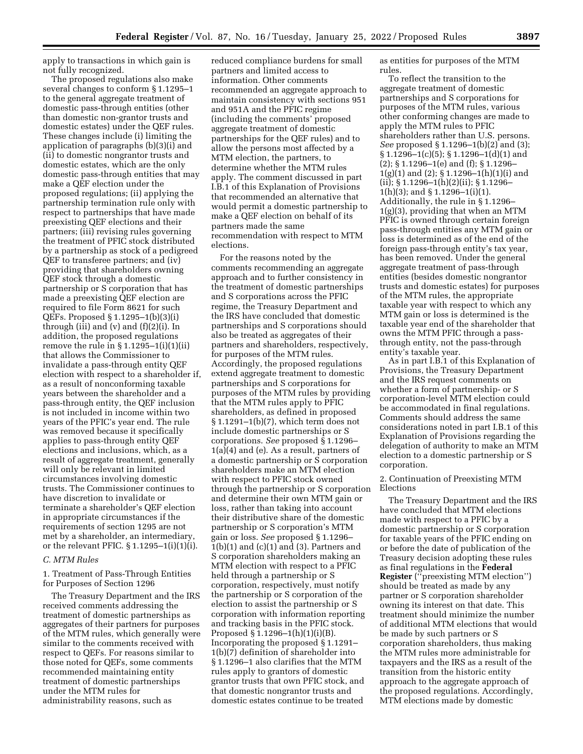apply to transactions in which gain is not fully recognized.

The proposed regulations also make several changes to conform § 1.1295–1 to the general aggregate treatment of domestic pass-through entities (other than domestic non-grantor trusts and domestic estates) under the QEF rules. These changes include (i) limiting the application of paragraphs (b)(3)(i) and (ii) to domestic nongrantor trusts and domestic estates, which are the only domestic pass-through entities that may make a QEF election under the proposed regulations; (ii) applying the partnership termination rule only with respect to partnerships that have made preexisting QEF elections and their partners; (iii) revising rules governing the treatment of PFIC stock distributed by a partnership as stock of a pedigreed QEF to transferee partners; and (iv) providing that shareholders owning QEF stock through a domestic partnership or S corporation that has made a preexisting QEF election are required to file Form 8621 for such QEFs. Proposed § 1.1295–1(b)(3)(i) through (iii) and  $(v)$  and  $(f)(2)(i)$ . In addition, the proposed regulations remove the rule in  $\S 1.1295-1(i)(1)(ii)$ that allows the Commissioner to invalidate a pass-through entity QEF election with respect to a shareholder if, as a result of nonconforming taxable years between the shareholder and a pass-through entity, the QEF inclusion is not included in income within two years of the PFIC's year end. The rule was removed because it specifically applies to pass-through entity QEF elections and inclusions, which, as a result of aggregate treatment, generally will only be relevant in limited circumstances involving domestic trusts. The Commissioner continues to have discretion to invalidate or terminate a shareholder's QEF election in appropriate circumstances if the requirements of section 1295 are not met by a shareholder, an intermediary, or the relevant PFIC. § 1.1295–1(i)(1)(i).

#### *C. MTM Rules*

1. Treatment of Pass-Through Entities for Purposes of Section 1296

The Treasury Department and the IRS received comments addressing the treatment of domestic partnerships as aggregates of their partners for purposes of the MTM rules, which generally were similar to the comments received with respect to QEFs. For reasons similar to those noted for QEFs, some comments recommended maintaining entity treatment of domestic partnerships under the MTM rules for administrability reasons, such as

reduced compliance burdens for small partners and limited access to information. Other comments recommended an aggregate approach to maintain consistency with sections 951 and 951A and the PFIC regime (including the comments' proposed aggregate treatment of domestic partnerships for the QEF rules) and to allow the persons most affected by a MTM election, the partners, to determine whether the MTM rules apply. The comment discussed in part I.B.1 of this Explanation of Provisions that recommended an alternative that would permit a domestic partnership to make a QEF election on behalf of its partners made the same recommendation with respect to MTM elections.

For the reasons noted by the comments recommending an aggregate approach and to further consistency in the treatment of domestic partnerships and S corporations across the PFIC regime, the Treasury Department and the IRS have concluded that domestic partnerships and S corporations should also be treated as aggregates of their partners and shareholders, respectively, for purposes of the MTM rules. Accordingly, the proposed regulations extend aggregate treatment to domestic partnerships and S corporations for purposes of the MTM rules by providing that the MTM rules apply to PFIC shareholders, as defined in proposed § 1.1291–1(b)(7), which term does not include domestic partnerships or S corporations. *See* proposed § 1.1296– 1(a)(4) and (e). As a result, partners of a domestic partnership or S corporation shareholders make an MTM election with respect to PFIC stock owned through the partnership or S corporation and determine their own MTM gain or loss, rather than taking into account their distributive share of the domestic partnership or S corporation's MTM gain or loss. *See* proposed § 1.1296–  $1(b)(1)$  and  $(c)(1)$  and  $(3)$ . Partners and S corporation shareholders making an MTM election with respect to a PFIC held through a partnership or S corporation, respectively, must notify the partnership or S corporation of the election to assist the partnership or S corporation with information reporting and tracking basis in the PFIC stock. Proposed § 1.1296–1(h)(1)(i)(B). Incorporating the proposed § 1.1291– 1(b)(7) definition of shareholder into § 1.1296–1 also clarifies that the MTM rules apply to grantors of domestic grantor trusts that own PFIC stock, and that domestic nongrantor trusts and domestic estates continue to be treated

as entities for purposes of the MTM rules.

To reflect the transition to the aggregate treatment of domestic partnerships and S corporations for purposes of the MTM rules, various other conforming changes are made to apply the MTM rules to PFIC shareholders rather than U.S. persons. *See* proposed § 1.1296–1(b)(2) and (3); § 1.1296–1(c)(5); § 1.1296–1(d)(1) and (2); § 1.1296–1(e) and (f); § 1.1296–  $1(g)(1)$  and  $(2)$ ; § 1.1296–1(h)(1)(i) and (ii); § 1.1296–1(h)(2)(ii); § 1.1296– 1(h)(3); and § 1.1296–1(i)(1). Additionally, the rule in § 1.1296– 1(g)(3), providing that when an MTM PFIC is owned through certain foreign pass-through entities any MTM gain or loss is determined as of the end of the foreign pass-through entity's tax year, has been removed. Under the general aggregate treatment of pass-through entities (besides domestic nongrantor trusts and domestic estates) for purposes of the MTM rules, the appropriate taxable year with respect to which any MTM gain or loss is determined is the taxable year end of the shareholder that owns the MTM PFIC through a passthrough entity, not the pass-through entity's taxable year.

As in part I.B.1 of this Explanation of Provisions, the Treasury Department and the IRS request comments on whether a form of partnership- or S corporation-level MTM election could be accommodated in final regulations. Comments should address the same considerations noted in part I.B.1 of this Explanation of Provisions regarding the delegation of authority to make an MTM election to a domestic partnership or S corporation.

#### 2. Continuation of Preexisting MTM Elections

The Treasury Department and the IRS have concluded that MTM elections made with respect to a PFIC by a domestic partnership or S corporation for taxable years of the PFIC ending on or before the date of publication of the Treasury decision adopting these rules as final regulations in the **Federal Register** (''preexisting MTM election'') should be treated as made by any partner or S corporation shareholder owning its interest on that date. This treatment should minimize the number of additional MTM elections that would be made by such partners or S corporation shareholders, thus making the MTM rules more administrable for taxpayers and the IRS as a result of the transition from the historic entity approach to the aggregate approach of the proposed regulations. Accordingly, MTM elections made by domestic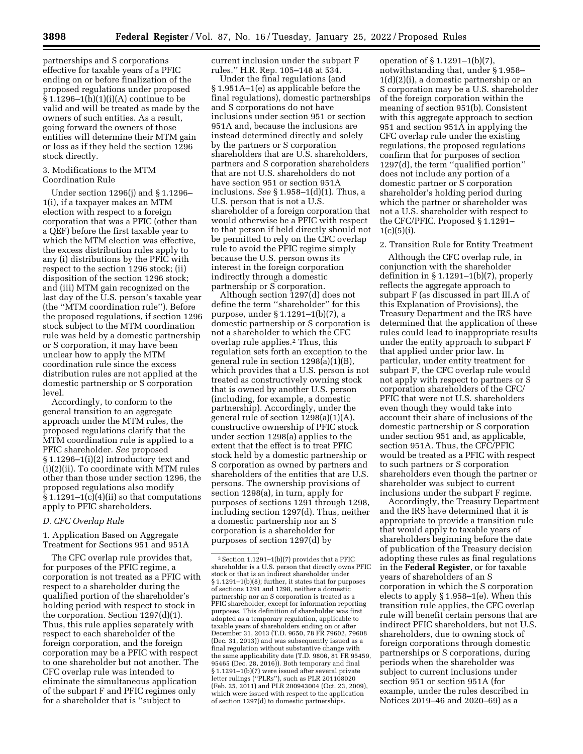partnerships and S corporations effective for taxable years of a PFIC ending on or before finalization of the proposed regulations under proposed § 1.1296–1(h)(1)(i)(A) continue to be valid and will be treated as made by the owners of such entities. As a result, going forward the owners of those entities will determine their MTM gain or loss as if they held the section 1296 stock directly.

## 3. Modifications to the MTM Coordination Rule

Under section 1296(j) and § 1.1296– 1(i), if a taxpayer makes an MTM election with respect to a foreign corporation that was a PFIC (other than a QEF) before the first taxable year to which the MTM election was effective, the excess distribution rules apply to any (i) distributions by the PFIC with respect to the section 1296 stock; (ii) disposition of the section 1296 stock; and (iii) MTM gain recognized on the last day of the U.S. person's taxable year (the ''MTM coordination rule''). Before the proposed regulations, if section 1296 stock subject to the MTM coordination rule was held by a domestic partnership or S corporation, it may have been unclear how to apply the MTM coordination rule since the excess distribution rules are not applied at the domestic partnership or S corporation level.

Accordingly, to conform to the general transition to an aggregate approach under the MTM rules, the proposed regulations clarify that the MTM coordination rule is applied to a PFIC shareholder. *See* proposed § 1.1296–1(i)(2) introductory text and (i)(2)(ii). To coordinate with MTM rules other than those under section 1296, the proposed regulations also modify  $§ 1.1291-1(c)(4)(ii)$  so that computations apply to PFIC shareholders.

#### *D. CFC Overlap Rule*

1. Application Based on Aggregate Treatment for Sections 951 and 951A

The CFC overlap rule provides that, for purposes of the PFIC regime, a corporation is not treated as a PFIC with respect to a shareholder during the qualified portion of the shareholder's holding period with respect to stock in the corporation. Section 1297(d)(1). Thus, this rule applies separately with respect to each shareholder of the foreign corporation, and the foreign corporation may be a PFIC with respect to one shareholder but not another. The CFC overlap rule was intended to eliminate the simultaneous application of the subpart F and PFIC regimes only for a shareholder that is ''subject to

current inclusion under the subpart F rules.'' H.R. Rep. 105–148 at 534.

Under the final regulations (and § 1.951A–1(e) as applicable before the final regulations), domestic partnerships and S corporations do not have inclusions under section 951 or section 951A and, because the inclusions are instead determined directly and solely by the partners or S corporation shareholders that are U.S. shareholders, partners and S corporation shareholders that are not U.S. shareholders do not have section 951 or section 951A inclusions. *See* § 1.958–1(d)(1). Thus, a U.S. person that is not a U.S. shareholder of a foreign corporation that would otherwise be a PFIC with respect to that person if held directly should not be permitted to rely on the CFC overlap rule to avoid the PFIC regime simply because the U.S. person owns its interest in the foreign corporation indirectly through a domestic partnership or S corporation.

Although section 1297(d) does not define the term ''shareholder'' for this purpose, under § 1.1291–1(b)(7), a domestic partnership or S corporation is not a shareholder to which the CFC overlap rule applies.2 Thus, this regulation sets forth an exception to the general rule in section 1298(a)(1)(B), which provides that a U.S. person is not treated as constructively owning stock that is owned by another U.S. person (including, for example, a domestic partnership). Accordingly, under the general rule of section 1298(a)(1)(A), constructive ownership of PFIC stock under section 1298(a) applies to the extent that the effect is to treat PFIC stock held by a domestic partnership or S corporation as owned by partners and shareholders of the entities that are U.S. persons. The ownership provisions of section 1298(a), in turn, apply for purposes of sections 1291 through 1298, including section 1297(d). Thus, neither a domestic partnership nor an S corporation is a shareholder for purposes of section 1297(d) by

operation of § 1.1291–1(b)(7), notwithstanding that, under § 1.958– 1(d)(2)(i), a domestic partnership or an S corporation may be a U.S. shareholder of the foreign corporation within the meaning of section 951(b). Consistent with this aggregate approach to section 951 and section 951A in applying the CFC overlap rule under the existing regulations, the proposed regulations confirm that for purposes of section 1297(d), the term ''qualified portion'' does not include any portion of a domestic partner or S corporation shareholder's holding period during which the partner or shareholder was not a U.S. shareholder with respect to the CFC/PFIC. Proposed § 1.1291–  $1(c)(5)(i)$ .

#### 2. Transition Rule for Entity Treatment

Although the CFC overlap rule, in conjunction with the shareholder definition in § 1.1291–1(b)(7), properly reflects the aggregate approach to subpart F (as discussed in part III.A of this Explanation of Provisions), the Treasury Department and the IRS have determined that the application of these rules could lead to inappropriate results under the entity approach to subpart F that applied under prior law. In particular, under entity treatment for subpart F, the CFC overlap rule would not apply with respect to partners or S corporation shareholders of the CFC/ PFIC that were not U.S. shareholders even though they would take into account their share of inclusions of the domestic partnership or S corporation under section 951 and, as applicable, section 951A. Thus, the CFC/PFIC would be treated as a PFIC with respect to such partners or S corporation shareholders even though the partner or shareholder was subject to current inclusions under the subpart F regime.

Accordingly, the Treasury Department and the IRS have determined that it is appropriate to provide a transition rule that would apply to taxable years of shareholders beginning before the date of publication of the Treasury decision adopting these rules as final regulations in the **Federal Register**, or for taxable years of shareholders of an S corporation in which the S corporation elects to apply § 1.958–1(e). When this transition rule applies, the CFC overlap rule will benefit certain persons that are indirect PFIC shareholders, but not U.S. shareholders, due to owning stock of foreign corporations through domestic partnerships or S corporations, during periods when the shareholder was subject to current inclusions under section 951 or section 951A (for example, under the rules described in Notices 2019–46 and 2020–69) as a

<sup>2</sup>Section 1.1291–1(b)(7) provides that a PFIC shareholder is a U.S. person that directly owns PFIC stock or that is an indirect shareholder under § 1.1291–1(b)(8); further, it states that for purposes of sections 1291 and 1298, neither a domestic partnership nor an S corporation is treated as a PFIC shareholder, except for information reporting purposes. This definition of shareholder was first adopted as a temporary regulation, applicable to taxable years of shareholders ending on or after December 31, 2013 (T.D. 9650, 78 FR 79602, 79608 (Dec. 31, 2013)) and was subsequently issued as a final regulation without substantive change with the same applicability date (T.D. 9806, 81 FR 95459, 95465 (Dec. 28, 2016)). Both temporary and final § 1.1291–1(b)(7) were issued after several private letter rulings (''PLRs''), such as PLR 201108020 (Feb. 25, 2011) and PLR 200943004 (Oct. 23, 2009), which were issued with respect to the application of section 1297(d) to domestic partnerships.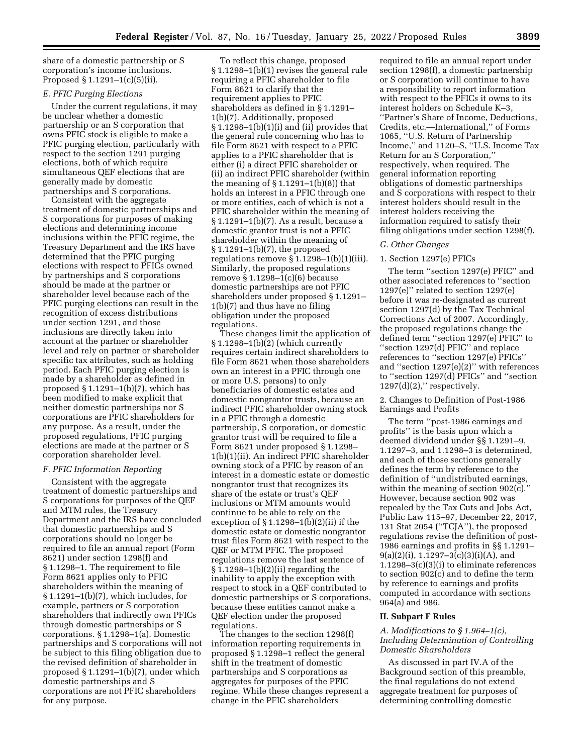share of a domestic partnership or S corporation's income inclusions. Proposed § 1.1291–1(c)(5)(ii).

## *E. PFIC Purging Elections*

Under the current regulations, it may be unclear whether a domestic partnership or an S corporation that owns PFIC stock is eligible to make a PFIC purging election, particularly with respect to the section 1291 purging elections, both of which require simultaneous QEF elections that are generally made by domestic partnerships and S corporations.

Consistent with the aggregate treatment of domestic partnerships and S corporations for purposes of making elections and determining income inclusions within the PFIC regime, the Treasury Department and the IRS have determined that the PFIC purging elections with respect to PFICs owned by partnerships and S corporations should be made at the partner or shareholder level because each of the PFIC purging elections can result in the recognition of excess distributions under section 1291, and those inclusions are directly taken into account at the partner or shareholder level and rely on partner or shareholder specific tax attributes, such as holding period. Each PFIC purging election is made by a shareholder as defined in proposed  $\S 1.1291-1(b)(7)$ , which has been modified to make explicit that neither domestic partnerships nor S corporations are PFIC shareholders for any purpose. As a result, under the proposed regulations, PFIC purging elections are made at the partner or S corporation shareholder level.

## *F. PFIC Information Reporting*

Consistent with the aggregate treatment of domestic partnerships and S corporations for purposes of the QEF and MTM rules, the Treasury Department and the IRS have concluded that domestic partnerships and S corporations should no longer be required to file an annual report (Form 8621) under section 1298(f) and § 1.1298–1. The requirement to file Form 8621 applies only to PFIC shareholders within the meaning of § 1.1291–1(b)(7), which includes, for example, partners or S corporation shareholders that indirectly own PFICs through domestic partnerships or S corporations. § 1.1298–1(a). Domestic partnerships and S corporations will not be subject to this filing obligation due to the revised definition of shareholder in proposed § 1.1291–1(b)(7), under which domestic partnerships and S corporations are not PFIC shareholders for any purpose.

To reflect this change, proposed § 1.1298–1(b)(1) revises the general rule requiring a PFIC shareholder to file Form 8621 to clarify that the requirement applies to PFIC shareholders as defined in § 1.1291– 1(b)(7). Additionally, proposed § 1.1298–1(b)(1)(i) and (ii) provides that the general rule concerning who has to file Form 8621 with respect to a PFIC applies to a PFIC shareholder that is either (i) a direct PFIC shareholder or (ii) an indirect PFIC shareholder (within the meaning of  $\S 1.1291-1(b)(8)$  that holds an interest in a PFIC through one or more entities, each of which is not a PFIC shareholder within the meaning of § 1.1291–1(b)(7). As a result, because a domestic grantor trust is not a PFIC shareholder within the meaning of § 1.1291–1(b)(7), the proposed regulations remove § 1.1298–1(b)(1)(iii). Similarly, the proposed regulations remove § 1.1298–1(c)(6) because domestic partnerships are not PFIC shareholders under proposed § 1.1291– 1(b)(7) and thus have no filing obligation under the proposed regulations.

These changes limit the application of § 1.1298–1(b)(2) (which currently requires certain indirect shareholders to file Form 8621 when those shareholders own an interest in a PFIC through one or more U.S. persons) to only beneficiaries of domestic estates and domestic nongrantor trusts, because an indirect PFIC shareholder owning stock in a PFIC through a domestic partnership, S corporation, or domestic grantor trust will be required to file a Form 8621 under proposed § 1.1298– 1(b)(1)(ii). An indirect PFIC shareholder owning stock of a PFIC by reason of an interest in a domestic estate or domestic nongrantor trust that recognizes its share of the estate or trust's QEF inclusions or MTM amounts would continue to be able to rely on the exception of  $\S 1.1298-1(b)(2)(ii)$  if the domestic estate or domestic nongrantor trust files Form 8621 with respect to the QEF or MTM PFIC. The proposed regulations remove the last sentence of § 1.1298–1(b)(2)(ii) regarding the inability to apply the exception with respect to stock in a QEF contributed to domestic partnerships or S corporations, because these entities cannot make a QEF election under the proposed regulations.

The changes to the section 1298(f) information reporting requirements in proposed § 1.1298–1 reflect the general shift in the treatment of domestic partnerships and S corporations as aggregates for purposes of the PFIC regime. While these changes represent a change in the PFIC shareholders

required to file an annual report under section 1298(f), a domestic partnership or S corporation will continue to have a responsibility to report information with respect to the PFICs it owns to its interest holders on Schedule K–3, ''Partner's Share of Income, Deductions, Credits, etc.—International,'' of Forms 1065, ''U.S. Return of Partnership Income,'' and 1120–S, ''U.S. Income Tax Return for an S Corporation,'' respectively, when required. The general information reporting obligations of domestic partnerships and S corporations with respect to their interest holders should result in the interest holders receiving the information required to satisfy their filing obligations under section 1298(f).

#### *G. Other Changes*

#### 1. Section 1297(e) PFICs

The term ''section 1297(e) PFIC'' and other associated references to ''section 1297(e)'' related to section 1297(e) before it was re-designated as current section 1297(d) by the Tax Technical Corrections Act of 2007. Accordingly, the proposed regulations change the defined term ''section 1297(e) PFIC'' to ''section 1297(d) PFIC'' and replace references to ''section 1297(e) PFICs'' and ''section 1297(e)(2)'' with references to ''section 1297(d) PFICs'' and ''section  $1297(d)(2)$ ," respectively.

2. Changes to Definition of Post-1986 Earnings and Profits

The term ''post-1986 earnings and profits'' is the basis upon which a deemed dividend under §§ 1.1291–9, 1.1297–3, and 1.1298–3 is determined, and each of those sections generally defines the term by reference to the definition of ''undistributed earnings, within the meaning of section 902(c)." However, because section 902 was repealed by the Tax Cuts and Jobs Act, Public Law 115–97, December 22, 2017, 131 Stat 2054 (''TCJA''), the proposed regulations revise the definition of post-1986 earnings and profits in §§ 1.1291–  $9(a)(2)(i)$ , 1.1297–3(c)(3)(i)(A), and 1.1298–3(c)(3)(i) to eliminate references to section 902(c) and to define the term by reference to earnings and profits computed in accordance with sections 964(a) and 986.

#### **II. Subpart F Rules**

## *A. Modifications to § 1.964–1(c), Including Determination of Controlling Domestic Shareholders*

As discussed in part IV.A of the Background section of this preamble, the final regulations do not extend aggregate treatment for purposes of determining controlling domestic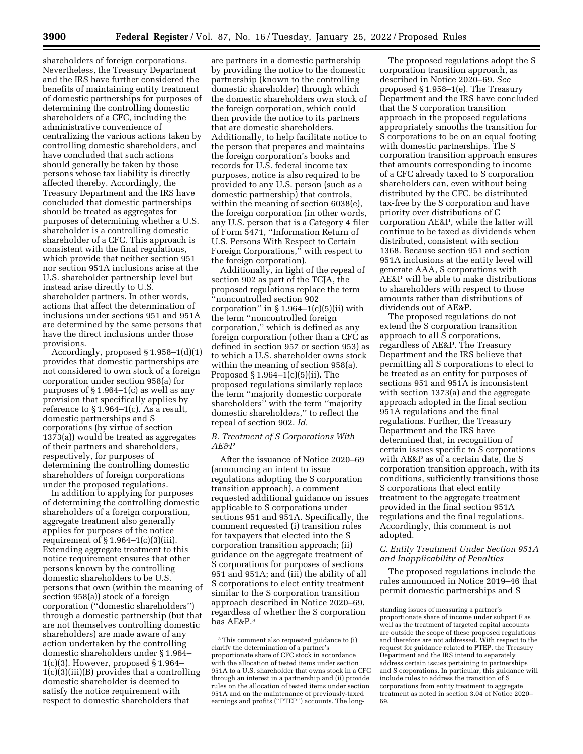shareholders of foreign corporations. Nevertheless, the Treasury Department and the IRS have further considered the benefits of maintaining entity treatment of domestic partnerships for purposes of determining the controlling domestic shareholders of a CFC, including the administrative convenience of centralizing the various actions taken by controlling domestic shareholders, and have concluded that such actions should generally be taken by those persons whose tax liability is directly affected thereby. Accordingly, the Treasury Department and the IRS have concluded that domestic partnerships should be treated as aggregates for purposes of determining whether a U.S. shareholder is a controlling domestic shareholder of a CFC. This approach is consistent with the final regulations, which provide that neither section 951 nor section 951A inclusions arise at the U.S. shareholder partnership level but instead arise directly to U.S. shareholder partners. In other words, actions that affect the determination of inclusions under sections 951 and 951A are determined by the same persons that have the direct inclusions under those provisions.

Accordingly, proposed § 1.958–1(d)(1) provides that domestic partnerships are not considered to own stock of a foreign corporation under section 958(a) for purposes of § 1.964–1(c) as well as any provision that specifically applies by reference to  $\S 1.964-1(c)$ . As a result, domestic partnerships and S corporations (by virtue of section 1373(a)) would be treated as aggregates of their partners and shareholders, respectively, for purposes of determining the controlling domestic shareholders of foreign corporations under the proposed regulations.

In addition to applying for purposes of determining the controlling domestic shareholders of a foreign corporation, aggregate treatment also generally applies for purposes of the notice requirement of  $\S 1.964-1(c)(3)(iii)$ . Extending aggregate treatment to this notice requirement ensures that other persons known by the controlling domestic shareholders to be U.S. persons that own (within the meaning of section 958(a)) stock of a foreign corporation (''domestic shareholders'') through a domestic partnership (but that are not themselves controlling domestic shareholders) are made aware of any action undertaken by the controlling domestic shareholders under § 1.964–  $1(c)(3)$ . However, proposed § 1.964– 1(c)(3)(iii)(B) provides that a controlling domestic shareholder is deemed to satisfy the notice requirement with respect to domestic shareholders that

are partners in a domestic partnership by providing the notice to the domestic partnership (known to the controlling domestic shareholder) through which the domestic shareholders own stock of the foreign corporation, which could then provide the notice to its partners that are domestic shareholders. Additionally, to help facilitate notice to the person that prepares and maintains the foreign corporation's books and records for U.S. federal income tax purposes, notice is also required to be provided to any U.S. person (such as a domestic partnership) that controls, within the meaning of section 6038(e), the foreign corporation (in other words, any U.S. person that is a Category 4 filer of Form 5471, ''Information Return of U.S. Persons With Respect to Certain Foreign Corporations,'' with respect to the foreign corporation).

Additionally, in light of the repeal of section 902 as part of the TCJA, the proposed regulations replace the term ''noncontrolled section 902 corporation" in  $\S 1.964-1(c)(5)(ii)$  with the term ''noncontrolled foreign corporation,'' which is defined as any foreign corporation (other than a CFC as defined in section 957 or section 953) as to which a U.S. shareholder owns stock within the meaning of section 958(a). Proposed § 1.964–1(c)(5)(ii). The proposed regulations similarly replace the term ''majority domestic corporate shareholders'' with the term ''majority domestic shareholders,'' to reflect the repeal of section 902. *Id.* 

## *B. Treatment of S Corporations With AE&P*

After the issuance of Notice 2020–69 (announcing an intent to issue regulations adopting the S corporation transition approach), a comment requested additional guidance on issues applicable to S corporations under sections 951 and 951A. Specifically, the comment requested (i) transition rules for taxpayers that elected into the S corporation transition approach; (ii) guidance on the aggregate treatment of S corporations for purposes of sections 951 and 951A; and (iii) the ability of all S corporations to elect entity treatment similar to the S corporation transition approach described in Notice 2020–69, regardless of whether the S corporation has AE&P.3

The proposed regulations adopt the S corporation transition approach, as described in Notice 2020–69. *See*  proposed § 1.958–1(e). The Treasury Department and the IRS have concluded that the S corporation transition approach in the proposed regulations appropriately smooths the transition for S corporations to be on an equal footing with domestic partnerships. The S corporation transition approach ensures that amounts corresponding to income of a CFC already taxed to S corporation shareholders can, even without being distributed by the CFC, be distributed tax-free by the S corporation and have priority over distributions of C corporation AE&P, while the latter will continue to be taxed as dividends when distributed, consistent with section 1368. Because section 951 and section 951A inclusions at the entity level will generate AAA, S corporations with AE&P will be able to make distributions to shareholders with respect to those amounts rather than distributions of dividends out of AE&P.

The proposed regulations do not extend the S corporation transition approach to all S corporations, regardless of AE&P. The Treasury Department and the IRS believe that permitting all S corporations to elect to be treated as an entity for purposes of sections 951 and 951A is inconsistent with section 1373(a) and the aggregate approach adopted in the final section 951A regulations and the final regulations. Further, the Treasury Department and the IRS have determined that, in recognition of certain issues specific to S corporations with AE&P as of a certain date, the S corporation transition approach, with its conditions, sufficiently transitions those S corporations that elect entity treatment to the aggregate treatment provided in the final section 951A regulations and the final regulations. Accordingly, this comment is not adopted.

## *C. Entity Treatment Under Section 951A and Inapplicability of Penalties*

The proposed regulations include the rules announced in Notice 2019–46 that permit domestic partnerships and S

<sup>3</sup>This comment also requested guidance to (i) clarify the determination of a partner's proportionate share of CFC stock in accordance with the allocation of tested items under section 951A to a U.S. shareholder that owns stock in a CFC through an interest in a partnership and (ii) provide rules on the allocation of tested items under section 951A and on the maintenance of previously-taxed earnings and profits (''PTEP'') accounts. The long-

standing issues of measuring a partner's proportionate share of income under subpart F as well as the treatment of targeted capital accounts are outside the scope of these proposed regulations and therefore are not addressed. With respect to the request for guidance related to PTEP, the Treasury Department and the IRS intend to separately address certain issues pertaining to partnerships and S corporations. In particular, this guidance will include rules to address the transition of S corporations from entity treatment to aggregate treatment as noted in section 3.04 of Notice 2020– 69.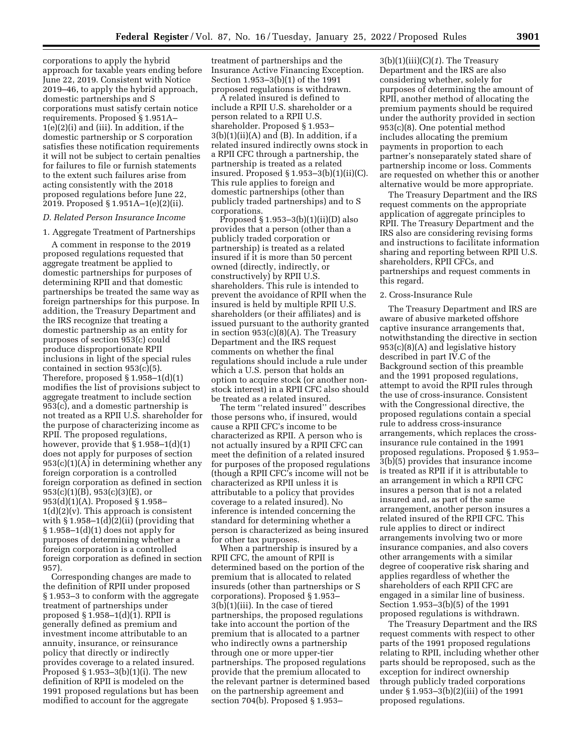corporations to apply the hybrid approach for taxable years ending before June 22, 2019. Consistent with Notice 2019–46, to apply the hybrid approach, domestic partnerships and S corporations must satisfy certain notice requirements. Proposed § 1.951A– 1(e)(2)(i) and (iii). In addition, if the domestic partnership or S corporation satisfies these notification requirements it will not be subject to certain penalties for failures to file or furnish statements to the extent such failures arise from acting consistently with the 2018 proposed regulations before June 22, 2019. Proposed § 1.951A–1(e)(2)(ii).

#### *D. Related Person Insurance Income*

1. Aggregate Treatment of Partnerships

A comment in response to the 2019 proposed regulations requested that aggregate treatment be applied to domestic partnerships for purposes of determining RPII and that domestic partnerships be treated the same way as foreign partnerships for this purpose. In addition, the Treasury Department and the IRS recognize that treating a domestic partnership as an entity for purposes of section 953(c) could produce disproportionate RPII inclusions in light of the special rules contained in section 953(c)(5). Therefore, proposed  $\S 1.958-1(d)(1)$ modifies the list of provisions subject to aggregate treatment to include section 953(c), and a domestic partnership is not treated as a RPII U.S. shareholder for the purpose of characterizing income as RPII. The proposed regulations, however, provide that  $\S 1.958-1(d)(1)$ does not apply for purposes of section 953(c)(1)(A) in determining whether any foreign corporation is a controlled foreign corporation as defined in section 953(c)(1)(B), 953(c)(3)(E), or 953(d)(1)(A). Proposed § 1.958–  $1(d)(2)(v)$ . This approach is consistent with  $\S 1.958-1(d)(2)(ii)$  (providing that  $§ 1.958-1(d)(1)$  does not apply for purposes of determining whether a foreign corporation is a controlled foreign corporation as defined in section 957).

Corresponding changes are made to the definition of RPII under proposed § 1.953–3 to conform with the aggregate treatment of partnerships under proposed § 1.958–1(d)(1). RPII is generally defined as premium and investment income attributable to an annuity, insurance, or reinsurance policy that directly or indirectly provides coverage to a related insured. Proposed  $\S 1.953-3(b)(1)(i)$ . The new definition of RPII is modeled on the 1991 proposed regulations but has been modified to account for the aggregate

treatment of partnerships and the Insurance Active Financing Exception. Section 1.953–3(b)(1) of the 1991 proposed regulations is withdrawn.

A related insured is defined to include a RPII U.S. shareholder or a person related to a RPII U.S. shareholder. Proposed § 1.953–  $3(b)(1)(ii)(A)$  and  $(B)$ . In addition, if a related insured indirectly owns stock in a RPII CFC through a partnership, the partnership is treated as a related insured. Proposed § 1.953–3(b)(1)(ii)(C). This rule applies to foreign and domestic partnerships (other than publicly traded partnerships) and to S corporations.

Proposed  $\S 1.953-3(b)(1)(ii)(D)$  also provides that a person (other than a publicly traded corporation or partnership) is treated as a related insured if it is more than 50 percent owned (directly, indirectly, or constructively) by RPII U.S. shareholders. This rule is intended to prevent the avoidance of RPII when the insured is held by multiple RPII U.S. shareholders (or their affiliates) and is issued pursuant to the authority granted in section 953(c)(8)(A). The Treasury Department and the IRS request comments on whether the final regulations should include a rule under which a U.S. person that holds an option to acquire stock (or another nonstock interest) in a RPII CFC also should be treated as a related insured.

The term ''related insured'' describes those persons who, if insured, would cause a RPII CFC's income to be characterized as RPII. A person who is not actually insured by a RPII CFC can meet the definition of a related insured for purposes of the proposed regulations (though a RPII CFC's income will not be characterized as RPII unless it is attributable to a policy that provides coverage to a related insured). No inference is intended concerning the standard for determining whether a person is characterized as being insured for other tax purposes.

When a partnership is insured by a RPII CFC, the amount of RPII is determined based on the portion of the premium that is allocated to related insureds (other than partnerships or S corporations). Proposed § 1.953– 3(b)(1)(iii). In the case of tiered partnerships, the proposed regulations take into account the portion of the premium that is allocated to a partner who indirectly owns a partnership through one or more upper-tier partnerships. The proposed regulations provide that the premium allocated to the relevant partner is determined based on the partnership agreement and section 704(b). Proposed § 1.953–

3(b)(1)(iii)(C)(*1*). The Treasury Department and the IRS are also considering whether, solely for purposes of determining the amount of RPII, another method of allocating the premium payments should be required under the authority provided in section 953(c)(8). One potential method includes allocating the premium payments in proportion to each partner's nonseparately stated share of partnership income or loss. Comments are requested on whether this or another alternative would be more appropriate.

The Treasury Department and the IRS request comments on the appropriate application of aggregate principles to RPII. The Treasury Department and the IRS also are considering revising forms and instructions to facilitate information sharing and reporting between RPII U.S. shareholders, RPII CFCs, and partnerships and request comments in this regard.

#### 2. Cross-Insurance Rule

The Treasury Department and IRS are aware of abusive marketed offshore captive insurance arrangements that, notwithstanding the directive in section 953(c)(8)(A) and legislative history described in part IV.C of the Background section of this preamble and the 1991 proposed regulations, attempt to avoid the RPII rules through the use of cross-insurance. Consistent with the Congressional directive, the proposed regulations contain a special rule to address cross-insurance arrangements, which replaces the crossinsurance rule contained in the 1991 proposed regulations. Proposed § 1.953– 3(b)(5) provides that insurance income is treated as RPII if it is attributable to an arrangement in which a RPII CFC insures a person that is not a related insured and, as part of the same arrangement, another person insures a related insured of the RPII CFC. This rule applies to direct or indirect arrangements involving two or more insurance companies, and also covers other arrangements with a similar degree of cooperative risk sharing and applies regardless of whether the shareholders of each RPII CFC are engaged in a similar line of business. Section 1.953–3(b)(5) of the 1991 proposed regulations is withdrawn.

The Treasury Department and the IRS request comments with respect to other parts of the 1991 proposed regulations relating to RPII, including whether other parts should be reproposed, such as the exception for indirect ownership through publicly traded corporations under § 1.953–3(b)(2)(iii) of the 1991 proposed regulations.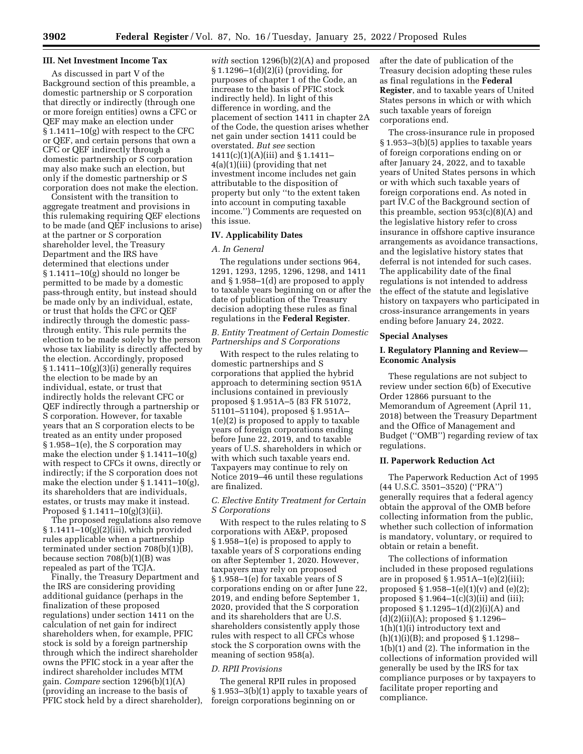## **III. Net Investment Income Tax**

As discussed in part V of the Background section of this preamble, a domestic partnership or S corporation that directly or indirectly (through one or more foreign entities) owns a CFC or QEF may make an election under § 1.1411–10(g) with respect to the CFC or QEF, and certain persons that own a CFC or QEF indirectly through a domestic partnership or S corporation may also make such an election, but only if the domestic partnership or S corporation does not make the election.

Consistent with the transition to aggregate treatment and provisions in this rulemaking requiring QEF elections to be made (and QEF inclusions to arise) at the partner or S corporation shareholder level, the Treasury Department and the IRS have determined that elections under § 1.1411–10(g) should no longer be permitted to be made by a domestic pass-through entity, but instead should be made only by an individual, estate, or trust that holds the CFC or QEF indirectly through the domestic passthrough entity. This rule permits the election to be made solely by the person whose tax liability is directly affected by the election. Accordingly, proposed  $§ 1.1411-10(g)(3)(i)$  generally requires the election to be made by an individual, estate, or trust that indirectly holds the relevant CFC or QEF indirectly through a partnership or S corporation. However, for taxable years that an S corporation elects to be treated as an entity under proposed § 1.958–1(e), the S corporation may make the election under § 1.1411–10(g) with respect to CFCs it owns, directly or indirectly; if the S corporation does not make the election under § 1.1411–10(g), its shareholders that are individuals, estates, or trusts may make it instead. Proposed § 1.1411–10(g)(3)(ii).

The proposed regulations also remove § 1.1411–10(g)(2)(iii), which provided rules applicable when a partnership terminated under section 708(b)(1)(B), because section 708(b)(1)(B) was repealed as part of the TCJA.

Finally, the Treasury Department and the IRS are considering providing additional guidance (perhaps in the finalization of these proposed regulations) under section 1411 on the calculation of net gain for indirect shareholders when, for example, PFIC stock is sold by a foreign partnership through which the indirect shareholder owns the PFIC stock in a year after the indirect shareholder includes MTM gain. *Compare* section 1296(b)(1)(A) (providing an increase to the basis of PFIC stock held by a direct shareholder),

*with* section 1296(b)(2)(A) and proposed § 1.1296–1(d)(2)(i) (providing, for purposes of chapter 1 of the Code, an increase to the basis of PFIC stock indirectly held). In light of this difference in wording, and the placement of section 1411 in chapter 2A of the Code, the question arises whether net gain under section 1411 could be overstated. *But see* section 1411(c)(1)(A)(iii) and § 1.1411– 4(a)(1)(iii) (providing that net investment income includes net gain attributable to the disposition of property but only ''to the extent taken into account in computing taxable income.'') Comments are requested on this issue.

## **IV. Applicability Dates**

## *A. In General*

The regulations under sections 964, 1291, 1293, 1295, 1296, 1298, and 1411 and § 1.958–1(d) are proposed to apply to taxable years beginning on or after the date of publication of the Treasury decision adopting these rules as final regulations in the **Federal Register**.

## *B. Entity Treatment of Certain Domestic Partnerships and S Corporations*

With respect to the rules relating to domestic partnerships and S corporations that applied the hybrid approach to determining section 951A inclusions contained in previously proposed § 1.951A–5 (83 FR 51072, 51101–51104), proposed § 1.951A– 1(e)(2) is proposed to apply to taxable years of foreign corporations ending before June 22, 2019, and to taxable years of U.S. shareholders in which or with which such taxable years end. Taxpayers may continue to rely on Notice 2019–46 until these regulations are finalized.

## *C. Elective Entity Treatment for Certain S Corporations*

With respect to the rules relating to S corporations with AE&P, proposed § 1.958–1(e) is proposed to apply to taxable years of S corporations ending on after September 1, 2020. However, taxpayers may rely on proposed § 1.958–1(e) for taxable years of S corporations ending on or after June 22, 2019, and ending before September 1, 2020, provided that the S corporation and its shareholders that are U.S. shareholders consistently apply those rules with respect to all CFCs whose stock the S corporation owns with the meaning of section 958(a).

#### *D. RPII Provisions*

The general RPII rules in proposed § 1.953–3(b)(1) apply to taxable years of foreign corporations beginning on or

after the date of publication of the Treasury decision adopting these rules as final regulations in the **Federal Register**, and to taxable years of United States persons in which or with which such taxable years of foreign corporations end.

The cross-insurance rule in proposed § 1.953–3(b)(5) applies to taxable years of foreign corporations ending on or after January 24, 2022, and to taxable years of United States persons in which or with which such taxable years of foreign corporations end. As noted in part IV.C of the Background section of this preamble, section 953(c)(8)(A) and the legislative history refer to cross insurance in offshore captive insurance arrangements as avoidance transactions, and the legislative history states that deferral is not intended for such cases. The applicability date of the final regulations is not intended to address the effect of the statute and legislative history on taxpayers who participated in cross-insurance arrangements in years ending before January 24, 2022.

## **Special Analyses**

# **I. Regulatory Planning and Review— Economic Analysis**

These regulations are not subject to review under section 6(b) of Executive Order 12866 pursuant to the Memorandum of Agreement (April 11, 2018) between the Treasury Department and the Office of Management and Budget (''OMB'') regarding review of tax regulations.

#### **II. Paperwork Reduction Act**

The Paperwork Reduction Act of 1995 (44 U.S.C. 3501–3520) (''PRA'') generally requires that a federal agency obtain the approval of the OMB before collecting information from the public, whether such collection of information is mandatory, voluntary, or required to obtain or retain a benefit.

The collections of information included in these proposed regulations are in proposed  $\S 1.951A-1(e)(2)(iii);$ proposed  $\S 1.958-1(e)(1)(v)$  and  $(e)(2)$ ; proposed  $\S 1.964-1(c)(3)(ii)$  and (iii); proposed  $§ 1.1295-1(d)(2)(i)(A)$  and (d)(2)(ii)(A); proposed § 1.1296– 1(h)(1)(i) introductory text and  $(h)(1)(i)(B)$ ; and proposed § 1.1298– 1(b)(1) and (2). The information in the collections of information provided will generally be used by the IRS for tax compliance purposes or by taxpayers to facilitate proper reporting and compliance.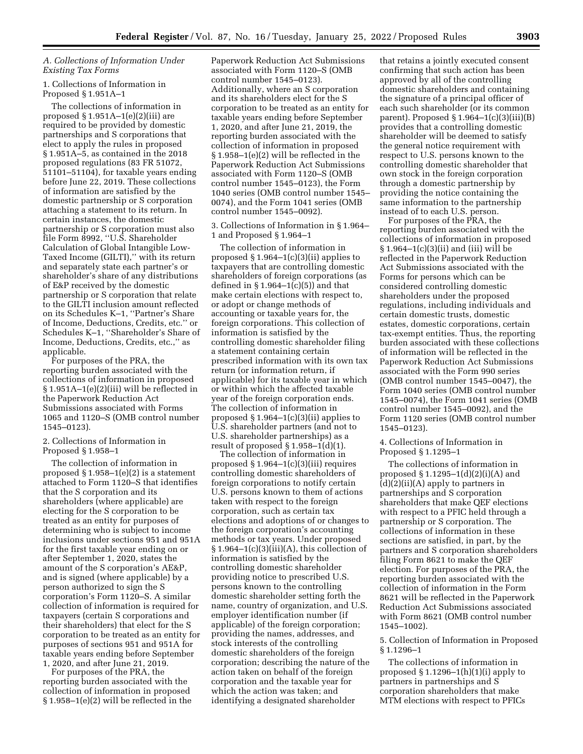# *A. Collections of Information Under Existing Tax Forms*

## 1. Collections of Information in Proposed § 1.951A–1

The collections of information in proposed § 1.951A–1(e)(2)(iii) are required to be provided by domestic partnerships and S corporations that elect to apply the rules in proposed § 1.951A–5, as contained in the 2018 proposed regulations (83 FR 51072, 51101–51104), for taxable years ending before June 22, 2019. These collections of information are satisfied by the domestic partnership or S corporation attaching a statement to its return. In certain instances, the domestic partnership or S corporation must also file Form 8992, ''U.S. Shareholder Calculation of Global Intangible Low-Taxed Income (GILTI),'' with its return and separately state each partner's or shareholder's share of any distributions of E&P received by the domestic partnership or S corporation that relate to the GILTI inclusion amount reflected on its Schedules K–1, ''Partner's Share of Income, Deductions, Credits, etc.'' or Schedules K–1, ''Shareholder's Share of Income, Deductions, Credits, etc.,'' as applicable.

For purposes of the PRA, the reporting burden associated with the collections of information in proposed § 1.951A–1(e)(2)(iii) will be reflected in the Paperwork Reduction Act Submissions associated with Forms 1065 and 1120–S (OMB control number 1545–0123).

## 2. Collections of Information in Proposed § 1.958–1

The collection of information in proposed § 1.958–1(e)(2) is a statement attached to Form 1120–S that identifies that the S corporation and its shareholders (where applicable) are electing for the S corporation to be treated as an entity for purposes of determining who is subject to income inclusions under sections 951 and 951A for the first taxable year ending on or after September 1, 2020, states the amount of the S corporation's AE&P, and is signed (where applicable) by a person authorized to sign the S corporation's Form 1120–S. A similar collection of information is required for taxpayers (certain S corporations and their shareholders) that elect for the S corporation to be treated as an entity for purposes of sections 951 and 951A for taxable years ending before September 1, 2020, and after June 21, 2019.

For purposes of the PRA, the reporting burden associated with the collection of information in proposed § 1.958–1(e)(2) will be reflected in the

Paperwork Reduction Act Submissions associated with Form 1120–S (OMB control number 1545–0123). Additionally, where an S corporation and its shareholders elect for the S corporation to be treated as an entity for taxable years ending before September 1, 2020, and after June 21, 2019, the reporting burden associated with the collection of information in proposed § 1.958–1(e)(2) will be reflected in the Paperwork Reduction Act Submissions associated with Form 1120–S (OMB control number 1545–0123), the Form 1040 series (OMB control number 1545– 0074), and the Form 1041 series (OMB control number 1545–0092).

3. Collections of Information in § 1.964– 1 and Proposed § 1.964–1

The collection of information in proposed  $\S 1.964-1(c)(3)(ii)$  applies to taxpayers that are controlling domestic shareholders of foreign corporations (as defined in  $\S 1.964-1(c)(5)$  and that make certain elections with respect to, or adopt or change methods of accounting or taxable years for, the foreign corporations. This collection of information is satisfied by the controlling domestic shareholder filing a statement containing certain prescribed information with its own tax return (or information return, if applicable) for its taxable year in which or within which the affected taxable year of the foreign corporation ends. The collection of information in proposed § 1.964–1(c)(3)(ii) applies to U.S. shareholder partners (and not to U.S. shareholder partnerships) as a result of proposed  $\S 1.958-1(d)(1)$ .

The collection of information in proposed § 1.964–1(c)(3)(iii) requires controlling domestic shareholders of foreign corporations to notify certain U.S. persons known to them of actions taken with respect to the foreign corporation, such as certain tax elections and adoptions of or changes to the foreign corporation's accounting methods or tax years. Under proposed  $§ 1.964-1(c)(3)(iii)(A)$ , this collection of information is satisfied by the controlling domestic shareholder providing notice to prescribed U.S. persons known to the controlling domestic shareholder setting forth the name, country of organization, and U.S. employer identification number (if applicable) of the foreign corporation; providing the names, addresses, and stock interests of the controlling domestic shareholders of the foreign corporation; describing the nature of the action taken on behalf of the foreign corporation and the taxable year for which the action was taken; and identifying a designated shareholder

that retains a jointly executed consent confirming that such action has been approved by all of the controlling domestic shareholders and containing the signature of a principal officer of each such shareholder (or its common parent). Proposed  $\S 1.964-1(c)(3)(iii)(B)$ provides that a controlling domestic shareholder will be deemed to satisfy the general notice requirement with respect to U.S. persons known to the controlling domestic shareholder that own stock in the foreign corporation through a domestic partnership by providing the notice containing the same information to the partnership instead of to each U.S. person.

For purposes of the PRA, the reporting burden associated with the collections of information in proposed § 1.964–1(c)(3)(ii) and (iii) will be reflected in the Paperwork Reduction Act Submissions associated with the Forms for persons which can be considered controlling domestic shareholders under the proposed regulations, including individuals and certain domestic trusts, domestic estates, domestic corporations, certain tax-exempt entities. Thus, the reporting burden associated with these collections of information will be reflected in the Paperwork Reduction Act Submissions associated with the Form 990 series (OMB control number 1545–0047), the Form 1040 series (OMB control number 1545–0074), the Form 1041 series (OMB control number 1545–0092), and the Form 1120 series (OMB control number 1545–0123).

4. Collections of Information in Proposed § 1.1295–1

The collections of information in proposed  $$ 1.1295-1(d)(2)(i)(A)$  and (d)(2)(ii)(A) apply to partners in partnerships and S corporation shareholders that make QEF elections with respect to a PFIC held through a partnership or S corporation. The collections of information in these sections are satisfied, in part, by the partners and S corporation shareholders filing Form 8621 to make the QEF election. For purposes of the PRA, the reporting burden associated with the collection of information in the Form 8621 will be reflected in the Paperwork Reduction Act Submissions associated with Form 8621 (OMB control number 1545–1002).

5. Collection of Information in Proposed § 1.1296–1

The collections of information in proposed  $\S 1.1296-1(h)(1)(i)$  apply to partners in partnerships and S corporation shareholders that make MTM elections with respect to PFICs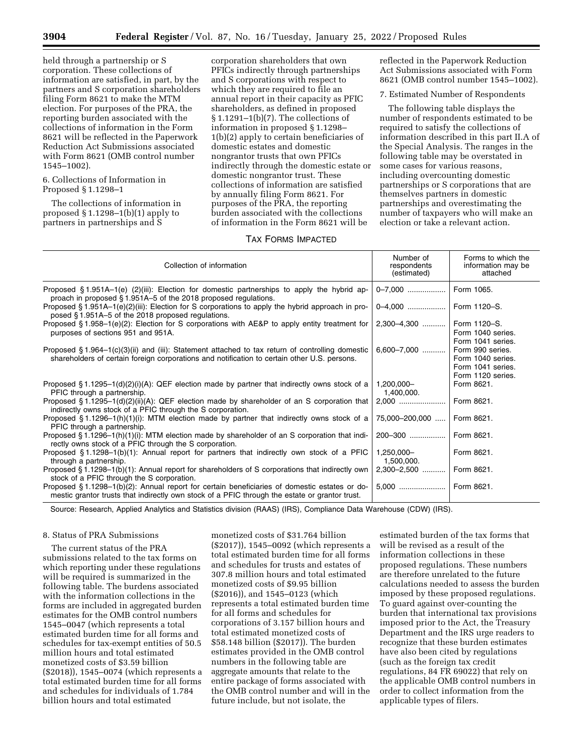held through a partnership or S corporation. These collections of information are satisfied, in part, by the partners and S corporation shareholders filing Form 8621 to make the MTM election. For purposes of the PRA, the reporting burden associated with the collections of information in the Form 8621 will be reflected in the Paperwork Reduction Act Submissions associated with Form 8621 (OMB control number 1545–1002).

## 6. Collections of Information in Proposed § 1.1298–1

The collections of information in proposed § 1.1298–1(b)(1) apply to partners in partnerships and S

corporation shareholders that own PFICs indirectly through partnerships and S corporations with respect to which they are required to file an annual report in their capacity as PFIC shareholders, as defined in proposed § 1.1291–1(b)(7). The collections of information in proposed § 1.1298– 1(b)(2) apply to certain beneficiaries of domestic estates and domestic nongrantor trusts that own PFICs indirectly through the domestic estate or domestic nongrantor trust. These collections of information are satisfied by annually filing Form 8621. For purposes of the PRA, the reporting burden associated with the collections of information in the Form 8621 will be

## TAX FORMS IMPACTED

reflected in the Paperwork Reduction Act Submissions associated with Form 8621 (OMB control number 1545–1002).

7. Estimated Number of Respondents

The following table displays the number of respondents estimated to be required to satisfy the collections of information described in this part II.A of the Special Analysis. The ranges in the following table may be overstated in some cases for various reasons, including overcounting domestic partnerships or S corporations that are themselves partners in domestic partnerships and overestimating the number of taxpayers who will make an election or take a relevant action.

| Collection of information                                                                                                                                                                        | Number of<br>respondents<br>(estimated) | Forms to which the<br>information may be<br>attached                            |
|--------------------------------------------------------------------------------------------------------------------------------------------------------------------------------------------------|-----------------------------------------|---------------------------------------------------------------------------------|
| Proposed $\S 1.951A-1(e)$ (2)(iii): Election for domestic partnerships to apply the hybrid ap-<br>proach in proposed §1.951A–5 of the 2018 proposed regulations.                                 | 0-7.000                                 | Form 1065.                                                                      |
| Proposed § 1.951A–1(e)(2)(iii): Election for S corporations to apply the hybrid approach in pro-<br>posed §1.951A–5 of the 2018 proposed regulations.                                            | 0-4,000                                 | Form 1120-S.                                                                    |
| Proposed § 1.958-1(e)(2): Election for S corporations with AE&P to apply entity treatment for<br>purposes of sections 951 and 951A.                                                              | 2,300-4,300                             | Form 1120-S.<br>Form 1040 series.<br>Form 1041 series.                          |
| Proposed § 1.964-1(c)(3)(ii) and (iii): Statement attached to tax return of controlling domestic<br>shareholders of certain foreign corporations and notification to certain other U.S. persons. | $6,600 - 7,000$                         | Form 990 series.<br>Form 1040 series.<br>Form 1041 series.<br>Form 1120 series. |
| Proposed § 1.1295–1(d)(2)(i)(A): QEF election made by partner that indirectly owns stock of a<br>PFIC through a partnership.                                                                     | 1,200,000-<br>1,400,000.                | Form 8621.                                                                      |
| Proposed § 1.1295–1(d)(2)(ii)(A): QEF election made by shareholder of an S corporation that<br>indirectly owns stock of a PFIC through the S corporation.                                        | $2.000$                                 | Form 8621.                                                                      |
| Proposed §1.1296–1(h)(1)(i): MTM election made by partner that indirectly owns stock of a<br>PFIC through a partnership.                                                                         | 75,000-200,000                          | Form 8621.                                                                      |
| Proposed § 1.1296-1(h)(1)(i): MTM election made by shareholder of an S corporation that indi-<br>rectly owns stock of a PFIC through the S corporation.                                          | 200-300                                 | Form 8621.                                                                      |
| Proposed $\S 1.1298-1(b)(1)$ : Annual report for partners that indirectly own stock of a PFIC<br>through a partnership.                                                                          | 1,250,000-<br>1,500,000.                | Form 8621.                                                                      |
| Proposed §1.1298-1(b)(1): Annual report for shareholders of S corporations that indirectly own<br>stock of a PFIC through the S corporation.                                                     | 2,300-2,500                             | Form 8621.                                                                      |
| Proposed §1.1298-1(b)(2): Annual report for certain beneficiaries of domestic estates or do-<br>mestic grantor trusts that indirectly own stock of a PFIC through the estate or grantor trust.   | $5.000$                                 | Form 8621.                                                                      |

Source: Research, Applied Analytics and Statistics division (RAAS) (IRS), Compliance Data Warehouse (CDW) (IRS).

# 8. Status of PRA Submissions

The current status of the PRA submissions related to the tax forms on which reporting under these regulations will be required is summarized in the following table. The burdens associated with the information collections in the forms are included in aggregated burden estimates for the OMB control numbers 1545–0047 (which represents a total estimated burden time for all forms and schedules for tax-exempt entities of 50.5 million hours and total estimated monetized costs of \$3.59 billion (\$2018)), 1545–0074 (which represents a total estimated burden time for all forms and schedules for individuals of 1.784 billion hours and total estimated

monetized costs of \$31.764 billion (\$2017)), 1545–0092 (which represents a total estimated burden time for all forms and schedules for trusts and estates of 307.8 million hours and total estimated monetized costs of \$9.95 billion (\$2016)), and 1545–0123 (which represents a total estimated burden time for all forms and schedules for corporations of 3.157 billion hours and total estimated monetized costs of \$58.148 billion (\$2017)). The burden estimates provided in the OMB control numbers in the following table are aggregate amounts that relate to the entire package of forms associated with the OMB control number and will in the future include, but not isolate, the

estimated burden of the tax forms that will be revised as a result of the information collections in these proposed regulations. These numbers are therefore unrelated to the future calculations needed to assess the burden imposed by these proposed regulations. To guard against over-counting the burden that international tax provisions imposed prior to the Act, the Treasury Department and the IRS urge readers to recognize that these burden estimates have also been cited by regulations (such as the foreign tax credit regulations, 84 FR 69022) that rely on the applicable OMB control numbers in order to collect information from the applicable types of filers.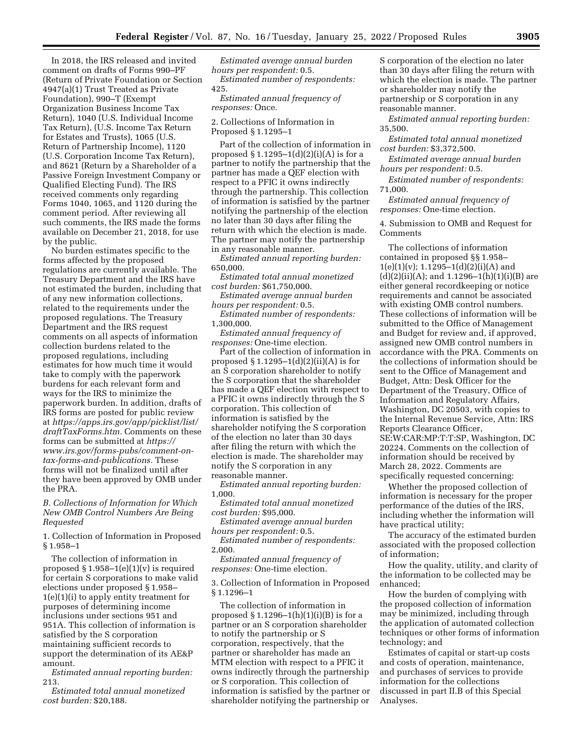In 2018, the IRS released and invited comment on drafts of Forms 990–PF (Return of Private Foundation or Section 4947(a)(1) Trust Treated as Private Foundation), 990–T (Exempt Organization Business Income Tax Return), 1040 (U.S. Individual Income Tax Return), (U.S. Income Tax Return for Estates and Trusts), 1065 (U.S. Return of Partnership Income), 1120 (U.S. Corporation Income Tax Return), and 8621 (Return by a Shareholder of a Passive Foreign Investment Company or Qualified Electing Fund). The IRS received comments only regarding Forms 1040, 1065, and 1120 during the comment period. After reviewing all such comments, the IRS made the forms available on December 21, 2018, for use by the public.

No burden estimates specific to the forms affected by the proposed regulations are currently available. The Treasury Department and the IRS have not estimated the burden, including that of any new information collections, related to the requirements under the proposed regulations. The Treasury Department and the IRS request comments on all aspects of information collection burdens related to the proposed regulations, including estimates for how much time it would take to comply with the paperwork burdens for each relevant form and ways for the IRS to minimize the paperwork burden. In addition, drafts of IRS forms are posted for public review at *[https://apps.irs.gov/app/picklist/list/](https://apps.irs.gov/app/picklist/list/draftTaxForms.htm) [draftTaxForms.htm.](https://apps.irs.gov/app/picklist/list/draftTaxForms.htm)* Comments on these forms can be submitted at *[https://](https://www.irs.gov/forms-pubs/comment-on-tax-forms-and-publications) [www.irs.gov/forms-pubs/comment-on](https://www.irs.gov/forms-pubs/comment-on-tax-forms-and-publications)[tax-forms-and-publications.](https://www.irs.gov/forms-pubs/comment-on-tax-forms-and-publications)* These forms will not be finalized until after they have been approved by OMB under the PRA.

*B. Collections of Information for Which New OMB Control Numbers Are Being Requested* 

1. Collection of Information in Proposed § 1.958–1

The collection of information in proposed  $\S 1.958-1(e)(1)(v)$  is required for certain S corporations to make valid elections under proposed § 1.958– 1(e)(1)(i) to apply entity treatment for purposes of determining income inclusions under sections 951 and 951A. This collection of information is satisfied by the S corporation maintaining sufficient records to support the determination of its AE&P amount.

*Estimated annual reporting burden:*  213.

*Estimated total annual monetized cost burden:* \$20,188.

*Estimated average annual burden hours per respondent:* 0.5. *Estimated number of respondents:*  425.

*Estimated annual frequency of responses:* Once.

2. Collections of Information in Proposed § 1.1295–1

Part of the collection of information in proposed  $\S 1.1295-1(d)(2)(i)(A)$  is for a partner to notify the partnership that the partner has made a QEF election with respect to a PFIC it owns indirectly through the partnership. This collection of information is satisfied by the partner notifying the partnership of the election no later than 30 days after filing the return with which the election is made. The partner may notify the partnership in any reasonable manner.

*Estimated annual reporting burden:*  650,000.

*Estimated total annual monetized cost burden:* \$61,750,000.

*Estimated average annual burden hours per respondent:* 0.5.

*Estimated number of respondents:*  1,300,000.

*Estimated annual frequency of responses:* One-time election.

Part of the collection of information in proposed  $\S 1.1295-1(d)(2)(ii)(A)$  is for an S corporation shareholder to notify the S corporation that the shareholder has made a QEF election with respect to a PFIC it owns indirectly through the S corporation. This collection of information is satisfied by the shareholder notifying the S corporation of the election no later than 30 days after filing the return with which the election is made. The shareholder may notify the S corporation in any reasonable manner.

*Estimated annual reporting burden:*  1,000.

*Estimated total annual monetized cost burden:* \$95,000.

*Estimated average annual burden hours per respondent:* 0.5.

*Estimated number of respondents:*  2,000.

*Estimated annual frequency of responses:* One-time election.

3. Collection of Information in Proposed § 1.1296–1

The collection of information in proposed  $\S 1.1296-1(h)(1)(i)(B)$  is for a partner or an S corporation shareholder to notify the partnership or S corporation, respectively, that the partner or shareholder has made an MTM election with respect to a PFIC it owns indirectly through the partnership or S corporation. This collection of information is satisfied by the partner or shareholder notifying the partnership or

S corporation of the election no later than 30 days after filing the return with which the election is made. The partner or shareholder may notify the partnership or S corporation in any reasonable manner.

*Estimated annual reporting burden:*  35,500.

*Estimated total annual monetized cost burden:* \$3,372,500.

*Estimated average annual burden hours per respondent:* 0.5.

*Estimated number of respondents:*  71,000.

*Estimated annual frequency of responses:* One-time election.

4. Submission to OMB and Request for Comments

The collections of information contained in proposed §§ 1.958–  $1(e)(1)(v); 1.1295-1(d)(2)(i)(A)$  and  $(d)(2)(ii)(A);$  and  $1.1296-1(h)(1)(i)(B)$  are either general recordkeeping or notice requirements and cannot be associated with existing OMB control numbers. These collections of information will be submitted to the Office of Management and Budget for review and, if approved, assigned new OMB control numbers in accordance with the PRA. Comments on the collections of information should be sent to the Office of Management and Budget, Attn: Desk Officer for the Department of the Treasury, Office of Information and Regulatory Affairs, Washington, DC 20503, with copies to the Internal Revenue Service, Attn: IRS Reports Clearance Officer, SE:W:CAR:MP:T:T:SP, Washington, DC 20224. Comments on the collection of information should be received by March 28, 2022. Comments are specifically requested concerning:

Whether the proposed collection of information is necessary for the proper performance of the duties of the IRS, including whether the information will have practical utility;

The accuracy of the estimated burden associated with the proposed collection of information;

How the quality, utility, and clarity of the information to be collected may be enhanced;

How the burden of complying with the proposed collection of information may be minimized, including through the application of automated collection techniques or other forms of information technology; and

Estimates of capital or start-up costs and costs of operation, maintenance, and purchases of services to provide information for the collections discussed in part II.B of this Special Analyses.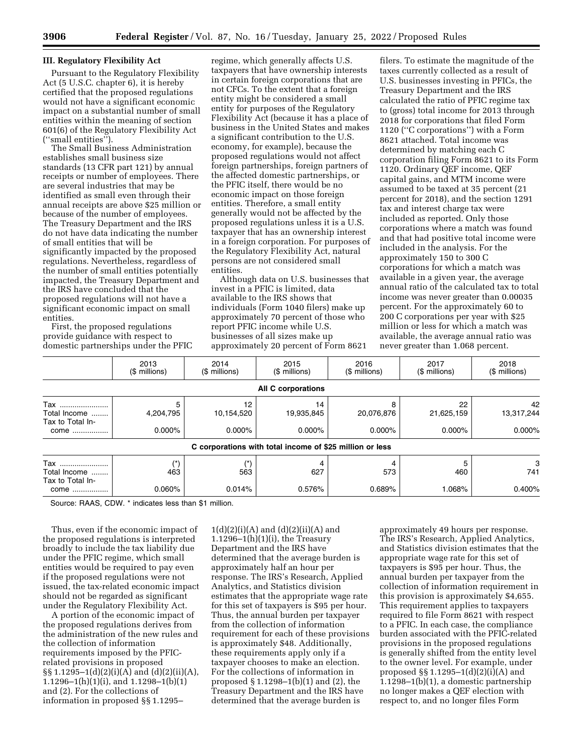#### **III. Regulatory Flexibility Act**

Pursuant to the Regulatory Flexibility Act (5 U.S.C. chapter 6), it is hereby certified that the proposed regulations would not have a significant economic impact on a substantial number of small entities within the meaning of section 601(6) of the Regulatory Flexibility Act (''small entities'').

The Small Business Administration establishes small business size standards (13 CFR part 121) by annual receipts or number of employees. There are several industries that may be identified as small even through their annual receipts are above \$25 million or because of the number of employees. The Treasury Department and the IRS do not have data indicating the number of small entities that will be significantly impacted by the proposed regulations. Nevertheless, regardless of the number of small entities potentially impacted, the Treasury Department and the IRS have concluded that the proposed regulations will not have a significant economic impact on small entities.

First, the proposed regulations provide guidance with respect to domestic partnerships under the PFIC

regime, which generally affects U.S. taxpayers that have ownership interests in certain foreign corporations that are not CFCs. To the extent that a foreign entity might be considered a small entity for purposes of the Regulatory Flexibility Act (because it has a place of business in the United States and makes a significant contribution to the U.S. economy, for example), because the proposed regulations would not affect foreign partnerships, foreign partners of the affected domestic partnerships, or the PFIC itself, there would be no economic impact on those foreign entities. Therefore, a small entity generally would not be affected by the proposed regulations unless it is a U.S. taxpayer that has an ownership interest in a foreign corporation. For purposes of the Regulatory Flexibility Act, natural persons are not considered small entities.

Although data on U.S. businesses that invest in a PFIC is limited, data available to the IRS shows that individuals (Form 1040 filers) make up approximately 70 percent of those who report PFIC income while U.S. businesses of all sizes make up approximately 20 percent of Form 8621

filers. To estimate the magnitude of the taxes currently collected as a result of U.S. businesses investing in PFICs, the Treasury Department and the IRS calculated the ratio of PFIC regime tax to (gross) total income for 2013 through 2018 for corporations that filed Form 1120 (''C corporations'') with a Form 8621 attached. Total income was determined by matching each C corporation filing Form 8621 to its Form 1120. Ordinary QEF income, QEF capital gains, and MTM income were assumed to be taxed at 35 percent (21 percent for 2018), and the section 1291 tax and interest charge tax were included as reported. Only those corporations where a match was found and that had positive total income were included in the analysis. For the approximately 150 to 300 C corporations for which a match was available in a given year, the average annual ratio of the calculated tax to total income was never greater than 0.00035 percent. For the approximately 60 to 200 C corporations per year with \$25 million or less for which a match was available, the average annual ratio was never greater than 1.068 percent.

|                                                 | 2013<br>(\$ millions)       | 2014<br>$($$ millions)        | 2015<br>(\$ millions)                                    | 2016<br>(\$ millions)        | 2017<br>(\$ millions)         | 2018<br>(\$ millions)         |
|-------------------------------------------------|-----------------------------|-------------------------------|----------------------------------------------------------|------------------------------|-------------------------------|-------------------------------|
|                                                 |                             |                               | <b>All C corporations</b>                                |                              |                               |                               |
| Tax<br>Total Income<br>Tax to Total In-<br>come | 5<br>4,204,795<br>$0.000\%$ | 12<br>10,154,520<br>$0.000\%$ | 14<br>19,935,845<br>$0.000\%$                            | 8<br>20,076,876<br>$0.000\%$ | 22<br>21,625,159<br>$0.000\%$ | 42<br>13,317,244<br>$0.000\%$ |
|                                                 |                             |                               | C corporations with total income of \$25 million or less |                              |                               |                               |
| Tax<br>Total Income<br>Tax to Total In-<br>come | (*)<br>463<br>0.060%        | 563<br>0.014%                 | 627<br>0.576%                                            | 573<br>0.689%                | 460<br>1.068%                 | 3<br>741<br>0.400%            |

Source: RAAS, CDW. \* indicates less than \$1 million.

Thus, even if the economic impact of the proposed regulations is interpreted broadly to include the tax liability due under the PFIC regime, which small entities would be required to pay even if the proposed regulations were not issued, the tax-related economic impact should not be regarded as significant under the Regulatory Flexibility Act.

A portion of the economic impact of the proposed regulations derives from the administration of the new rules and the collection of information requirements imposed by the PFICrelated provisions in proposed §§ 1.1295–1(d)(2)(i)(A) and (d)(2)(ii)(A), 1.1296–1(h)(1)(i), and 1.1298–1(b)(1) and (2). For the collections of information in proposed §§ 1.1295–

 $1(d)(2)(i)(A)$  and  $(d)(2)(ii)(A)$  and  $1.1296-1(h)(1)(i)$ , the Treasury Department and the IRS have determined that the average burden is approximately half an hour per response. The IRS's Research, Applied Analytics, and Statistics division estimates that the appropriate wage rate for this set of taxpayers is \$95 per hour. Thus, the annual burden per taxpayer from the collection of information requirement for each of these provisions is approximately \$48. Additionally, these requirements apply only if a taxpayer chooses to make an election. For the collections of information in proposed § 1.1298–1(b)(1) and (2), the Treasury Department and the IRS have determined that the average burden is

approximately 49 hours per response. The IRS's Research, Applied Analytics, and Statistics division estimates that the appropriate wage rate for this set of taxpayers is \$95 per hour. Thus, the annual burden per taxpayer from the collection of information requirement in this provision is approximately \$4,655. This requirement applies to taxpayers required to file Form 8621 with respect to a PFIC. In each case, the compliance burden associated with the PFIC-related provisions in the proposed regulations is generally shifted from the entity level to the owner level. For example, under proposed §§ 1.1295–1(d)(2)(i)(A) and 1.1298–1(b)(1), a domestic partnership no longer makes a QEF election with respect to, and no longer files Form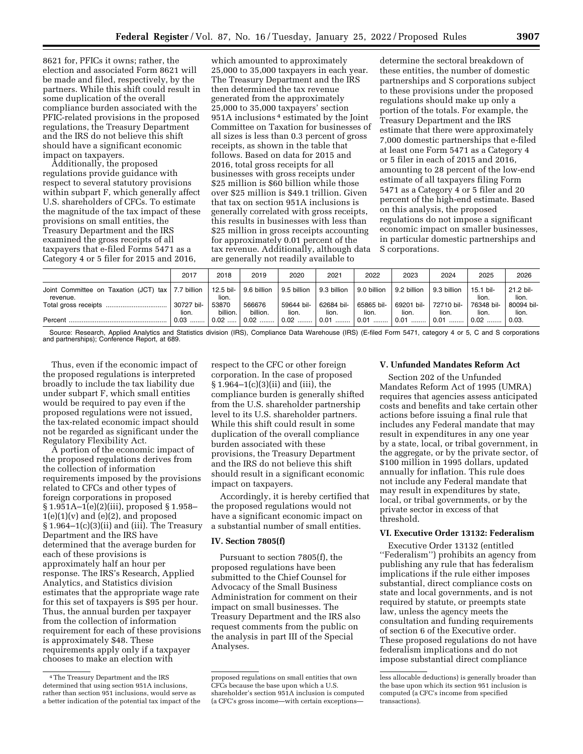8621 for, PFICs it owns; rather, the election and associated Form 8621 will be made and filed, respectively, by the partners. While this shift could result in some duplication of the overall compliance burden associated with the PFIC-related provisions in the proposed regulations, the Treasury Department and the IRS do not believe this shift should have a significant economic impact on taxpayers.

Additionally, the proposed regulations provide guidance with respect to several statutory provisions within subpart F, which generally affect U.S. shareholders of CFCs. To estimate the magnitude of the tax impact of these provisions on small entities, the Treasury Department and the IRS examined the gross receipts of all taxpayers that e-filed Forms 5471 as a Category 4 or 5 filer for 2015 and 2016,

which amounted to approximately 25,000 to 35,000 taxpayers in each year. The Treasury Department and the IRS then determined the tax revenue generated from the approximately 25,000 to 35,000 taxpayers' section 951A inclusions 4 estimated by the Joint Committee on Taxation for businesses of all sizes is less than 0.3 percent of gross receipts, as shown in the table that follows. Based on data for 2015 and 2016, total gross receipts for all businesses with gross receipts under \$25 million is \$60 billion while those over \$25 million is \$49.1 trillion. Given that tax on section 951A inclusions is generally correlated with gross receipts, this results in businesses with less than \$25 million in gross receipts accounting for approximately 0.01 percent of the tax revenue. Additionally, although data are generally not readily available to

determine the sectoral breakdown of these entities, the number of domestic partnerships and S corporations subject to these provisions under the proposed regulations should make up only a portion of the totals. For example, the Treasury Department and the IRS estimate that there were approximately 7,000 domestic partnerships that e-filed at least one Form 5471 as a Category 4 or 5 filer in each of 2015 and 2016, amounting to 28 percent of the low-end estimate of all taxpayers filing Form 5471 as a Category 4 or 5 filer and 20 percent of the high-end estimate. Based on this analysis, the proposed regulations do not impose a significant economic impact on smaller businesses, in particular domestic partnerships and S corporations.

|                                                                 | 2017                | 2018                 | 2019               | 2020                | 2021                | 2022                        | 2023                | 2024                | 2025                | 2026                |
|-----------------------------------------------------------------|---------------------|----------------------|--------------------|---------------------|---------------------|-----------------------------|---------------------|---------------------|---------------------|---------------------|
| Joint Committee on Taxation (JCT) tax   7.7 billion<br>revenue. |                     | 12.5 bil- l<br>lion. | 9.6 billion        | l 9.5 billion       | 9.3 billion         | 9.0 billion                 | 9.2 billion         | 9.3 billion         | 15.1 bil-<br>lion.  | 21.2 bil-<br>lion.  |
|                                                                 | 30727 bil-<br>lion. | 53870<br>billion.    | 566676<br>billion. | 59644 bil-<br>lion. | 62684 bil-<br>lion. | 65865 bil-<br>lion.         | 69201 bil-<br>lion. | 72710 bil-<br>lion. | 76348 bil-<br>lion. | 80094 bil-<br>lion. |
|                                                                 | $0.03$              | $0.02$               | $0.02$             | │ 0.02 ………          | $0.01$              | $\vert 0.01 \ldots \rangle$ | 0.01                | 0.01                | $0.02$              | 0.03.               |

Source: Research, Applied Analytics and Statistics division (IRS), Compliance Data Warehouse (IRS) (E-filed Form 5471, category 4 or 5, C and S corporations and partnerships); Conference Report, at 689.

Thus, even if the economic impact of the proposed regulations is interpreted broadly to include the tax liability due under subpart F, which small entities would be required to pay even if the proposed regulations were not issued, the tax-related economic impact should not be regarded as significant under the Regulatory Flexibility Act.

A portion of the economic impact of the proposed regulations derives from the collection of information requirements imposed by the provisions related to CFCs and other types of foreign corporations in proposed § 1.951A–1(e)(2)(iii), proposed § 1.958–  $1(e)(1)(v)$  and  $(e)(2)$ , and proposed § 1.964–1(c)(3)(ii) and (iii). The Treasury Department and the IRS have determined that the average burden for each of these provisions is approximately half an hour per response. The IRS's Research, Applied Analytics, and Statistics division estimates that the appropriate wage rate for this set of taxpayers is \$95 per hour. Thus, the annual burden per taxpayer from the collection of information requirement for each of these provisions is approximately \$48. These requirements apply only if a taxpayer chooses to make an election with

respect to the CFC or other foreign corporation. In the case of proposed § 1.964–1(c)(3)(ii) and (iii), the compliance burden is generally shifted from the U.S. shareholder partnership level to its U.S. shareholder partners. While this shift could result in some duplication of the overall compliance burden associated with these provisions, the Treasury Department and the IRS do not believe this shift should result in a significant economic impact on taxpayers.

Accordingly, it is hereby certified that the proposed regulations would not have a significant economic impact on a substantial number of small entities.

#### **IV. Section 7805(f)**

Pursuant to section 7805(f), the proposed regulations have been submitted to the Chief Counsel for Advocacy of the Small Business Administration for comment on their impact on small businesses. The Treasury Department and the IRS also request comments from the public on the analysis in part III of the Special Analyses.

#### **V. Unfunded Mandates Reform Act**

Section 202 of the Unfunded Mandates Reform Act of 1995 (UMRA) requires that agencies assess anticipated costs and benefits and take certain other actions before issuing a final rule that includes any Federal mandate that may result in expenditures in any one year by a state, local, or tribal government, in the aggregate, or by the private sector, of \$100 million in 1995 dollars, updated annually for inflation. This rule does not include any Federal mandate that may result in expenditures by state, local, or tribal governments, or by the private sector in excess of that threshold.

# **VI. Executive Order 13132: Federalism**

Executive Order 13132 (entitled ''Federalism'') prohibits an agency from publishing any rule that has federalism implications if the rule either imposes substantial, direct compliance costs on state and local governments, and is not required by statute, or preempts state law, unless the agency meets the consultation and funding requirements of section 6 of the Executive order. These proposed regulations do not have federalism implications and do not impose substantial direct compliance

<sup>4</sup>The Treasury Department and the IRS determined that using section 951A inclusions, rather than section 951 inclusions, would serve as a better indication of the potential tax impact of the

proposed regulations on small entities that own CFCs because the base upon which a U.S. shareholder's section 951A inclusion is computed (a CFC's gross income—with certain exceptions—

less allocable deductions) is generally broader than the base upon which its section 951 inclusion is computed (a CFC's income from specified transactions).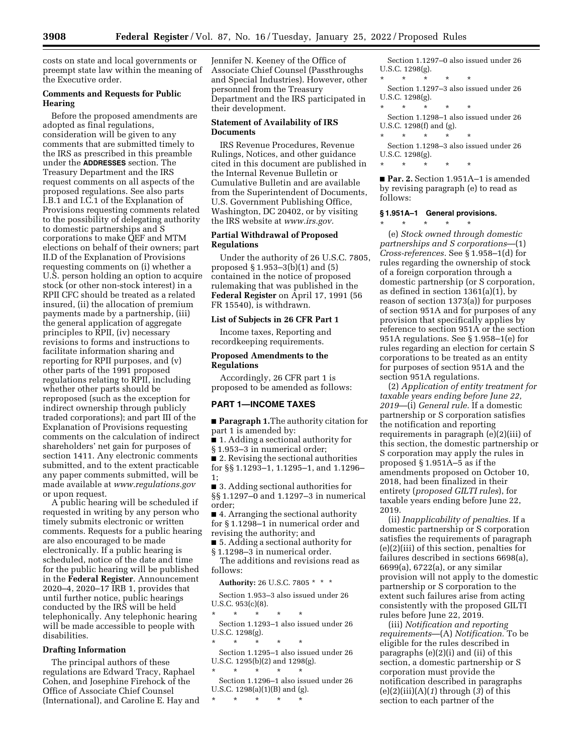costs on state and local governments or preempt state law within the meaning of the Executive order.

## **Comments and Requests for Public Hearing**

Before the proposed amendments are adopted as final regulations, consideration will be given to any comments that are submitted timely to the IRS as prescribed in this preamble under the **ADDRESSES** section. The Treasury Department and the IRS request comments on all aspects of the proposed regulations. See also parts I.B.1 and I.C.1 of the Explanation of Provisions requesting comments related to the possibility of delegating authority to domestic partnerships and S corporations to make QEF and MTM elections on behalf of their owners; part II.D of the Explanation of Provisions requesting comments on (i) whether a U.S. person holding an option to acquire stock (or other non-stock interest) in a RPII CFC should be treated as a related insured, (ii) the allocation of premium payments made by a partnership, (iii) the general application of aggregate principles to RPII, (iv) necessary revisions to forms and instructions to facilitate information sharing and reporting for RPII purposes, and (v) other parts of the 1991 proposed regulations relating to RPII, including whether other parts should be reproposed (such as the exception for indirect ownership through publicly traded corporations); and part III of the Explanation of Provisions requesting comments on the calculation of indirect shareholders' net gain for purposes of section 1411. Any electronic comments submitted, and to the extent practicable any paper comments submitted, will be made available at *[www.regulations.gov](http://www.regulations.gov)*  or upon request.

A public hearing will be scheduled if requested in writing by any person who timely submits electronic or written comments. Requests for a public hearing are also encouraged to be made electronically. If a public hearing is scheduled, notice of the date and time for the public hearing will be published in the **Federal Register**. Announcement 2020–4, 2020–17 IRB 1, provides that until further notice, public hearings conducted by the IRS will be held telephonically. Any telephonic hearing will be made accessible to people with disabilities.

## **Drafting Information**

The principal authors of these regulations are Edward Tracy, Raphael Cohen, and Josephine Firehock of the Office of Associate Chief Counsel (International), and Caroline E. Hay and Jennifer N. Keeney of the Office of Associate Chief Counsel (Passthroughs and Special Industries). However, other personnel from the Treasury Department and the IRS participated in their development.

#### **Statement of Availability of IRS Documents**

IRS Revenue Procedures, Revenue Rulings, Notices, and other guidance cited in this document are published in the Internal Revenue Bulletin or Cumulative Bulletin and are available from the Superintendent of Documents, U.S. Government Publishing Office, Washington, DC 20402, or by visiting the IRS website at *[www.irs.gov.](http://www.irs.gov)* 

## **Partial Withdrawal of Proposed Regulations**

Under the authority of 26 U.S.C. 7805, proposed § 1.953–3(b)(1) and (5) contained in the notice of proposed rulemaking that was published in the **Federal Register** on April 17, 1991 (56 FR 15540), is withdrawn.

## **List of Subjects in 26 CFR Part 1**

Income taxes, Reporting and recordkeeping requirements.

## **Proposed Amendments to the Regulations**

Accordingly, 26 CFR part 1 is proposed to be amended as follows:

## **PART 1—INCOME TAXES**

■ **Paragraph 1.**The authority citation for part 1 is amended by:

■ 1. Adding a sectional authority for

§ 1.953–3 in numerical order;

■ 2. Revising the sectional authorities for §§ 1.1293–1, 1.1295–1, and 1.1296– 1;

■ 3. Adding sectional authorities for §§ 1.1297–0 and 1.1297–3 in numerical order;

■ 4. Arranging the sectional authority for § 1.1298–1 in numerical order and revising the authority; and

■ 5. Adding a sectional authority for

§ 1.1298–3 in numerical order. The additions and revisions read as follows:

**Authority:** 26 U.S.C. 7805 \* \* \*

Section 1.953–3 also issued under 26 U.S.C. 953(c)(8).

\* \* \* \* \* Section 1.1293–1 also issued under 26 U.S.C. 1298(g).

\* \* \* \* \*

Section 1.1295–1 also issued under 26 U.S.C. 1295(b)(2) and 1298(g). \* \* \* \* \*

Section 1.1296–1 also issued under 26 U.S.C. 1298(a)(1)(B) and (g).

\* \* \* \* \*

```
Section 1.1297–0 also issued under 26 
U.S.C. 1298(g). 
* * * * * 
 Section 1.1297–3 also issued under 26 
U.S.C. 1298(g). 
* * * * * 
 Section 1.1298–1 also issued under 26 
U.S.C. 1298(f) and (g). 
* * * * * 
 Section 1.1298–3 also issued under 26 
U.S.C. 1298(g).
```
\* \* \* \* \*

■ **Par. 2.** Section 1.951A–1 is amended by revising paragraph (e) to read as follows:

## **§ 1.951A–1 General provisions.**

\* \* \* \* \* (e) *Stock owned through domestic partnerships and S corporations*—(1) *Cross-references.* See § 1.958–1(d) for rules regarding the ownership of stock of a foreign corporation through a domestic partnership (or S corporation, as defined in section 1361(a)(1), by reason of section 1373(a)) for purposes of section 951A and for purposes of any provision that specifically applies by reference to section 951A or the section 951A regulations. See § 1.958–1(e) for rules regarding an election for certain S corporations to be treated as an entity for purposes of section 951A and the section 951A regulations.

(2) *Application of entity treatment for taxable years ending before June 22, 2019*—(i) *General rule.* If a domestic partnership or S corporation satisfies the notification and reporting requirements in paragraph (e)(2)(iii) of this section, the domestic partnership or S corporation may apply the rules in proposed § 1.951A–5 as if the amendments proposed on October 10, 2018, had been finalized in their entirety (*proposed GILTI rules*), for taxable years ending before June 22, 2019.

(ii) *Inapplicability of penalties.* If a domestic partnership or S corporation satisfies the requirements of paragraph (e)(2)(iii) of this section, penalties for failures described in sections 6698(a), 6699(a), 6722(a), or any similar provision will not apply to the domestic partnership or S corporation to the extent such failures arise from acting consistently with the proposed GILTI rules before June 22, 2019.

(iii) *Notification and reporting requirements*—(A) *Notification.* To be eligible for the rules described in paragraphs (e)(2)(i) and (ii) of this section, a domestic partnership or S corporation must provide the notification described in paragraphs (e)(2)(iii)(A)(*1*) through (*3*) of this section to each partner of the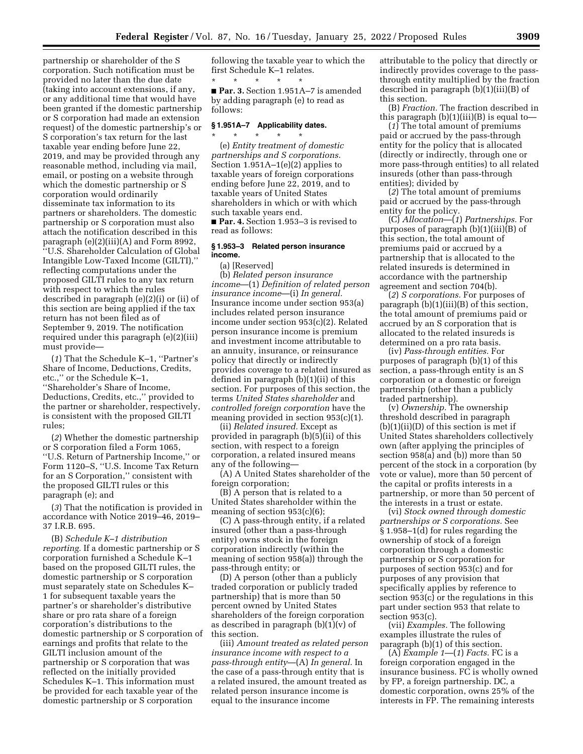partnership or shareholder of the S corporation. Such notification must be provided no later than the due date (taking into account extensions, if any, or any additional time that would have been granted if the domestic partnership or S corporation had made an extension request) of the domestic partnership's or S corporation's tax return for the last taxable year ending before June 22, 2019, and may be provided through any reasonable method, including via mail, email, or posting on a website through which the domestic partnership or S corporation would ordinarily disseminate tax information to its partners or shareholders. The domestic partnership or S corporation must also attach the notification described in this paragraph (e)(2)(iii)(A) and Form 8992, ''U.S. Shareholder Calculation of Global Intangible Low-Taxed Income (GILTI),'' reflecting computations under the proposed GILTI rules to any tax return with respect to which the rules described in paragraph (e)(2)(i) or (ii) of this section are being applied if the tax return has not been filed as of September 9, 2019. The notification required under this paragraph (e)(2)(iii) must provide—

(*1*) That the Schedule K–1, ''Partner's Share of Income, Deductions, Credits, etc.,'' or the Schedule K–1, ''Shareholder's Share of Income, Deductions, Credits, etc.,'' provided to the partner or shareholder, respectively, is consistent with the proposed GILTI rules;

(*2*) Whether the domestic partnership or S corporation filed a Form 1065, ''U.S. Return of Partnership Income,'' or Form 1120–S, ''U.S. Income Tax Return for an S Corporation,'' consistent with the proposed GILTI rules or this paragraph (e); and

(*3*) That the notification is provided in accordance with Notice 2019–46, 2019– 37 I.R.B. 695.

(B) *Schedule K–1 distribution reporting.* If a domestic partnership or S corporation furnished a Schedule K–1 based on the proposed GILTI rules, the domestic partnership or S corporation must separately state on Schedules K– 1 for subsequent taxable years the partner's or shareholder's distributive share or pro rata share of a foreign corporation's distributions to the domestic partnership or S corporation of earnings and profits that relate to the GILTI inclusion amount of the partnership or S corporation that was reflected on the initially provided Schedules K–1. This information must be provided for each taxable year of the domestic partnership or S corporation

following the taxable year to which the first Schedule K–1 relates.

\* \* \* \* \* ■ **Par. 3.** Section 1.951A–7 is amended by adding paragraph (e) to read as follows:

# **§ 1.951A–7 Applicability dates.**

\* \* \* \* \* (e) *Entity treatment of domestic partnerships and S corporations.*  Section 1.951A–1(e)(2) applies to taxable years of foreign corporations ending before June 22, 2019, and to taxable years of United States shareholders in which or with which such taxable years end. ■ **Par. 4.** Section 1.953–3 is revised to read as follows:

#### **§ 1.953–3 Related person insurance income.**

(a) [Reserved]

(b) *Related person insurance income*—(1) *Definition of related person insurance income*—(i) *In general.*  Insurance income under section 953(a) includes related person insurance income under section 953(c)(2). Related person insurance income is premium and investment income attributable to an annuity, insurance, or reinsurance policy that directly or indirectly provides coverage to a related insured as defined in paragraph (b)(1)(ii) of this section. For purposes of this section, the terms *United States shareholder* and *controlled foreign corporation* have the meaning provided in section 953(c)(1).

(ii) *Related insured.* Except as provided in paragraph (b)(5)(ii) of this section, with respect to a foreign corporation, a related insured means any of the following—

(A) A United States shareholder of the foreign corporation;

(B) A person that is related to a United States shareholder within the meaning of section 953(c)(6);

(C) A pass-through entity, if a related insured (other than a pass-through entity) owns stock in the foreign corporation indirectly (within the meaning of section 958(a)) through the pass-through entity; or

(D) A person (other than a publicly traded corporation or publicly traded partnership) that is more than 50 percent owned by United States shareholders of the foreign corporation as described in paragraph (b)(1)(v) of this section.

(iii) *Amount treated as related person insurance income with respect to a pass-through entity*—(A) *In general.* In the case of a pass-through entity that is a related insured, the amount treated as related person insurance income is equal to the insurance income

attributable to the policy that directly or indirectly provides coverage to the passthrough entity multiplied by the fraction described in paragraph (b)(1)(iii)(B) of this section.

(B) *Fraction.* The fraction described in this paragraph (b)(1)(iii)(B) is equal to—

(*1*) The total amount of premiums paid or accrued by the pass-through entity for the policy that is allocated (directly or indirectly, through one or more pass-through entities) to all related insureds (other than pass-through entities); divided by

(*2*) The total amount of premiums paid or accrued by the pass-through entity for the policy.

(C) *Allocation*—(*1*) *Partnerships.* For purposes of paragraph (b)(1)(iii)(B) of this section, the total amount of premiums paid or accrued by a partnership that is allocated to the related insureds is determined in accordance with the partnership agreement and section 704(b).

(*2*) *S corporations.* For purposes of paragraph (b)(1)(iii)(B) of this section, the total amount of premiums paid or accrued by an S corporation that is allocated to the related insureds is determined on a pro rata basis.

(iv) *Pass-through entities.* For purposes of paragraph (b)(1) of this section, a pass-through entity is an S corporation or a domestic or foreign partnership (other than a publicly traded partnership).

(v) *Ownership.* The ownership threshold described in paragraph  $(b)(1)(ii)(D)$  of this section is met if United States shareholders collectively own (after applying the principles of section 958(a) and (b)) more than 50 percent of the stock in a corporation (by vote or value), more than 50 percent of the capital or profits interests in a partnership, or more than 50 percent of the interests in a trust or estate.

(vi) *Stock owned through domestic partnerships or S corporations.* See § 1.958–1(d) for rules regarding the ownership of stock of a foreign corporation through a domestic partnership or S corporation for purposes of section 953(c) and for purposes of any provision that specifically applies by reference to section 953(c) or the regulations in this part under section 953 that relate to section 953(c).

(vii) *Examples.* The following examples illustrate the rules of paragraph (b)(1) of this section.

(A) *Example 1*—(*1*) *Facts.* FC is a foreign corporation engaged in the insurance business. FC is wholly owned by FP, a foreign partnership. DC, a domestic corporation, owns 25% of the interests in FP. The remaining interests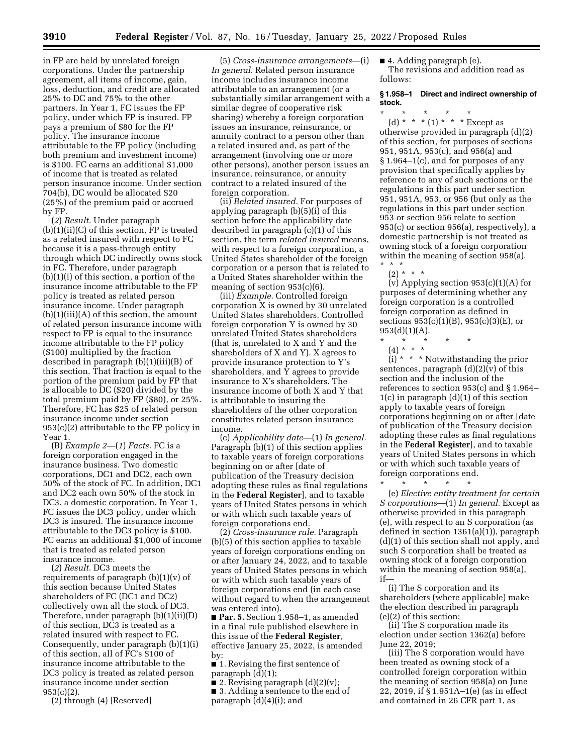in FP are held by unrelated foreign corporations. Under the partnership agreement, all items of income, gain, loss, deduction, and credit are allocated 25% to DC and 75% to the other partners. In Year 1, FC issues the FP policy, under which FP is insured. FP pays a premium of \$80 for the FP policy. The insurance income attributable to the FP policy (including both premium and investment income) is \$100. FC earns an additional \$1,000 of income that is treated as related person insurance income. Under section 704(b), DC would be allocated \$20 (25%) of the premium paid or accrued by FP.

(*2*) *Result.* Under paragraph (b)(1)(ii)(C) of this section, FP is treated as a related insured with respect to FC because it is a pass-through entity through which DC indirectly owns stock in FC. Therefore, under paragraph (b)(1)(i) of this section, a portion of the insurance income attributable to the FP policy is treated as related person insurance income. Under paragraph  $(b)(1)(iii)(A)$  of this section, the amount of related person insurance income with respect to FP is equal to the insurance income attributable to the FP policy (\$100) multiplied by the fraction described in paragraph (b)(1)(iii)(B) of this section. That fraction is equal to the portion of the premium paid by FP that is allocable to DC (\$20) divided by the total premium paid by FP (\$80), or 25%. Therefore, FC has \$25 of related person insurance income under section 953(c)(2) attributable to the FP policy in Year 1.

(B) *Example 2*—(*1*) *Facts.* FC is a foreign corporation engaged in the insurance business. Two domestic corporations, DC1 and DC2, each own 50% of the stock of FC. In addition, DC1 and DC2 each own 50% of the stock in DC3, a domestic corporation. In Year 1, FC issues the DC3 policy, under which DC3 is insured. The insurance income attributable to the DC3 policy is \$100. FC earns an additional \$1,000 of income that is treated as related person insurance income.

(*2*) *Result.* DC3 meets the requirements of paragraph (b)(1)(v) of this section because United States shareholders of FC (DC1 and DC2) collectively own all the stock of DC3. Therefore, under paragraph (b)(1)(ii)(D) of this section, DC3 is treated as a related insured with respect to FC. Consequently, under paragraph (b)(1)(i) of this section, all of FC's \$100 of insurance income attributable to the DC3 policy is treated as related person insurance income under section 953(c)(2).

(2) through (4) [Reserved]

(5) *Cross-insurance arrangements*—(i) *In general.* Related person insurance income includes insurance income attributable to an arrangement (or a substantially similar arrangement with a similar degree of cooperative risk sharing) whereby a foreign corporation issues an insurance, reinsurance, or annuity contract to a person other than a related insured and, as part of the arrangement (involving one or more other persons), another person issues an insurance, reinsurance, or annuity contract to a related insured of the foreign corporation.

(ii) *Related insured.* For purposes of applying paragraph (b)(5)(i) of this section before the applicability date described in paragraph (c)(1) of this section, the term *related insured* means, with respect to a foreign corporation, a United States shareholder of the foreign corporation or a person that is related to a United States shareholder within the meaning of section 953(c)(6).

(iii) *Example.* Controlled foreign corporation X is owned by 30 unrelated United States shareholders. Controlled foreign corporation Y is owned by 30 unrelated United States shareholders (that is, unrelated to X and Y and the shareholders of X and Y). X agrees to provide insurance protection to Y's shareholders, and  $\bar{Y}$  agrees to provide insurance to X's shareholders. The insurance income of both X and Y that is attributable to insuring the shareholders of the other corporation constitutes related person insurance income.

(c) *Applicability date*—(1) *In general.*  Paragraph (b)(1) of this section applies to taxable years of foreign corporations beginning on or after [date of publication of the Treasury decision adopting these rules as final regulations in the **Federal Register**], and to taxable years of United States persons in which or with which such taxable years of foreign corporations end.

(2) *Cross-insurance rule.* Paragraph (b)(5) of this section applies to taxable years of foreign corporations ending on or after January 24, 2022, and to taxable years of United States persons in which or with which such taxable years of foreign corporations end (in each case without regard to when the arrangement was entered into).

■ **Par. 5.** Section 1.958–1, as amended in a final rule published elsewhere in this issue of the **Federal Register**, effective January 25, 2022, is amended by:

■ 1. Revising the first sentence of paragraph (d)(1);

■ 2. Revising paragraph  $(d)(2)(v)$ ; ■ 3. Adding a sentence to the end of paragraph (d)(4)(i); and

■ 4. Adding paragraph (e). The revisions and addition read as follows:

## **§ 1.958–1 Direct and indirect ownership of stock.**

\* \* \* \* \*

(d) \* \* \* (1) \* \* \* Except as otherwise provided in paragraph (d)(2) of this section, for purposes of sections 951, 951A, 953(c), and 956(a) and § 1.964–1(c), and for purposes of any provision that specifically applies by reference to any of such sections or the regulations in this part under section 951, 951A, 953, or 956 (but only as the regulations in this part under section 953 or section 956 relate to section 953(c) or section 956(a), respectively), a domestic partnership is not treated as owning stock of a foreign corporation within the meaning of section 958(a). \* \* \*

 $(2) * * * *$ 

(v) Applying section  $953(c)(1)(A)$  for purposes of determining whether any foreign corporation is a controlled foreign corporation as defined in sections 953(c)(1)(B), 953(c)(3)(E), or  $953(d)(1)(A)$ .

- \* \* \* \* \*
- (4) \* \* \*

 $(i) * * *$  Notwithstanding the prior sentences, paragraph  $(d)(2)(v)$  of this section and the inclusion of the references to section 953(c) and § 1.964– 1(c) in paragraph (d)(1) of this section apply to taxable years of foreign corporations beginning on or after [date of publication of the Treasury decision adopting these rules as final regulations in the **Federal Register**], and to taxable years of United States persons in which or with which such taxable years of foreign corporations end.

\* \* \* \* \*

(e) *Elective entity treatment for certain S corporations*—(1) *In general.* Except as otherwise provided in this paragraph (e), with respect to an S corporation (as defined in section 1361(a)(1)), paragraph (d)(1) of this section shall not apply, and such S corporation shall be treated as owning stock of a foreign corporation within the meaning of section 958(a), if—

(i) The S corporation and its shareholders (where applicable) make the election described in paragraph (e)(2) of this section;

(ii) The S corporation made its election under section 1362(a) before June 22, 2019;

(iii) The S corporation would have been treated as owning stock of a controlled foreign corporation within the meaning of section 958(a) on June 22, 2019, if § 1.951A–1(e) (as in effect and contained in 26 CFR part 1, as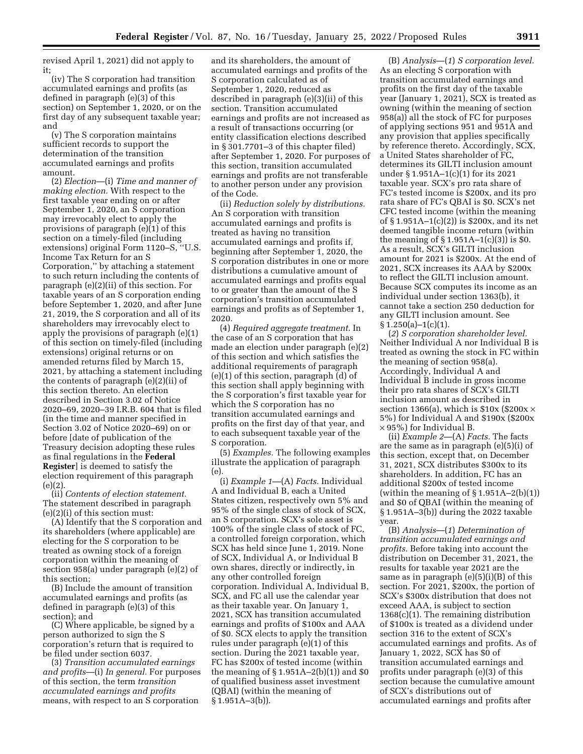revised April 1, 2021) did not apply to it;

(iv) The S corporation had transition accumulated earnings and profits (as defined in paragraph (e)(3) of this section) on September 1, 2020, or on the first day of any subsequent taxable year; and

(v) The S corporation maintains sufficient records to support the determination of the transition accumulated earnings and profits amount.

(2) *Election*—(i) *Time and manner of making election.* With respect to the first taxable year ending on or after September 1, 2020, an S corporation may irrevocably elect to apply the provisions of paragraph (e)(1) of this section on a timely-filed (including extensions) original Form 1120–S, ''U.S. Income Tax Return for an S Corporation,'' by attaching a statement to such return including the contents of paragraph (e)(2)(ii) of this section. For taxable years of an S corporation ending before September 1, 2020, and after June 21, 2019, the S corporation and all of its shareholders may irrevocably elect to apply the provisions of paragraph (e)(1) of this section on timely-filed (including extensions) original returns or on amended returns filed by March 15, 2021, by attaching a statement including the contents of paragraph (e)(2)(ii) of this section thereto. An election described in Section 3.02 of Notice 2020–69, 2020–39 I.R.B. 604 that is filed (in the time and manner specified in Section 3.02 of Notice 2020–69) on or before [date of publication of the Treasury decision adopting these rules as final regulations in the **Federal Register**] is deemed to satisfy the election requirement of this paragraph (e)(2).

(ii) *Contents of election statement.*  The statement described in paragraph (e)(2)(i) of this section must:

(A) Identify that the S corporation and its shareholders (where applicable) are electing for the S corporation to be treated as owning stock of a foreign corporation within the meaning of section 958(a) under paragraph (e)(2) of this section;

(B) Include the amount of transition accumulated earnings and profits (as defined in paragraph (e)(3) of this section); and

(C) Where applicable, be signed by a person authorized to sign the S corporation's return that is required to be filed under section 6037.

(3) *Transition accumulated earnings and profits*—(i) *In general.* For purposes of this section, the term *transition accumulated earnings and profits*  means, with respect to an S corporation

and its shareholders, the amount of accumulated earnings and profits of the S corporation calculated as of September 1, 2020, reduced as described in paragraph (e)(3)(ii) of this section. Transition accumulated earnings and profits are not increased as a result of transactions occurring (or entity classification elections described in § 301.7701–3 of this chapter filed) after September 1, 2020. For purposes of this section, transition accumulated earnings and profits are not transferable to another person under any provision of the Code.

(ii) *Reduction solely by distributions.*  An S corporation with transition accumulated earnings and profits is treated as having no transition accumulated earnings and profits if, beginning after September 1, 2020, the S corporation distributes in one or more distributions a cumulative amount of accumulated earnings and profits equal to or greater than the amount of the S corporation's transition accumulated earnings and profits as of September 1, 2020.

(4) *Required aggregate treatment.* In the case of an S corporation that has made an election under paragraph (e)(2) of this section and which satisfies the additional requirements of paragraph (e)(1) of this section, paragraph (d) of this section shall apply beginning with the S corporation's first taxable year for which the S corporation has no transition accumulated earnings and profits on the first day of that year, and to each subsequent taxable year of the S corporation.

(5) *Examples.* The following examples illustrate the application of paragraph (e).

(i) *Example 1*—(A) *Facts.* Individual A and Individual B, each a United States citizen, respectively own 5% and 95% of the single class of stock of SCX, an S corporation. SCX's sole asset is 100% of the single class of stock of FC, a controlled foreign corporation, which SCX has held since June 1, 2019. None of SCX, Individual A, or Individual B own shares, directly or indirectly, in any other controlled foreign corporation. Individual A, Individual B, SCX, and FC all use the calendar year as their taxable year. On January 1, 2021, SCX has transition accumulated earnings and profits of \$100x and AAA of \$0. SCX elects to apply the transition rules under paragraph (e)(1) of this section. During the 2021 taxable year, FC has \$200x of tested income (within the meaning of  $\S 1.951A - 2(b)(1)$  and  $\S 0$ of qualified business asset investment (QBAI) (within the meaning of § 1.951A–3(b)).

(B) *Analysis*—(*1*) *S corporation level.*  As an electing S corporation with transition accumulated earnings and profits on the first day of the taxable year (January 1, 2021), SCX is treated as owning (within the meaning of section 958(a)) all the stock of FC for purposes of applying sections 951 and 951A and any provision that applies specifically by reference thereto. Accordingly, SCX, a United States shareholder of FC, determines its GILTI inclusion amount under § 1.951A–1(c)(1) for its 2021 taxable year. SCX's pro rata share of FC's tested income is \$200x, and its pro rata share of FC's QBAI is \$0. SCX's net CFC tested income (within the meaning of § 1.951A–1(c)(2)) is \$200x, and its net deemed tangible income return (within the meaning of  $\S 1.951A-1(c)(3)$  is \$0. As a result, SCX's GILTI inclusion amount for 2021 is \$200x. At the end of 2021, SCX increases its AAA by \$200x to reflect the GILTI inclusion amount. Because SCX computes its income as an individual under section 1363(b), it cannot take a section 250 deduction for any GILTI inclusion amount. See  $§ 1.250(a)-1(c)(1).$ 

(*2*) *S corporation shareholder level.*  Neither Individual A nor Individual B is treated as owning the stock in FC within the meaning of section 958(a). Accordingly, Individual A and Individual B include in gross income their pro rata shares of SCX's GILTI inclusion amount as described in section 1366(a), which is  $$10x$  (\$200x  $\times$ 5%) for Individual A and \$190x (\$200x  $\times$  95%) for Individual B.

(ii) *Example 2*—(A) *Facts.* The facts are the same as in paragraph (e)(5)(i) of this section, except that, on December 31, 2021, SCX distributes \$300x to its shareholders. In addition, FC has an additional \$200x of tested income (within the meaning of  $\S 1.951A - 2(b)(1)$ ) and \$0 of QBAI (within the meaning of § 1.951A–3(b)) during the 2022 taxable year.

(B) *Analysis*—(*1*) *Determination of transition accumulated earnings and profits.* Before taking into account the distribution on December 31, 2021, the results for taxable year 2021 are the same as in paragraph  $(e)(5)(i)(B)$  of this section. For 2021, \$200x, the portion of SCX's \$300x distribution that does not exceed AAA, is subject to section 1368(c)(1). The remaining distribution of \$100x is treated as a dividend under section 316 to the extent of SCX's accumulated earnings and profits. As of January 1, 2022, SCX has \$0 of transition accumulated earnings and profits under paragraph (e)(3) of this section because the cumulative amount of SCX's distributions out of accumulated earnings and profits after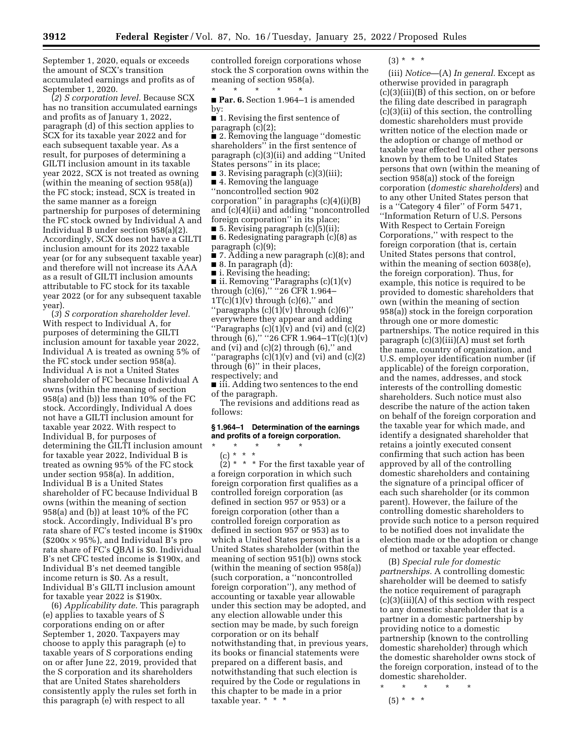September 1, 2020, equals or exceeds the amount of SCX's transition accumulated earnings and profits as of September 1, 2020.

(*2*) *S corporation level.* Because SCX has no transition accumulated earnings and profits as of January 1, 2022, paragraph (d) of this section applies to SCX for its taxable year 2022 and for each subsequent taxable year. As a result, for purposes of determining a GILTI inclusion amount in its taxable year 2022, SCX is not treated as owning (within the meaning of section 958(a)) the FC stock; instead, SCX is treated in the same manner as a foreign partnership for purposes of determining the FC stock owned by Individual A and Individual B under section 958(a)(2). Accordingly, SCX does not have a GILTI inclusion amount for its 2022 taxable year (or for any subsequent taxable year) and therefore will not increase its AAA as a result of GILTI inclusion amounts attributable to FC stock for its taxable year 2022 (or for any subsequent taxable year).

(*3*) *S corporation shareholder level.*  With respect to Individual A, for purposes of determining the GILTI inclusion amount for taxable year 2022, Individual A is treated as owning 5% of the FC stock under section 958(a). Individual A is not a United States shareholder of FC because Individual A owns (within the meaning of section 958(a) and (b)) less than 10% of the FC stock. Accordingly, Individual A does not have a GILTI inclusion amount for taxable year 2022. With respect to Individual B, for purposes of determining the GILTI inclusion amount for taxable year 2022, Individual B is treated as owning 95% of the FC stock under section 958(a). In addition, Individual B is a United States shareholder of FC because Individual B owns (within the meaning of section 958(a) and (b)) at least 10% of the FC stock. Accordingly, Individual B's pro rata share of FC's tested income is \$190x  $(\$200x \times 95\%)$ , and Individual B's pro rata share of FC's QBAI is \$0. Individual B's net CFC tested income is \$190x, and Individual B's net deemed tangible income return is \$0. As a result, Individual B's GILTI inclusion amount for taxable year 2022 is \$190x.

(6) *Applicability date.* This paragraph (e) applies to taxable years of S corporations ending on or after September 1, 2020. Taxpayers may choose to apply this paragraph (e) to taxable years of S corporations ending on or after June 22, 2019, provided that the S corporation and its shareholders that are United States shareholders consistently apply the rules set forth in this paragraph (e) with respect to all

controlled foreign corporations whose stock the S corporation owns within the meaning of section 958(a).

\* \* \* \* \* ■ **Par. 6.** Section 1.964–1 is amended by:

- 1. Revising the first sentence of paragraph (c)(2);
- 2. Removing the language ''domestic shareholders'' in the first sentence of paragraph (c)(3)(ii) and adding ''United States persons'' in its place;

■ 3. Revising paragraph (c)(3)(iii);

■ 4. Removing the language ''noncontrolled section 902 corporation'' in paragraphs (c)(4)(i)(B) and (c)(4)(ii) and adding ''noncontrolled foreign corporation'' in its place;

■ 5. Revising paragraph  $(c)(5)(ii)$ ; ■ 6. Redesignating paragraph (c)(8) as paragraph (c)(9);

■ 7. Adding a new paragraph (c)(8); and  $\blacksquare$  8. In paragraph  $(d)$ :

■ i. Revising the heading; ■ ii. Removing ''Paragraphs (c)(1)(v) through (c)(6),'' ''26 CFR 1.964–  $1T(c)(1)(v)$  through  $(c)(6)$ ," and "paragraphs  $(c)(1)(v)$  through  $(c)(6)$ " everywhere they appear and adding "Paragraphs  $(c)(1)(v)$  and  $(vi)$  and  $(c)(2)$ 

through  $(6)$ ," "26 CFR 1.964–1T $(c)(1)(v)$ and (vi) and  $(c)(2)$  through  $(6)$ ," and "paragraphs  $(c)(1)(v)$  and  $(vi)$  and  $(c)(2)$ through (6)'' in their places, respectively; and

■ iii. Adding two sentences to the end of the paragraph.

The revisions and additions read as follows:

## **§ 1.964–1 Determination of the earnings and profits of a foreign corporation.**

## \* \* \* \* \* (c) \* \* \*

 $(2)$  \* \* \* For the first taxable year of a foreign corporation in which such foreign corporation first qualifies as a controlled foreign corporation (as defined in section 957 or 953) or a foreign corporation (other than a controlled foreign corporation as defined in section 957 or 953) as to which a United States person that is a United States shareholder (within the meaning of section 951(b)) owns stock (within the meaning of section 958(a)) (such corporation, a ''noncontrolled foreign corporation''), any method of accounting or taxable year allowable under this section may be adopted, and any election allowable under this section may be made, by such foreign corporation or on its behalf notwithstanding that, in previous years, its books or financial statements were prepared on a different basis, and notwithstanding that such election is required by the Code or regulations in this chapter to be made in a prior taxable year. \* \* \*

 $(3) * * * *$ 

(iii) *Notice*—(A) *In general.* Except as otherwise provided in paragraph  $(c)(3)(iii)(B)$  of this section, on or before the filing date described in paragraph (c)(3)(ii) of this section, the controlling domestic shareholders must provide written notice of the election made or the adoption or change of method or taxable year effected to all other persons known by them to be United States persons that own (within the meaning of section 958(a)) stock of the foreign corporation (*domestic shareholders*) and to any other United States person that is a ''Category 4 filer'' of Form 5471, ''Information Return of U.S. Persons With Respect to Certain Foreign Corporations,'' with respect to the foreign corporation (that is, certain United States persons that control, within the meaning of section 6038(e), the foreign corporation). Thus, for example, this notice is required to be provided to domestic shareholders that own (within the meaning of section 958(a)) stock in the foreign corporation through one or more domestic partnerships. The notice required in this paragraph (c)(3)(iii)(A) must set forth the name, country of organization, and U.S. employer identification number (if applicable) of the foreign corporation, and the names, addresses, and stock interests of the controlling domestic shareholders. Such notice must also describe the nature of the action taken on behalf of the foreign corporation and the taxable year for which made, and identify a designated shareholder that retains a jointly executed consent confirming that such action has been approved by all of the controlling domestic shareholders and containing the signature of a principal officer of each such shareholder (or its common parent). However, the failure of the controlling domestic shareholders to provide such notice to a person required to be notified does not invalidate the election made or the adoption or change of method or taxable year effected.

(B) *Special rule for domestic partnerships.* A controlling domestic shareholder will be deemed to satisfy the notice requirement of paragraph (c)(3)(iii)(A) of this section with respect to any domestic shareholder that is a partner in a domestic partnership by providing notice to a domestic partnership (known to the controlling domestic shareholder) through which the domestic shareholder owns stock of the foreign corporation, instead of to the domestic shareholder.

\* \* \* \* \*

 $(5) * * * *$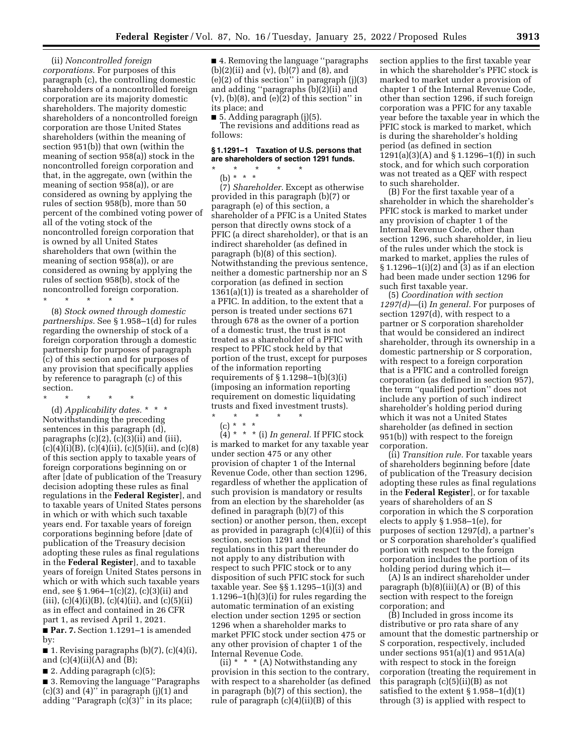(ii) *Noncontrolled foreign corporations.* For purposes of this paragraph (c), the controlling domestic shareholders of a noncontrolled foreign corporation are its majority domestic shareholders. The majority domestic shareholders of a noncontrolled foreign corporation are those United States shareholders (within the meaning of section 951(b)) that own (within the meaning of section 958(a)) stock in the noncontrolled foreign corporation and that, in the aggregate, own (within the meaning of section 958(a)), or are considered as owning by applying the rules of section 958(b), more than 50 percent of the combined voting power of all of the voting stock of the noncontrolled foreign corporation that is owned by all United States shareholders that own (within the meaning of section 958(a)), or are considered as owning by applying the rules of section 958(b), stock of the noncontrolled foreign corporation.

\* \* \* \* \* (8) *Stock owned through domestic partnerships.* See § 1.958–1(d) for rules regarding the ownership of stock of a foreign corporation through a domestic partnership for purposes of paragraph (c) of this section and for purposes of any provision that specifically applies by reference to paragraph (c) of this section.

\* \* \* \* \*

(d) *Applicability dates.* \* \* \* Notwithstanding the preceding sentences in this paragraph (d), paragraphs  $(c)(2)$ ,  $(c)(3)(ii)$  and  $(iii)$ ,  $(c)(4)(i)(B)$ ,  $(c)(4)(ii)$ ,  $(c)(5)(ii)$ , and  $(c)(8)$ of this section apply to taxable years of foreign corporations beginning on or after [date of publication of the Treasury decision adopting these rules as final regulations in the **Federal Register**], and to taxable years of United States persons in which or with which such taxable years end. For taxable years of foreign corporations beginning before [date of publication of the Treasury decision adopting these rules as final regulations in the **Federal Register**], and to taxable years of foreign United States persons in which or with which such taxable years end, see § 1.964–1(c)(2), (c)(3)(ii) and (iii),  $(c)(4)(i)(B)$ ,  $(c)(4)(ii)$ , and  $(c)(5)(ii)$ as in effect and contained in 26 CFR part 1, as revised April 1, 2021.

■ **Par. 7.** Section 1.1291–1 is amended by:

■ 1. Revising paragraphs  $(b)(7)$ ,  $(c)(4)(i)$ , and  $(c)(4)(ii)(A)$  and  $(B);$ 

 $\blacksquare$  2. Adding paragraph (c)(5);

■ 3. Removing the language "Paragraphs  $(c)(3)$  and  $(4)$ " in paragraph  $(j)(1)$  and adding ''Paragraph (c)(3)'' in its place;

■ 4. Removing the language "paragraphs (b)(2)(ii) and (v), (b)(7) and (8), and  $(e)(2)$  of this section" in paragraph  $(j)(3)$ and adding ''paragraphs (b)(2)(ii) and (v),  $(b)(8)$ , and  $(e)(2)$  of this section" in its place; and

■ 5. Adding paragraph (j)(5). The revisions and additions read as follows:

## **§ 1.1291–1 Taxation of U.S. persons that are shareholders of section 1291 funds.**

\* \* \* \* \*

(b) \* \* \* (7) *Shareholder.* Except as otherwise provided in this paragraph (b)(7) or paragraph (e) of this section, a shareholder of a PFIC is a United States person that directly owns stock of a PFIC (a direct shareholder), or that is an indirect shareholder (as defined in paragraph (b)(8) of this section). Notwithstanding the previous sentence, neither a domestic partnership nor an S corporation (as defined in section 1361(a)(1)) is treated as a shareholder of a PFIC. In addition, to the extent that a person is treated under sections 671 through 678 as the owner of a portion of a domestic trust, the trust is not treated as a shareholder of a PFIC with respect to PFIC stock held by that portion of the trust, except for purposes of the information reporting requirements of  $\S 1.1298-1(b)(3)(i)$ (imposing an information reporting requirement on domestic liquidating trusts and fixed investment trusts). \* \* \* \* \*

(c) \* \* \*

 $(4)$  \* \* \* (i) In general. If PFIC stock is marked to market for any taxable year under section 475 or any other provision of chapter 1 of the Internal Revenue Code, other than section 1296, regardless of whether the application of such provision is mandatory or results from an election by the shareholder (as defined in paragraph (b)(7) of this section) or another person, then, except as provided in paragraph (c)(4)(ii) of this section, section 1291 and the regulations in this part thereunder do not apply to any distribution with respect to such PFIC stock or to any disposition of such PFIC stock for such taxable year. See §§ 1.1295–1(i)(3) and 1.1296–1(h)(3)(i) for rules regarding the automatic termination of an existing election under section 1295 or section 1296 when a shareholder marks to market PFIC stock under section 475 or any other provision of chapter 1 of the Internal Revenue Code.

(ii)  $*$   $*$   $*$  (A) Notwithstanding any provision in this section to the contrary, with respect to a shareholder (as defined in paragraph (b)(7) of this section), the rule of paragraph (c)(4)(ii)(B) of this

section applies to the first taxable year in which the shareholder's PFIC stock is marked to market under a provision of chapter 1 of the Internal Revenue Code, other than section 1296, if such foreign corporation was a PFIC for any taxable year before the taxable year in which the PFIC stock is marked to market, which is during the shareholder's holding period (as defined in section 1291(a)(3)(A) and § 1.1296–1(f)) in such stock, and for which such corporation was not treated as a QEF with respect to such shareholder.

(B) For the first taxable year of a shareholder in which the shareholder's PFIC stock is marked to market under any provision of chapter 1 of the Internal Revenue Code, other than section 1296, such shareholder, in lieu of the rules under which the stock is marked to market, applies the rules of § 1.1296–1(i)(2) and (3) as if an election had been made under section 1296 for such first taxable year.

(5) *Coordination with section 1297(d)*—(i) *In general.* For purposes of section 1297(d), with respect to a partner or S corporation shareholder that would be considered an indirect shareholder, through its ownership in a domestic partnership or S corporation, with respect to a foreign corporation that is a PFIC and a controlled foreign corporation (as defined in section 957), the term ''qualified portion'' does not include any portion of such indirect shareholder's holding period during which it was not a United States shareholder (as defined in section 951(b)) with respect to the foreign corporation.

(ii) *Transition rule.* For taxable years of shareholders beginning before [date of publication of the Treasury decision adopting these rules as final regulations in the **Federal Register**], or for taxable years of shareholders of an S corporation in which the S corporation elects to apply § 1.958–1(e), for purposes of section 1297(d), a partner's or S corporation shareholder's qualified portion with respect to the foreign corporation includes the portion of its holding period during which it—

(A) Is an indirect shareholder under paragraph  $(b)(8)(iii)(A)$  or  $(B)$  of this section with respect to the foreign corporation; and

(B) Included in gross income its distributive or pro rata share of any amount that the domestic partnership or S corporation, respectively, included under sections  $951(a)(1)$  and  $951A(a)$ with respect to stock in the foreign corporation (treating the requirement in this paragraph (c)(5)(ii)(B) as not satisfied to the extent  $\S 1.958-1(d)(1)$ through (3) is applied with respect to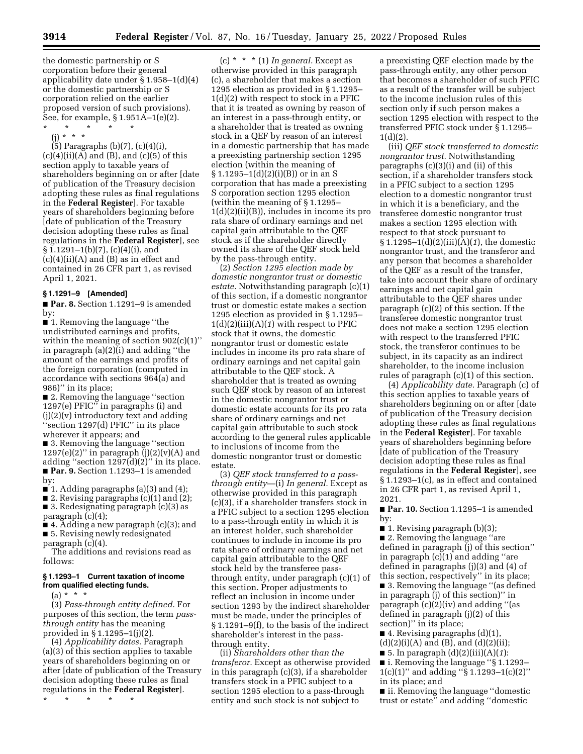the domestic partnership or S corporation before their general applicability date under § 1.958–1(d)(4) or the domestic partnership or S corporation relied on the earlier proposed version of such provisions). See, for example, § 1.951A–1(e)(2).

\* \* \* \* \* (j) \* \* \*

(5) Paragraphs (b)(7), (c)(4)(i),  $(c)(4)(ii)(A)$  and  $(B)$ , and  $(c)(5)$  of this section apply to taxable years of shareholders beginning on or after [date of publication of the Treasury decision adopting these rules as final regulations in the **Federal Register**]. For taxable years of shareholders beginning before [date of publication of the Treasury decision adopting these rules as final regulations in the **Federal Register**], see  $\S 1.1291 - 1(b)(7)$ , (c)(4)(i), and  $(c)(4)(ii)(A)$  and  $(B)$  as in effect and contained in 26 CFR part 1, as revised April 1, 2021.

## **§ 1.1291–9 [Amended]**

■ **Par. 8.** Section 1.1291–9 is amended by:

■ 1. Removing the language "the undistributed earnings and profits, within the meaning of section 902(c)(1)'' in paragraph (a)(2)(i) and adding ''the amount of the earnings and profits of the foreign corporation (computed in accordance with sections 964(a) and 986)'' in its place;

■ 2. Removing the language ''section 1297(e) PFIC'' in paragraphs (i) and (j)(2)(v) introductory text and adding ''section 1297(d) PFIC'' in its place wherever it appears; and

■ 3. Removing the language "section 1297(e)(2)" in paragraph (j)(2)(v)(A) and adding ''section 1297(d)(2)'' in its place. ■ **Par. 9.** Section 1.1293–1 is amended by:

 $\blacksquare$  1. Adding paragraphs (a)(3) and (4);

■ 2. Revising paragraphs (c)(1) and (2);

■ 3. Redesignating paragraph (c)(3) as paragraph (c)(4);

■ 4. Adding a new paragraph (c)(3); and ■ 5. Revising newly redesignated paragraph (c)(4).

The additions and revisions read as follows:

#### **§ 1.1293–1 Current taxation of income from qualified electing funds.**

 $(a) * * * *$ 

(3) *Pass-through entity defined.* For purposes of this section, the term *passthrough entity* has the meaning provided in § 1.1295–1(j)(2).

(4) *Applicability dates.* Paragraph (a)(3) of this section applies to taxable years of shareholders beginning on or after [date of publication of the Treasury decision adopting these rules as final regulations in the **Federal Register**].

\* \* \* \* \*

(c) \* \* \* (1) *In general.* Except as otherwise provided in this paragraph (c), a shareholder that makes a section 1295 election as provided in § 1.1295– 1(d)(2) with respect to stock in a PFIC that it is treated as owning by reason of an interest in a pass-through entity, or a shareholder that is treated as owning stock in a QEF by reason of an interest in a domestic partnership that has made a preexisting partnership section 1295 election (within the meaning of  $§ 1.1295-1(d)(2)(i)(B))$  or in an S corporation that has made a preexisting S corporation section 1295 election (within the meaning of § 1.1295– 1(d)(2)(ii)(B)), includes in income its pro rata share of ordinary earnings and net capital gain attributable to the QEF stock as if the shareholder directly owned its share of the QEF stock held by the pass-through entity.

(2) *Section 1295 election made by domestic nongrantor trust or domestic estate.* Notwithstanding paragraph (c)(1) of this section, if a domestic nongrantor trust or domestic estate makes a section 1295 election as provided in § 1.1295– 1(d)(2)(iii)(A)(*1*) with respect to PFIC stock that it owns, the domestic nongrantor trust or domestic estate includes in income its pro rata share of ordinary earnings and net capital gain attributable to the QEF stock. A shareholder that is treated as owning such QEF stock by reason of an interest in the domestic nongrantor trust or domestic estate accounts for its pro rata share of ordinary earnings and net capital gain attributable to such stock according to the general rules applicable to inclusions of income from the domestic nongrantor trust or domestic estate.

(3) *QEF stock transferred to a passthrough entity*—(i) *In general.* Except as otherwise provided in this paragraph (c)(3), if a shareholder transfers stock in a PFIC subject to a section 1295 election to a pass-through entity in which it is an interest holder, such shareholder continues to include in income its pro rata share of ordinary earnings and net capital gain attributable to the QEF stock held by the transferee passthrough entity, under paragraph (c)(1) of this section. Proper adjustments to reflect an inclusion in income under section 1293 by the indirect shareholder must be made, under the principles of § 1.1291–9(f), to the basis of the indirect shareholder's interest in the passthrough entity.

(ii) *Shareholders other than the transferor.* Except as otherwise provided in this paragraph (c)(3), if a shareholder transfers stock in a PFIC subject to a section 1295 election to a pass-through entity and such stock is not subject to

a preexisting QEF election made by the pass-through entity, any other person that becomes a shareholder of such PFIC as a result of the transfer will be subject to the income inclusion rules of this section only if such person makes a section 1295 election with respect to the transferred PFIC stock under § 1.1295–  $1(d)(2)$ .

(iii) *QEF stock transferred to domestic nongrantor trust.* Notwithstanding paragraphs (c)(3)(i) and (ii) of this section, if a shareholder transfers stock in a PFIC subject to a section 1295 election to a domestic nongrantor trust in which it is a beneficiary, and the transferee domestic nongrantor trust makes a section 1295 election with respect to that stock pursuant to § 1.1295–1(d)(2)(iii)(A)(*1*), the domestic nongrantor trust, and the transferor and any person that becomes a shareholder of the QEF as a result of the transfer, take into account their share of ordinary earnings and net capital gain attributable to the QEF shares under paragraph (c)(2) of this section. If the transferee domestic nongrantor trust does not make a section 1295 election with respect to the transferred PFIC stock, the transferor continues to be subject, in its capacity as an indirect shareholder, to the income inclusion rules of paragraph (c)(1) of this section.

(4) *Applicability date.* Paragraph (c) of this section applies to taxable years of shareholders beginning on or after [date of publication of the Treasury decision adopting these rules as final regulations in the **Federal Register**]. For taxable years of shareholders beginning before [date of publication of the Treasury decision adopting these rules as final regulations in the **Federal Register**], see § 1.1293–1(c), as in effect and contained in 26 CFR part 1, as revised April 1, 2021.

■ **Par. 10.** Section 1.1295-1 is amended by:

■ 1. Revising paragraph (b)(3); ■ 2. Removing the language "are defined in paragraph (j) of this section''

in paragraph (c)(1) and adding ''are defined in paragraphs (j)(3) and (4) of this section, respectively'' in its place; ■ 3. Removing the language "(as defined in paragraph  $(i)$  of this section)" in paragraph (c)(2)(iv) and adding ''(as defined in paragraph (j)(2) of this section)" in its place;

■ 4. Revising paragraphs (d)(1),  $(d)(2)(i)(A)$  and  $(B)$ , and  $(d)(2)(ii)$ ; ■ 5. In paragraph (d)(2)(iii)(A)(*1*):

■ i. Removing the language ''§ 1.1293– 1(c)(1)'' and adding ''§ 1.1293–1(c)(2)'' in its place; and

■ ii. Removing the language "domestic trust or estate'' and adding ''domestic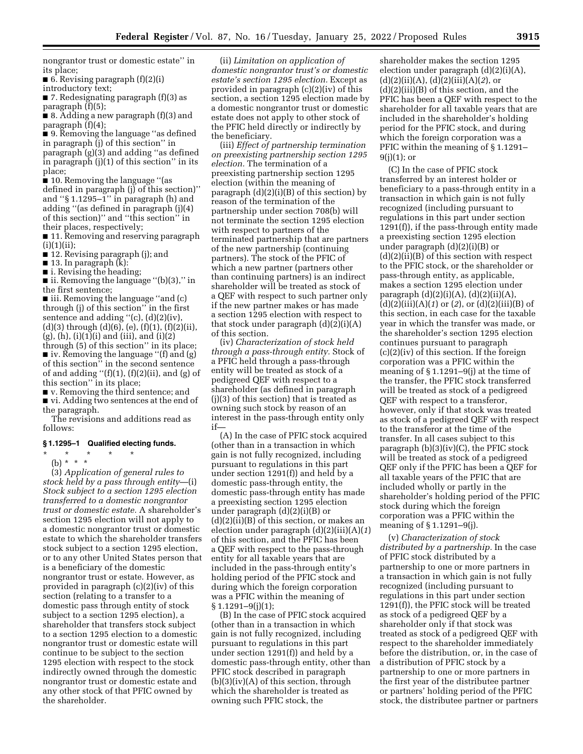nongrantor trust or domestic estate'' in its place;

■ 6. Revising paragraph  $(f)(2)(i)$ 

introductory text;

■ 7. Redesignating paragraph (f)(3) as paragraph (f)(5);

■ 8. Adding a new paragraph (f)(3) and paragraph (f)(4);

■ 9. Removing the language "as defined in paragraph (j) of this section'' in paragraph (g)(3) and adding ''as defined in paragraph (j)(1) of this section'' in its place;

■ 10. Removing the language "(as defined in paragraph (j) of this section)'' and ''§ 1.1295–1'' in paragraph (h) and adding ''(as defined in paragraph (j)(4) of this section)'' and ''this section'' in their places, respectively;

■ 11. Removing and reserving paragraph  $(i)(1)(ii);$ 

■ 12. Revising paragraph (j); and

■ 13. In paragraph (k):

■ i. Revising the heading;

■ ii. Removing the language "(b)(3)," in the first sentence;

■ iii. Removing the language "and (c) through (j) of this section'' in the first sentence and adding ''(c), (d)(2)(iv), (d)(3) through (d)(6), (e), (f)(1), (f)(2)(ii),  $(g)$ ,  $(h)$ ,  $(i)(1)(i)$  and  $(iii)$ , and  $(i)(2)$ 

through (5) of this section'' in its place; ■ iv. Removing the language "(f) and (g) of this section'' in the second sentence of and adding " $(f)(1)$ ,  $(f)(2)(ii)$ , and  $(g)$  of this section'' in its place;

■ v. Removing the third sentence; and

■ vi. Adding two sentences at the end of the paragraph.

The revisions and additions read as follows:

## **§ 1.1295–1 Qualified electing funds.**

\* \* \* \* \*

(b) \* \* \*

(3) *Application of general rules to stock held by a pass through entity*—(i) *Stock subject to a section 1295 election transferred to a domestic nongrantor trust or domestic estate.* A shareholder's section 1295 election will not apply to a domestic nongrantor trust or domestic estate to which the shareholder transfers stock subject to a section 1295 election, or to any other United States person that is a beneficiary of the domestic nongrantor trust or estate. However, as provided in paragraph (c)(2)(iv) of this section (relating to a transfer to a domestic pass through entity of stock subject to a section 1295 election), a shareholder that transfers stock subject to a section 1295 election to a domestic nongrantor trust or domestic estate will continue to be subject to the section 1295 election with respect to the stock indirectly owned through the domestic nongrantor trust or domestic estate and any other stock of that PFIC owned by the shareholder.

(ii) *Limitation on application of domestic nongrantor trust's or domestic estate's section 1295 election.* Except as provided in paragraph (c)(2)(iv) of this section, a section 1295 election made by a domestic nongrantor trust or domestic estate does not apply to other stock of the PFIC held directly or indirectly by the beneficiary.

(iii) *Effect of partnership termination on preexisting partnership section 1295 election.* The termination of a preexisting partnership section 1295 election (within the meaning of paragraph (d)(2)(i)(B) of this section) by reason of the termination of the partnership under section 708(b) will not terminate the section 1295 election with respect to partners of the terminated partnership that are partners of the new partnership (continuing partners). The stock of the PFIC of which a new partner (partners other than continuing partners) is an indirect shareholder will be treated as stock of a QEF with respect to such partner only if the new partner makes or has made a section 1295 election with respect to that stock under paragraph  $(d)(2)(i)(A)$ of this section.

(iv) *Characterization of stock held through a pass-through entity.* Stock of a PFIC held through a pass-through entity will be treated as stock of a pedigreed QEF with respect to a shareholder (as defined in paragraph (j)(3) of this section) that is treated as owning such stock by reason of an interest in the pass-through entity only if—

(A) In the case of PFIC stock acquired (other than in a transaction in which gain is not fully recognized, including pursuant to regulations in this part under section 1291(f)) and held by a domestic pass-through entity, the domestic pass-through entity has made a preexisting section 1295 election under paragraph (d)(2)(i)(B) or  $(d)(2)(ii)(B)$  of this section, or makes an election under paragraph (d)(2)(iii)(A)(*1*) of this section, and the PFIC has been a QEF with respect to the pass-through entity for all taxable years that are included in the pass-through entity's holding period of the PFIC stock and during which the foreign corporation was a PFIC within the meaning of  $§ 1.1291 - 9(j)(1);$ 

(B) In the case of PFIC stock acquired (other than in a transaction in which gain is not fully recognized, including pursuant to regulations in this part under section 1291(f)) and held by a domestic pass-through entity, other than PFIC stock described in paragraph  $(b)(3)(iv)(A)$  of this section, through which the shareholder is treated as owning such PFIC stock, the

shareholder makes the section 1295 election under paragraph (d)(2)(i)(A), (d)(2)(ii)(A), (d)(2)(iii)(A)(*2*), or (d)(2)(iii)(B) of this section, and the PFIC has been a QEF with respect to the shareholder for all taxable years that are included in the shareholder's holding period for the PFIC stock, and during which the foreign corporation was a PFIC within the meaning of § 1.1291–  $9(j)(1);$  or

(C) In the case of PFIC stock transferred by an interest holder or beneficiary to a pass-through entity in a transaction in which gain is not fully recognized (including pursuant to regulations in this part under section 1291(f)), if the pass-through entity made a preexisting section 1295 election under paragraph (d)(2)(i)(B) or  $(d)(2)(ii)(B)$  of this section with respect to the PFIC stock, or the shareholder or pass-through entity, as applicable, makes a section 1295 election under paragraph  $(d)(2)(i)(A)$ ,  $(d)(2)(ii)(A)$ , (d)(2)(iii)(A)(*1*) or (*2*), or (d)(2)(iii)(B) of this section, in each case for the taxable year in which the transfer was made, or the shareholder's section 1295 election continues pursuant to paragraph (c)(2)(iv) of this section. If the foreign corporation was a PFIC within the meaning of § 1.1291–9(j) at the time of the transfer, the PFIC stock transferred will be treated as stock of a pedigreed QEF with respect to a transferor, however, only if that stock was treated as stock of a pedigreed QEF with respect to the transferor at the time of the transfer. In all cases subject to this paragraph (b)(3)(iv)(C), the PFIC stock will be treated as stock of a pedigreed QEF only if the PFIC has been a QEF for all taxable years of the PFIC that are included wholly or partly in the shareholder's holding period of the PFIC stock during which the foreign corporation was a PFIC within the meaning of § 1.1291–9(j).

(v) *Characterization of stock distributed by a partnership.* In the case of PFIC stock distributed by a partnership to one or more partners in a transaction in which gain is not fully recognized (including pursuant to regulations in this part under section 1291(f)), the PFIC stock will be treated as stock of a pedigreed QEF by a shareholder only if that stock was treated as stock of a pedigreed QEF with respect to the shareholder immediately before the distribution, or, in the case of a distribution of PFIC stock by a partnership to one or more partners in the first year of the distributee partner or partners' holding period of the PFIC stock, the distributee partner or partners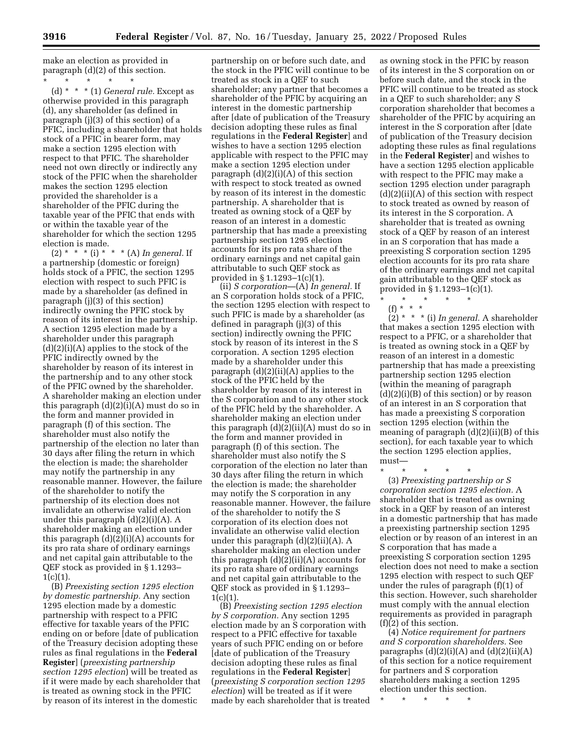make an election as provided in paragraph (d)(2) of this section.

\* \* \* \* \* (d) \* \* \* (1) *General rule.* Except as otherwise provided in this paragraph (d), any shareholder (as defined in paragraph (j)(3) of this section) of a PFIC, including a shareholder that holds stock of a PFIC in bearer form, may make a section 1295 election with respect to that PFIC. The shareholder need not own directly or indirectly any stock of the PFIC when the shareholder makes the section 1295 election provided the shareholder is a shareholder of the PFIC during the taxable year of the PFIC that ends with or within the taxable year of the shareholder for which the section 1295 election is made.

(2) \* \* \* (i) \* \* \* (A) *In general.* If a partnership (domestic or foreign) holds stock of a PFIC, the section 1295 election with respect to such PFIC is made by a shareholder (as defined in paragraph (j)(3) of this section) indirectly owning the PFIC stock by reason of its interest in the partnership. A section 1295 election made by a shareholder under this paragraph (d)(2)(i)(A) applies to the stock of the PFIC indirectly owned by the shareholder by reason of its interest in the partnership and to any other stock of the PFIC owned by the shareholder. A shareholder making an election under this paragraph (d)(2)(i)(A) must do so in the form and manner provided in paragraph (f) of this section. The shareholder must also notify the partnership of the election no later than 30 days after filing the return in which the election is made; the shareholder may notify the partnership in any reasonable manner. However, the failure of the shareholder to notify the partnership of its election does not invalidate an otherwise valid election under this paragraph  $(d)(2)(i)(A)$ . A shareholder making an election under this paragraph  $(d)(2)(i)(A)$  accounts for its pro rata share of ordinary earnings and net capital gain attributable to the QEF stock as provided in § 1.1293–  $1(c)(1)$ .

(B) *Preexisting section 1295 election by domestic partnership.* Any section 1295 election made by a domestic partnership with respect to a PFIC effective for taxable years of the PFIC ending on or before [date of publication of the Treasury decision adopting these rules as final regulations in the **Federal Register**] (*preexisting partnership section 1295 election*) will be treated as if it were made by each shareholder that is treated as owning stock in the PFIC by reason of its interest in the domestic

partnership on or before such date, and the stock in the PFIC will continue to be treated as stock in a QEF to such shareholder; any partner that becomes a shareholder of the PFIC by acquiring an interest in the domestic partnership after [date of publication of the Treasury decision adopting these rules as final regulations in the **Federal Register**] and wishes to have a section 1295 election applicable with respect to the PFIC may make a section 1295 election under paragraph  $(d)(2)(i)(A)$  of this section with respect to stock treated as owned by reason of its interest in the domestic partnership. A shareholder that is treated as owning stock of a QEF by reason of an interest in a domestic partnership that has made a preexisting partnership section 1295 election accounts for its pro rata share of the ordinary earnings and net capital gain attributable to such QEF stock as provided in § 1.1293–1(c)(1).

(ii) *S corporation*—(A) *In general.* If an S corporation holds stock of a PFIC, the section 1295 election with respect to such PFIC is made by a shareholder (as defined in paragraph (j)(3) of this section) indirectly owning the PFIC stock by reason of its interest in the S corporation. A section 1295 election made by a shareholder under this paragraph  $(d)(2)(ii)(A)$  applies to the stock of the PFIC held by the shareholder by reason of its interest in the S corporation and to any other stock of the PFIC held by the shareholder. A shareholder making an election under this paragraph  $(d)(2)(ii)(A)$  must do so in the form and manner provided in paragraph (f) of this section. The shareholder must also notify the S corporation of the election no later than 30 days after filing the return in which the election is made; the shareholder may notify the S corporation in any reasonable manner. However, the failure of the shareholder to notify the S corporation of its election does not invalidate an otherwise valid election under this paragraph (d)(2)(ii)(A). A shareholder making an election under this paragraph  $(d)(2)(ii)(A)$  accounts for its pro rata share of ordinary earnings and net capital gain attributable to the QEF stock as provided in § 1.1293–  $1(c)(1)$ .

(B) *Preexisting section 1295 election by S corporation.* Any section 1295 election made by an S corporation with respect to a PFIC effective for taxable years of such PFIC ending on or before [date of publication of the Treasury decision adopting these rules as final regulations in the **Federal Register**] (*preexisting S corporation section 1295 election*) will be treated as if it were made by each shareholder that is treated

as owning stock in the PFIC by reason of its interest in the S corporation on or before such date, and the stock in the PFIC will continue to be treated as stock in a QEF to such shareholder; any S corporation shareholder that becomes a shareholder of the PFIC by acquiring an interest in the S corporation after [date of publication of the Treasury decision adopting these rules as final regulations in the **Federal Register**] and wishes to have a section 1295 election applicable with respect to the PFIC may make a section 1295 election under paragraph  $(d)(2)(ii)(A)$  of this section with respect to stock treated as owned by reason of its interest in the S corporation. A shareholder that is treated as owning stock of a QEF by reason of an interest in an S corporation that has made a preexisting S corporation section 1295 election accounts for its pro rata share of the ordinary earnings and net capital gain attributable to the QEF stock as provided in § 1.1293–1(c)(1).

\* \* \* \* \*

(f) \* \* \* (2) \* \* \* (i) *In general.* A shareholder that makes a section 1295 election with respect to a PFIC, or a shareholder that is treated as owning stock in a QEF by reason of an interest in a domestic partnership that has made a preexisting partnership section 1295 election (within the meaning of paragraph  $(d)(2)(i)(B)$  of this section) or by reason of an interest in an S corporation that has made a preexisting S corporation section 1295 election (within the meaning of paragraph (d)(2)(ii)(B) of this section), for each taxable year to which the section 1295 election applies, must—

\* \* \* \* \*

(3) *Preexisting partnership or S corporation section 1295 election.* A shareholder that is treated as owning stock in a QEF by reason of an interest in a domestic partnership that has made a preexisting partnership section 1295 election or by reason of an interest in an S corporation that has made a preexisting S corporation section 1295 election does not need to make a section 1295 election with respect to such QEF under the rules of paragraph (f)(1) of this section. However, such shareholder must comply with the annual election requirements as provided in paragraph (f)(2) of this section.

(4) *Notice requirement for partners and S corporation shareholders.* See paragraphs  $(d)(2)(i)(A)$  and  $(d)(2)(ii)(A)$ of this section for a notice requirement for partners and S corporation shareholders making a section 1295 election under this section.

\* \* \* \* \*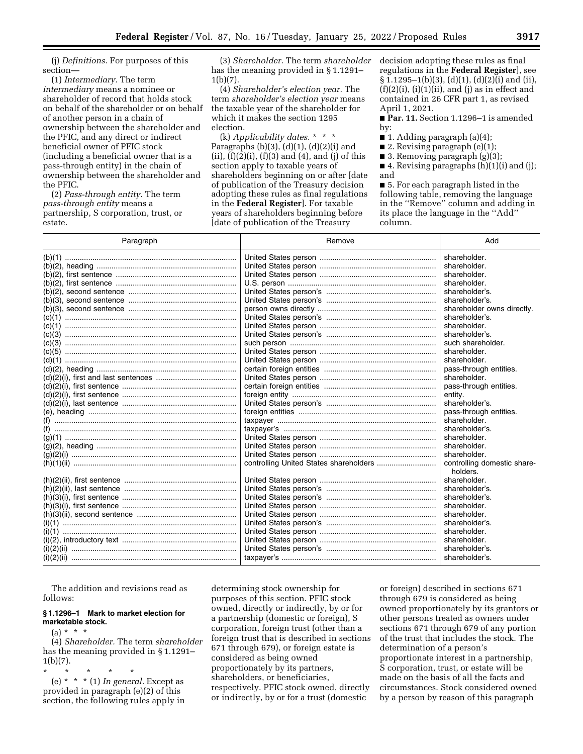(j) *Definitions.* For purposes of this section—

(1) *Intermediary.* The term *intermediary* means a nominee or shareholder of record that holds stock on behalf of the shareholder or on behalf of another person in a chain of ownership between the shareholder and the PFIC, and any direct or indirect beneficial owner of PFIC stock (including a beneficial owner that is a pass-through entity) in the chain of ownership between the shareholder and the PFIC.

(2) *Pass-through entity.* The term *pass-through entity* means a partnership, S corporation, trust, or estate.

(3) *Shareholder.* The term *shareholder*  has the meaning provided in § 1.1291– 1(b)(7).

(4) *Shareholder's election year.* The term *shareholder's election year* means the taxable year of the shareholder for which it makes the section 1295 election.

(k) *Applicability dates.* \* \* \* Paragraphs (b)(3), (d)(1), (d)(2)(i) and (ii),  $(f)(2)(i)$ ,  $(f)(3)$  and  $(4)$ , and  $(j)$  of this section apply to taxable years of shareholders beginning on or after [date of publication of the Treasury decision adopting these rules as final regulations in the **Federal Register**]. For taxable years of shareholders beginning before [date of publication of the Treasury

decision adopting these rules as final regulations in the **Federal Register**], see § 1.1295–1(b)(3), (d)(1), (d)(2)(i) and (ii),  $(f)(2)(i)$ ,  $(i)(1)(ii)$ , and  $(j)$  as in effect and contained in 26 CFR part 1, as revised April 1, 2021.

■ **Par. 11.** Section 1.1296–1 is amended by:

- 1. Adding paragraph  $(a)(4)$ ;
- 2. Revising paragraph (e)(1);
- 3. Removing paragraph (g)(3);
- $\blacksquare$  4. Revising paragraphs  $(h)(1)(i)$  and  $(j)$ ; and

■ 5. For each paragraph listed in the following table, removing the language in the ''Remove'' column and adding in its place the language in the ''Add'' column.

| Paragraph                             | Remove | Add                                     |  |
|---------------------------------------|--------|-----------------------------------------|--|
|                                       |        | shareholder.                            |  |
|                                       |        | shareholder.                            |  |
|                                       |        | shareholder.                            |  |
|                                       |        | shareholder.                            |  |
|                                       |        | shareholder's.                          |  |
|                                       |        | shareholder's.                          |  |
|                                       |        | shareholder owns directly.              |  |
|                                       |        | shareholder's.                          |  |
|                                       |        | shareholder.                            |  |
|                                       |        | shareholder's.                          |  |
|                                       |        | such shareholder.                       |  |
|                                       |        | shareholder.                            |  |
|                                       |        | shareholder.                            |  |
|                                       |        | pass-through entities.                  |  |
|                                       |        | shareholder.                            |  |
|                                       |        | pass-through entities.                  |  |
|                                       |        | entity.                                 |  |
|                                       |        | shareholder's.                          |  |
|                                       |        | pass-through entities.                  |  |
|                                       |        | shareholder.                            |  |
|                                       |        | shareholder's.                          |  |
|                                       |        | shareholder.                            |  |
|                                       |        | shareholder.                            |  |
|                                       |        | shareholder.                            |  |
|                                       |        | controlling domestic share-<br>holders. |  |
|                                       |        | shareholder.                            |  |
|                                       |        | shareholder's.                          |  |
|                                       |        | shareholder's.                          |  |
|                                       |        | shareholder.                            |  |
|                                       |        | shareholder.                            |  |
|                                       |        | shareholder's.                          |  |
| (i)(1)                                |        | shareholder.                            |  |
|                                       |        | shareholder.                            |  |
| (i)(2)(ii) …………………………………………………………………… |        | shareholder's.                          |  |
| (i)(2)(ii) …………………………………………………………………… |        | shareholder's.                          |  |

The addition and revisions read as follows:

## **§ 1.1296–1 Mark to market election for marketable stock.**

 $(a) * * * *$ 

(4) *Shareholder.* The term *shareholder*  has the meaning provided in § 1.1291–  $1(b)(7)$ .

\* \* \* \* \*

(e) \* \* \* (1) *In general.* Except as provided in paragraph (e)(2) of this section, the following rules apply in determining stock ownership for purposes of this section. PFIC stock owned, directly or indirectly, by or for a partnership (domestic or foreign), S corporation, foreign trust (other than a foreign trust that is described in sections 671 through 679), or foreign estate is considered as being owned proportionately by its partners, shareholders, or beneficiaries, respectively. PFIC stock owned, directly or indirectly, by or for a trust (domestic

or foreign) described in sections 671 through 679 is considered as being owned proportionately by its grantors or other persons treated as owners under sections 671 through 679 of any portion of the trust that includes the stock. The determination of a person's proportionate interest in a partnership, S corporation, trust, or estate will be made on the basis of all the facts and circumstances. Stock considered owned by a person by reason of this paragraph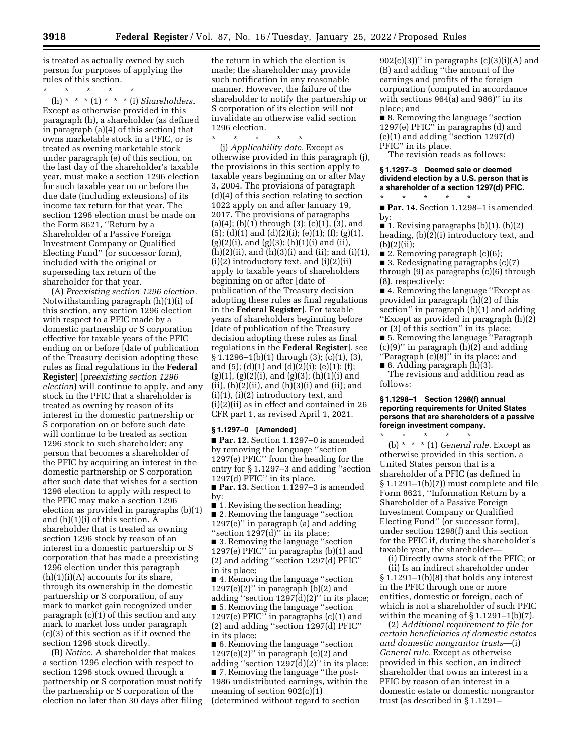is treated as actually owned by such person for purposes of applying the rules of this section.

\* \* \* \* \* (h) \* \* \* (1) \* \* \* (i) *Shareholders.*  Except as otherwise provided in this paragraph (h), a shareholder (as defined in paragraph (a)(4) of this section) that owns marketable stock in a PFIC, or is treated as owning marketable stock under paragraph (e) of this section, on the last day of the shareholder's taxable year, must make a section 1296 election for such taxable year on or before the due date (including extensions) of its income tax return for that year. The section 1296 election must be made on the Form 8621, "Return by a Shareholder of a Passive Foreign Investment Company or Qualified Electing Fund'' (or successor form), included with the original or superseding tax return of the shareholder for that year.

(A) *Preexisting section 1296 election.*  Notwithstanding paragraph (h)(1)(i) of this section, any section 1296 election with respect to a PFIC made by a domestic partnership or S corporation effective for taxable years of the PFIC ending on or before [date of publication of the Treasury decision adopting these rules as final regulations in the **Federal Register**] (*preexisting section 1296 election*) will continue to apply, and any stock in the PFIC that a shareholder is treated as owning by reason of its interest in the domestic partnership or S corporation on or before such date will continue to be treated as section 1296 stock to such shareholder; any person that becomes a shareholder of the PFIC by acquiring an interest in the domestic partnership or S corporation after such date that wishes for a section 1296 election to apply with respect to the PFIC may make a section 1296 election as provided in paragraphs (b)(1) and (h)(1)(i) of this section. A shareholder that is treated as owning section 1296 stock by reason of an interest in a domestic partnership or S corporation that has made a preexisting 1296 election under this paragraph  $(h)(1)(i)(A)$  accounts for its share, through its ownership in the domestic partnership or S corporation, of any mark to market gain recognized under paragraph (c)(1) of this section and any mark to market loss under paragraph (c)(3) of this section as if it owned the section 1296 stock directly.

(B) *Notice.* A shareholder that makes a section 1296 election with respect to section 1296 stock owned through a partnership or S corporation must notify the partnership or S corporation of the election no later than 30 days after filing the return in which the election is made; the shareholder may provide such notification in any reasonable manner. However, the failure of the shareholder to notify the partnership or S corporation of its election will not invalidate an otherwise valid section 1296 election.

\* \* \* \* \* (j) *Applicability date.* Except as otherwise provided in this paragraph (j), the provisions in this section apply to taxable years beginning on or after May 3, 2004. The provisions of paragraph (d)(4) of this section relating to section 1022 apply on and after January 19, 2017. The provisions of paragraphs  $(a)(4)$ ; (b) $(1)$  through  $(3)$ ; (c) $(1)$ ,  $(3)$ , and  $(5)$ ; (d)(1) and (d)(2)(i); (e)(1); (f); (g)(1),  $(g)(2)(i)$ , and  $(g)(3)$ ;  $(h)(1)(i)$  and  $(ii)$ ,  $(h)(2)(ii)$ , and  $(h)(3)(i)$  and  $(ii)$ ; and  $(i)(1)$ , (i)(2) introductory text, and (i)(2)(ii) apply to taxable years of shareholders beginning on or after [date of publication of the Treasury decision adopting these rules as final regulations in the **Federal Register**]. For taxable years of shareholders beginning before [date of publication of the Treasury decision adopting these rules as final regulations in the **Federal Register**], see § 1.1296–1(b)(1) through (3); (c)(1), (3), and (5); (d)(1) and (d)(2)(i); (e)(1); (f);  $(g)(1)$ ,  $(g)(2)(i)$ , and  $(g)(3)$ ;  $(h)(1)(i)$  and  $(ii)$ ,  $(h)(2)(ii)$ , and  $(h)(3)(i)$  and  $(ii)$ ; and  $(i)(1)$ ,  $(i)(2)$  introductory text, and (i)(2)(ii) as in effect and contained in 26 CFR part 1, as revised April 1, 2021.

## **§ 1.1297–0 [Amended]**

■ **Par. 12.** Section 1.1297-0 is amended by removing the language ''section 1297(e) PFIC'' from the heading for the entry for § 1.1297–3 and adding ''section 1297(d) PFIC'' in its place.

■ **Par. 13.** Section 1.1297–3 is amended by:

■ 1. Revising the section heading; ■ 2. Removing the language "section 1297(e)'' in paragraph (a) and adding "section 1297(d)" in its place;

■ 3. Removing the language "section 1297(e) PFIC" in paragraphs  $(b)(1)$  and (2) and adding ''section 1297(d) PFIC'' in its place;

■ 4. Removing the language "section  $1297(e)(2)$ " in paragraph (b)(2) and adding ''section 1297(d)(2)'' in its place; ■ 5. Removing the language ''section 1297(e) PFIC'' in paragraphs (c)(1) and (2) and adding ''section 1297(d) PFIC'' in its place;

■ 6. Removing the language "section 1297(e)(2)" in paragraph  $\overline{c}$ (c)(2) and adding ''section 1297(d)(2)'' in its place; ■ 7. Removing the language ''the post-1986 undistributed earnings, within the meaning of section 902(c)(1) (determined without regard to section

 $902(c)(3)$ )" in paragraphs  $(c)(3)(i)(A)$  and (B) and adding ''the amount of the earnings and profits of the foreign corporation (computed in accordance with sections 964(a) and 986)'' in its place; and

■ 8. Removing the language "section 1297(e) PFIC'' in paragraphs (d) and (e)(1) and adding ''section 1297(d) PFIC" in its place.

The revision reads as follows:

## **§ 1.1297–3 Deemed sale or deemed dividend election by a U.S. person that is a shareholder of a section 1297(d) PFIC.**

\* \* \* \* \* ■ **Par. 14.** Section 1.1298–1 is amended by:

 $\blacksquare$  1. Revising paragraphs (b)(1), (b)(2) heading, (b)(2)(i) introductory text, and (b)(2)(ii);

■ 2. Removing paragraph  $(c)(6)$ ;

■ 3. Redesignating paragraphs (c)(7) through (9) as paragraphs (c)(6) through (8), respectively;

■ 4. Removing the language "Except as provided in paragraph (h)(2) of this section'' in paragraph (h)(1) and adding ''Except as provided in paragraph (h)(2) or (3) of this section'' in its place; ■ 5. Removing the language "Paragraph (c)(9)'' in paragraph (h)(2) and adding ''Paragraph (c)(8)'' in its place; and

■ 6. Adding paragraph (h)(3).

The revisions and addition read as follows:

#### **§ 1.1298–1 Section 1298(f) annual reporting requirements for United States persons that are shareholders of a passive foreign investment company.**

\* \* \* \* \* (b) \* \* \* (1) *General rule.* Except as otherwise provided in this section, a United States person that is a shareholder of a PFIC (as defined in § 1.1291–1(b)(7)) must complete and file Form 8621, ''Information Return by a Shareholder of a Passive Foreign Investment Company or Qualified Electing Fund'' (or successor form), under section 1298(f) and this section for the PFIC if, during the shareholder's taxable year, the shareholder—

(i) Directly owns stock of the PFIC; or (ii) Is an indirect shareholder under § 1.1291–1(b)(8) that holds any interest in the PFIC through one or more entities, domestic or foreign, each of which is not a shareholder of such PFIC within the meaning of  $\S 1.1291-1(b)(7)$ .

(2) *Additional requirement to file for certain beneficiaries of domestic estates and domestic nongrantor trusts*—(i) *General rule.* Except as otherwise provided in this section, an indirect shareholder that owns an interest in a PFIC by reason of an interest in a domestic estate or domestic nongrantor trust (as described in § 1.1291–